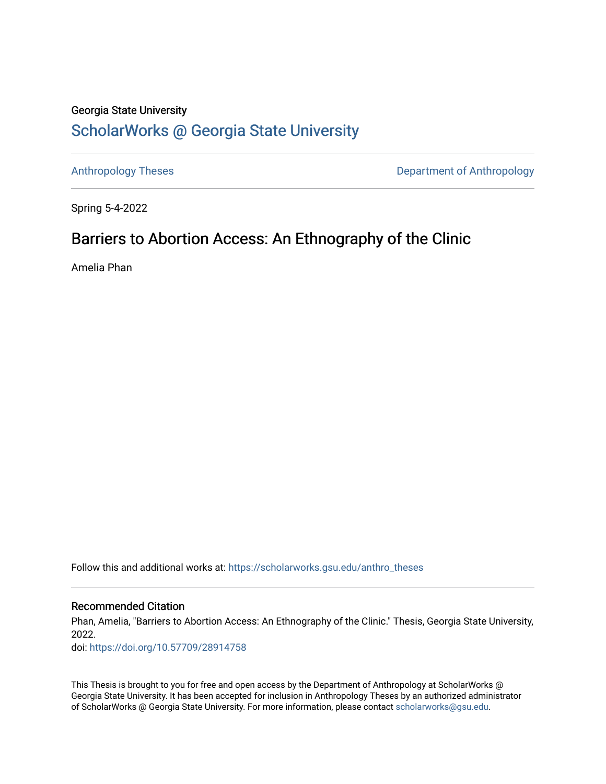## Georgia State University [ScholarWorks @ Georgia State University](https://scholarworks.gsu.edu/)

[Anthropology Theses](https://scholarworks.gsu.edu/anthro_theses) **Department of Anthropology** 

Spring 5-4-2022

# Barriers to Abortion Access: An Ethnography of the Clinic

Amelia Phan

Follow this and additional works at: [https://scholarworks.gsu.edu/anthro\\_theses](https://scholarworks.gsu.edu/anthro_theses?utm_source=scholarworks.gsu.edu%2Fanthro_theses%2F172&utm_medium=PDF&utm_campaign=PDFCoverPages)

#### Recommended Citation

Phan, Amelia, "Barriers to Abortion Access: An Ethnography of the Clinic." Thesis, Georgia State University, 2022.

doi: <https://doi.org/10.57709/28914758>

This Thesis is brought to you for free and open access by the Department of Anthropology at ScholarWorks @ Georgia State University. It has been accepted for inclusion in Anthropology Theses by an authorized administrator of ScholarWorks @ Georgia State University. For more information, please contact [scholarworks@gsu.edu.](mailto:scholarworks@gsu.edu)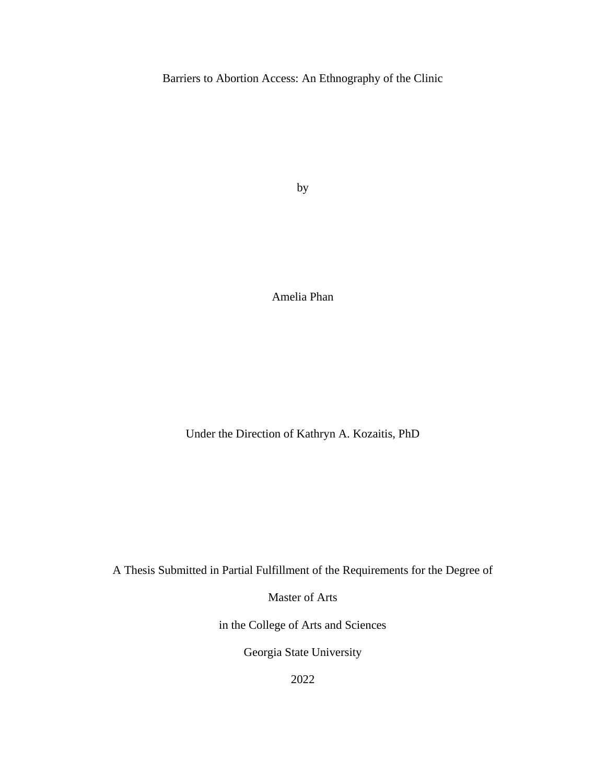Barriers to Abortion Access: An Ethnography of the Clinic

by

Amelia Phan

Under the Direction of Kathryn A. Kozaitis, PhD

A Thesis Submitted in Partial Fulfillment of the Requirements for the Degree of

Master of Arts

in the College of Arts and Sciences

Georgia State University

2022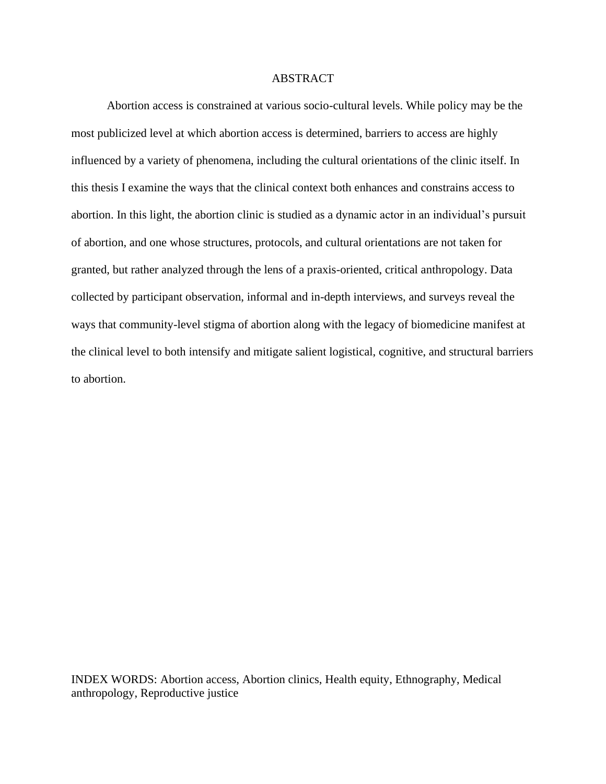#### ABSTRACT

Abortion access is constrained at various socio-cultural levels. While policy may be the most publicized level at which abortion access is determined, barriers to access are highly influenced by a variety of phenomena, including the cultural orientations of the clinic itself. In this thesis I examine the ways that the clinical context both enhances and constrains access to abortion. In this light, the abortion clinic is studied as a dynamic actor in an individual's pursuit of abortion, and one whose structures, protocols, and cultural orientations are not taken for granted, but rather analyzed through the lens of a praxis-oriented, critical anthropology. Data collected by participant observation, informal and in-depth interviews, and surveys reveal the ways that community-level stigma of abortion along with the legacy of biomedicine manifest at the clinical level to both intensify and mitigate salient logistical, cognitive, and structural barriers to abortion.

INDEX WORDS: Abortion access, Abortion clinics, Health equity, Ethnography, Medical anthropology, Reproductive justice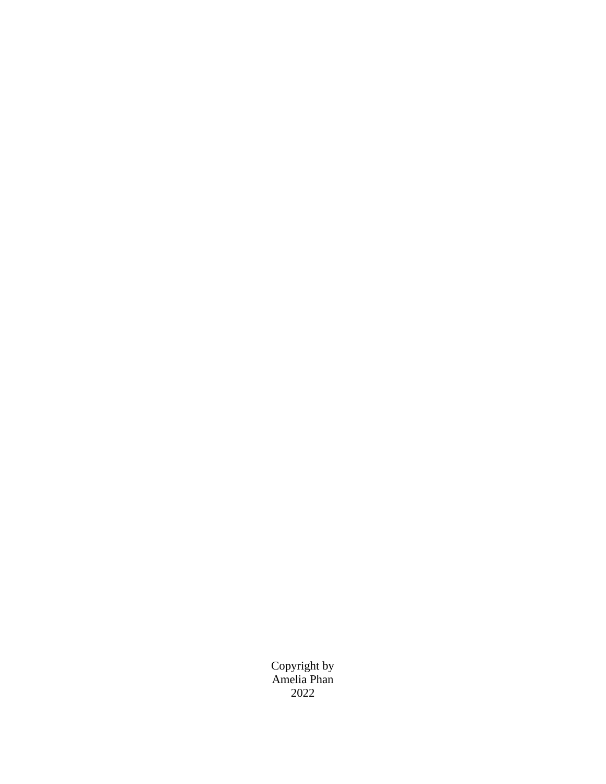Copyright by Amelia Phan 2022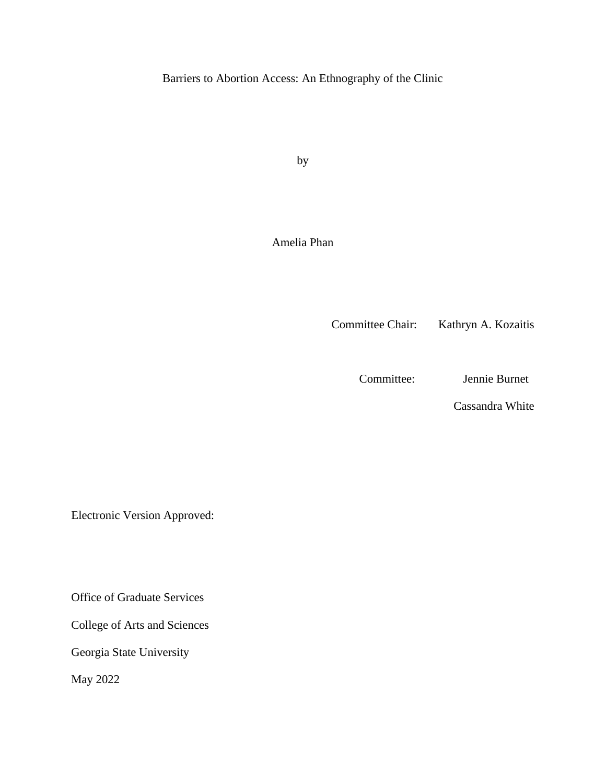Barriers to Abortion Access: An Ethnography of the Clinic

by

Amelia Phan

Committee Chair: Kathryn A. Kozaitis

Committee: Jennie Burnet

Cassandra White

Electronic Version Approved:

Office of Graduate Services

College of Arts and Sciences

Georgia State University

May 2022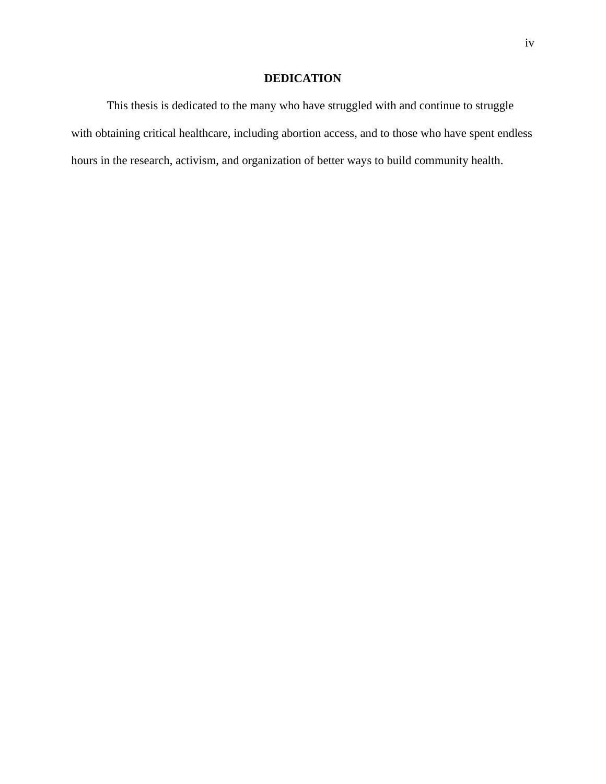### **DEDICATION**

This thesis is dedicated to the many who have struggled with and continue to struggle with obtaining critical healthcare, including abortion access, and to those who have spent endless hours in the research, activism, and organization of better ways to build community health.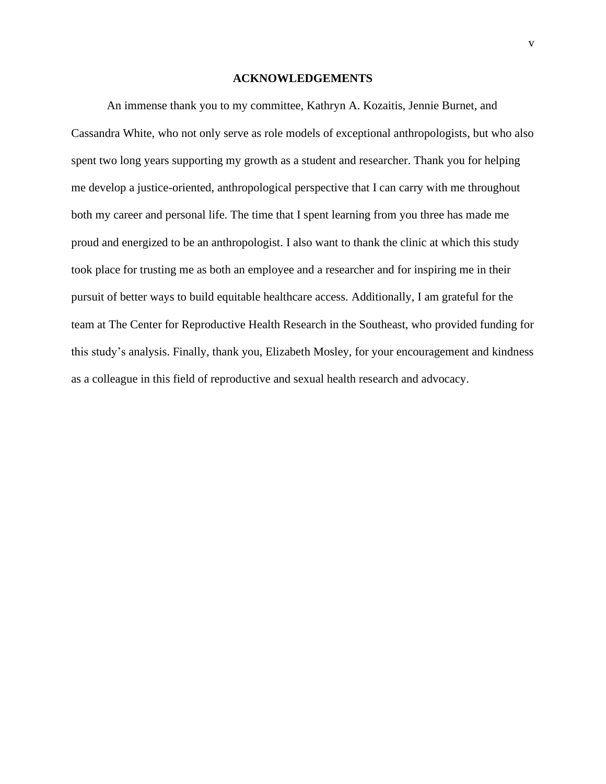#### **ACKNOWLEDGEMENTS**

<span id="page-6-0"></span>An immense thank you to my committee, Kathryn A. Kozaitis, Jennie Burnet, and Cassandra White, who not only serve as role models of exceptional anthropologists, but who also spent two long years supporting my growth as a student and researcher. Thank you for helping me develop a justice-oriented, anthropological perspective that I can carry with me throughout both my career and personal life. The time that I spent learning from you three has made me proud and energized to be an anthropologist. I also want to thank the clinic at which this study took place for trusting me as both an employee and a researcher and for inspiring me in their pursuit of better ways to build equitable healthcare access. Additionally, I am grateful for the team at The Center for Reproductive Health Research in the Southeast, who provided funding for this study's analysis. Finally, thank you, Elizabeth Mosley, for your encouragement and kindness as a colleague in this field of reproductive and sexual health research and advocacy.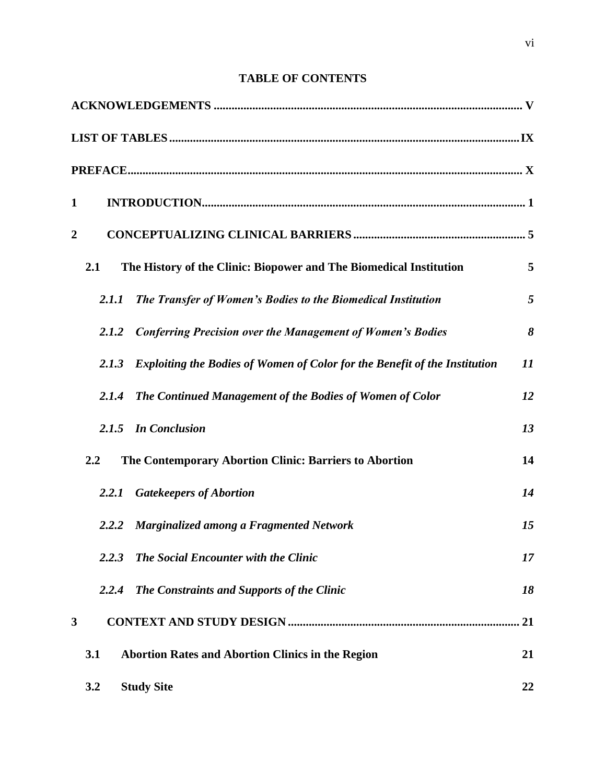## **TABLE OF CONTENTS**

| $\mathbf{1}$     |                                                                                   |    |
|------------------|-----------------------------------------------------------------------------------|----|
| $\boldsymbol{2}$ |                                                                                   |    |
| 2.1              | The History of the Clinic: Biopower and The Biomedical Institution                | 5  |
| 2.1.1            | The Transfer of Women's Bodies to the Biomedical Institution                      | 5  |
| 2.1.2            | <b>Conferring Precision over the Management of Women's Bodies</b>                 | 8  |
| 2.1.3            | <b>Exploiting the Bodies of Women of Color for the Benefit of the Institution</b> | 11 |
| 2.1.4            | The Continued Management of the Bodies of Women of Color                          | 12 |
|                  | 2.1.5 In Conclusion                                                               | 13 |
| 2.2              | The Contemporary Abortion Clinic: Barriers to Abortion                            | 14 |
| 2.2.1            | <b>Gatekeepers of Abortion</b>                                                    | 14 |
| 2.2.2            | <b>Marginalized among a Fragmented Network</b>                                    | 15 |
| 2.2.3            | <b>The Social Encounter with the Clinic</b>                                       | 17 |
| 2.2.4            | The Constraints and Supports of the Clinic                                        | 18 |
| 3                |                                                                                   |    |
| 3.1              | <b>Abortion Rates and Abortion Clinics in the Region</b>                          | 21 |
| 3.2              | <b>Study Site</b>                                                                 | 22 |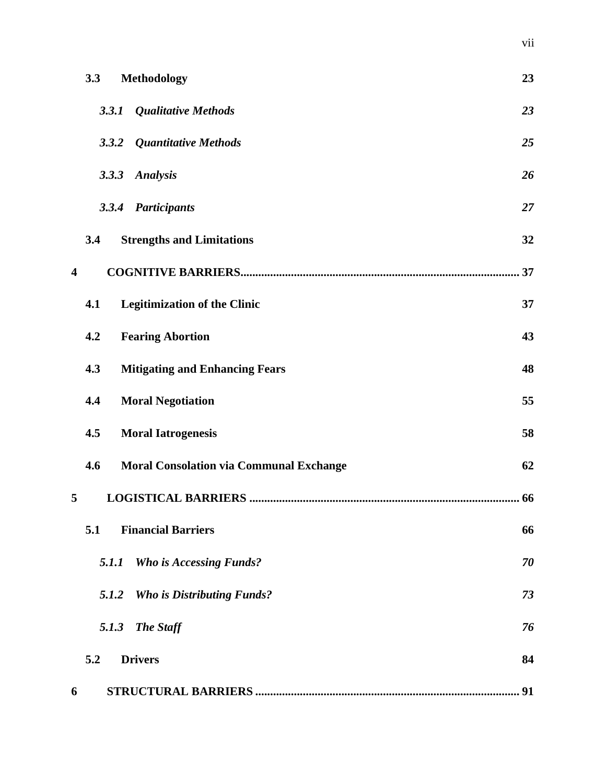|                         | 3.3   | <b>Methodology</b>                             | 23 |
|-------------------------|-------|------------------------------------------------|----|
|                         | 3.3.1 | <b>Qualitative Methods</b>                     | 23 |
|                         |       | 3.3.2 Quantitative Methods                     | 25 |
|                         | 3.3.3 | <b>Analysis</b>                                | 26 |
|                         | 3.3.4 | <b>Participants</b>                            | 27 |
|                         | 3.4   | <b>Strengths and Limitations</b>               | 32 |
| $\overline{\mathbf{4}}$ |       |                                                | 37 |
|                         | 4.1   | <b>Legitimization of the Clinic</b>            | 37 |
|                         | 4.2   | <b>Fearing Abortion</b>                        | 43 |
|                         | 4.3   | <b>Mitigating and Enhancing Fears</b>          | 48 |
|                         | 4.4   | <b>Moral Negotiation</b>                       | 55 |
|                         | 4.5   | <b>Moral Iatrogenesis</b>                      | 58 |
|                         | 4.6   | <b>Moral Consolation via Communal Exchange</b> | 62 |
| 5                       |       |                                                |    |
|                         | 5.1   | <b>Financial Barriers</b>                      | 66 |
|                         | 5.1.1 | <b>Who is Accessing Funds?</b>                 | 70 |
|                         | 5.1.2 | <b>Who is Distributing Funds?</b>              | 73 |
|                         |       | 5.1.3 The Staff                                | 76 |
|                         | 5.2   | <b>Drivers</b>                                 | 84 |
| 6                       |       |                                                | 91 |

vii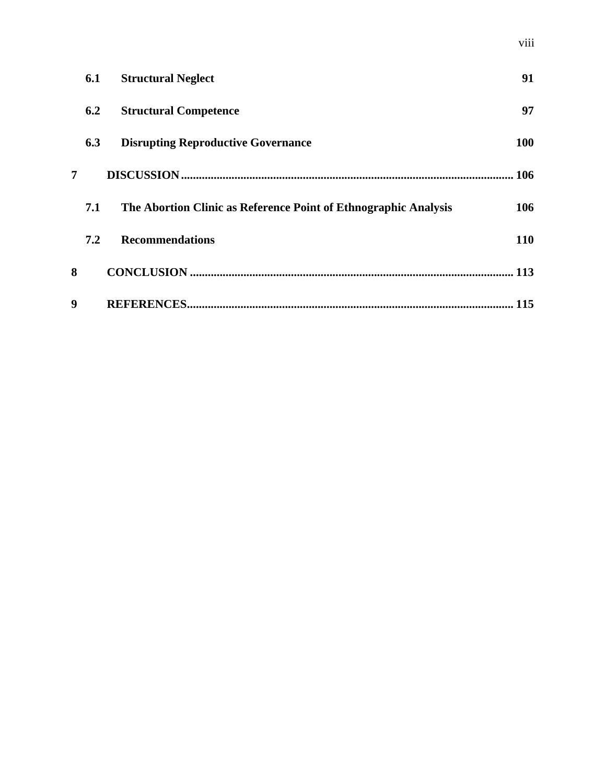|   | 6.1 | <b>Structural Neglect</b>                                       | 91  |
|---|-----|-----------------------------------------------------------------|-----|
|   | 6.2 | <b>Structural Competence</b>                                    | 97  |
|   | 6.3 | <b>Disrupting Reproductive Governance</b>                       | 100 |
| 7 |     |                                                                 | 106 |
|   | 7.1 | The Abortion Clinic as Reference Point of Ethnographic Analysis | 106 |
|   | 7.2 | <b>Recommendations</b>                                          | 110 |
| 8 |     |                                                                 | 113 |
| 9 |     |                                                                 | 115 |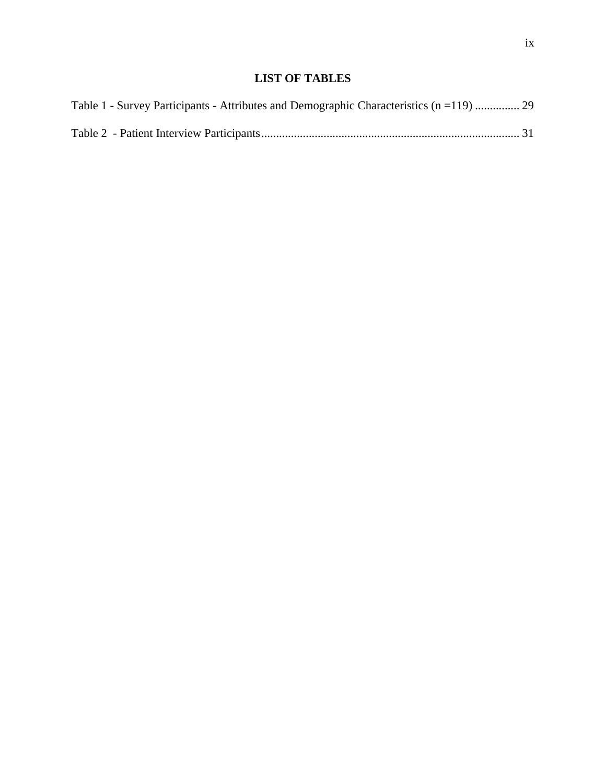## **LIST OF TABLES**

<span id="page-10-0"></span>

| Table 1 - Survey Participants - Attributes and Demographic Characteristics (n = 119)  29 |  |
|------------------------------------------------------------------------------------------|--|
|                                                                                          |  |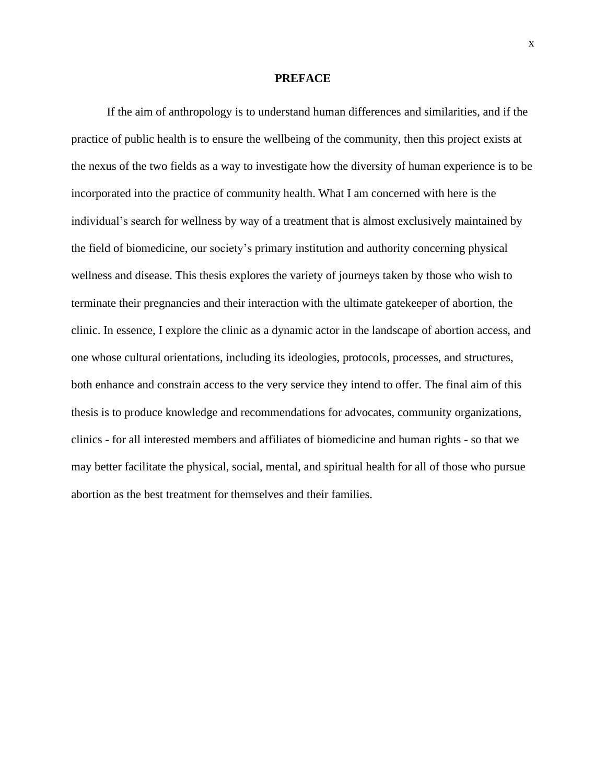#### **PREFACE**

<span id="page-11-0"></span>If the aim of anthropology is to understand human differences and similarities, and if the practice of public health is to ensure the wellbeing of the community, then this project exists at the nexus of the two fields as a way to investigate how the diversity of human experience is to be incorporated into the practice of community health. What I am concerned with here is the individual's search for wellness by way of a treatment that is almost exclusively maintained by the field of biomedicine, our society's primary institution and authority concerning physical wellness and disease. This thesis explores the variety of journeys taken by those who wish to terminate their pregnancies and their interaction with the ultimate gatekeeper of abortion, the clinic. In essence, I explore the clinic as a dynamic actor in the landscape of abortion access, and one whose cultural orientations, including its ideologies, protocols, processes, and structures, both enhance and constrain access to the very service they intend to offer. The final aim of this thesis is to produce knowledge and recommendations for advocates, community organizations, clinics - for all interested members and affiliates of biomedicine and human rights - so that we may better facilitate the physical, social, mental, and spiritual health for all of those who pursue abortion as the best treatment for themselves and their families.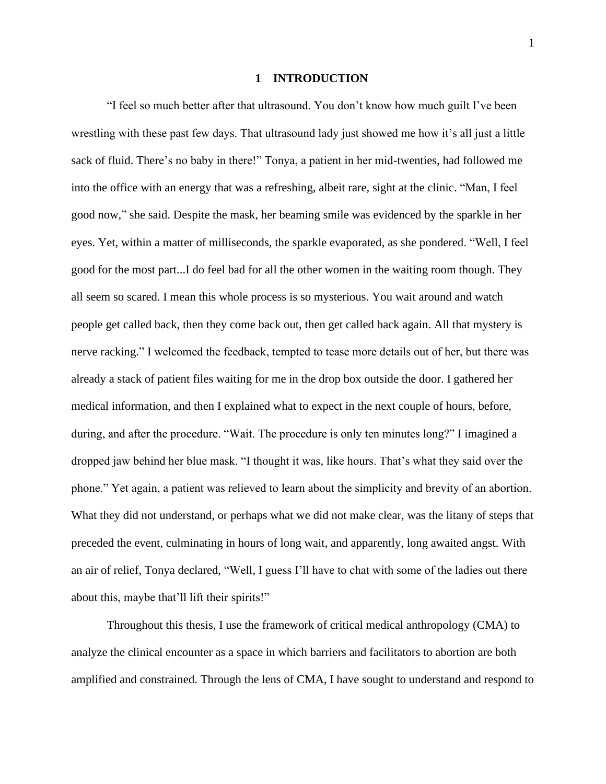#### **1 INTRODUCTION**

<span id="page-12-0"></span>"I feel so much better after that ultrasound. You don't know how much guilt I've been wrestling with these past few days. That ultrasound lady just showed me how it's all just a little sack of fluid. There's no baby in there!" Tonya, a patient in her mid-twenties, had followed me into the office with an energy that was a refreshing, albeit rare, sight at the clinic. "Man, I feel good now," she said. Despite the mask, her beaming smile was evidenced by the sparkle in her eyes. Yet, within a matter of milliseconds, the sparkle evaporated, as she pondered. "Well, I feel good for the most part...I do feel bad for all the other women in the waiting room though. They all seem so scared. I mean this whole process is so mysterious. You wait around and watch people get called back, then they come back out, then get called back again. All that mystery is nerve racking." I welcomed the feedback, tempted to tease more details out of her, but there was already a stack of patient files waiting for me in the drop box outside the door. I gathered her medical information, and then I explained what to expect in the next couple of hours, before, during, and after the procedure. "Wait. The procedure is only ten minutes long?" I imagined a dropped jaw behind her blue mask. "I thought it was, like hours. That's what they said over the phone." Yet again, a patient was relieved to learn about the simplicity and brevity of an abortion. What they did not understand, or perhaps what we did not make clear, was the litany of steps that preceded the event, culminating in hours of long wait, and apparently, long awaited angst. With an air of relief, Tonya declared, "Well, I guess I'll have to chat with some of the ladies out there about this, maybe that'll lift their spirits!"

Throughout this thesis, I use the framework of critical medical anthropology (CMA) to analyze the clinical encounter as a space in which barriers and facilitators to abortion are both amplified and constrained. Through the lens of CMA, I have sought to understand and respond to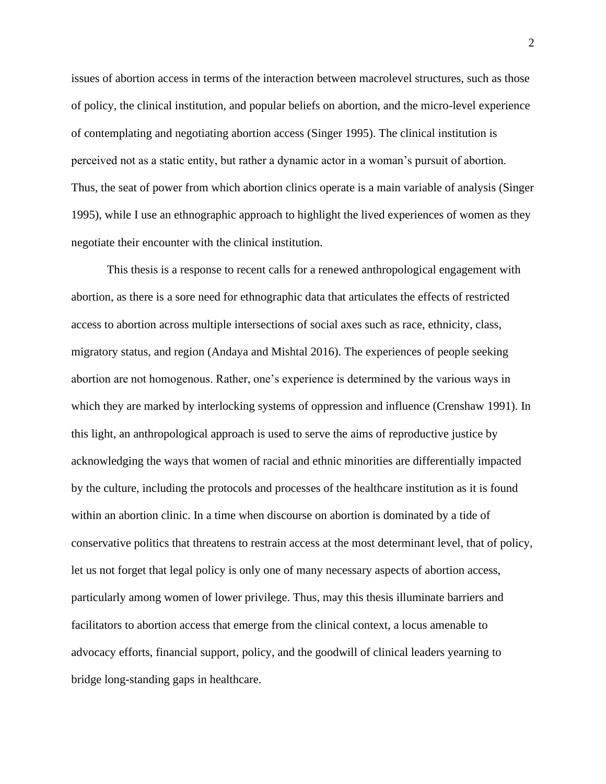issues of abortion access in terms of the interaction between macrolevel structures, such as those of policy, the clinical institution, and popular beliefs on abortion, and the micro-level experience of contemplating and negotiating abortion access (Singer 1995). The clinical institution is perceived not as a static entity, but rather a dynamic actor in a woman's pursuit of abortion. Thus, the seat of power from which abortion clinics operate is a main variable of analysis (Singer 1995), while I use an ethnographic approach to highlight the lived experiences of women as they negotiate their encounter with the clinical institution.

This thesis is a response to recent calls for a renewed anthropological engagement with abortion, as there is a sore need for ethnographic data that articulates the effects of restricted access to abortion across multiple intersections of social axes such as race, ethnicity, class, migratory status, and region (Andaya and Mishtal 2016). The experiences of people seeking abortion are not homogenous. Rather, one's experience is determined by the various ways in which they are marked by interlocking systems of oppression and influence (Crenshaw 1991). In this light, an anthropological approach is used to serve the aims of reproductive justice by acknowledging the ways that women of racial and ethnic minorities are differentially impacted by the culture, including the protocols and processes of the healthcare institution as it is found within an abortion clinic. In a time when discourse on abortion is dominated by a tide of conservative politics that threatens to restrain access at the most determinant level, that of policy, let us not forget that legal policy is only one of many necessary aspects of abortion access, particularly among women of lower privilege. Thus, may this thesis illuminate barriers and facilitators to abortion access that emerge from the clinical context, a locus amenable to advocacy efforts, financial support, policy, and the goodwill of clinical leaders yearning to bridge long-standing gaps in healthcare.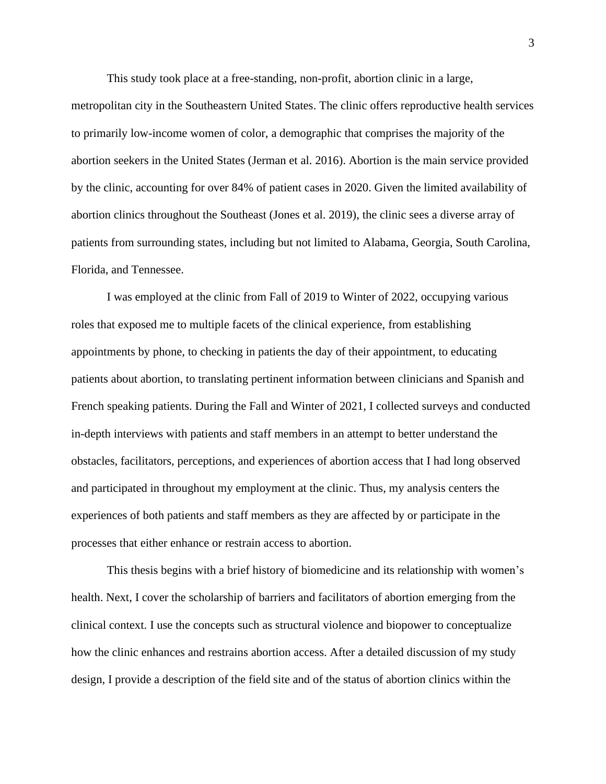This study took place at a free-standing, non-profit, abortion clinic in a large,

metropolitan city in the Southeastern United States. The clinic offers reproductive health services to primarily low-income women of color, a demographic that comprises the majority of the abortion seekers in the United States (Jerman et al. 2016). Abortion is the main service provided by the clinic, accounting for over 84% of patient cases in 2020. Given the limited availability of abortion clinics throughout the Southeast (Jones et al. 2019), the clinic sees a diverse array of patients from surrounding states, including but not limited to Alabama, Georgia, South Carolina, Florida, and Tennessee.

I was employed at the clinic from Fall of 2019 to Winter of 2022, occupying various roles that exposed me to multiple facets of the clinical experience, from establishing appointments by phone, to checking in patients the day of their appointment, to educating patients about abortion, to translating pertinent information between clinicians and Spanish and French speaking patients. During the Fall and Winter of 2021, I collected surveys and conducted in-depth interviews with patients and staff members in an attempt to better understand the obstacles, facilitators, perceptions, and experiences of abortion access that I had long observed and participated in throughout my employment at the clinic. Thus, my analysis centers the experiences of both patients and staff members as they are affected by or participate in the processes that either enhance or restrain access to abortion.

This thesis begins with a brief history of biomedicine and its relationship with women's health. Next, I cover the scholarship of barriers and facilitators of abortion emerging from the clinical context. I use the concepts such as structural violence and biopower to conceptualize how the clinic enhances and restrains abortion access. After a detailed discussion of my study design, I provide a description of the field site and of the status of abortion clinics within the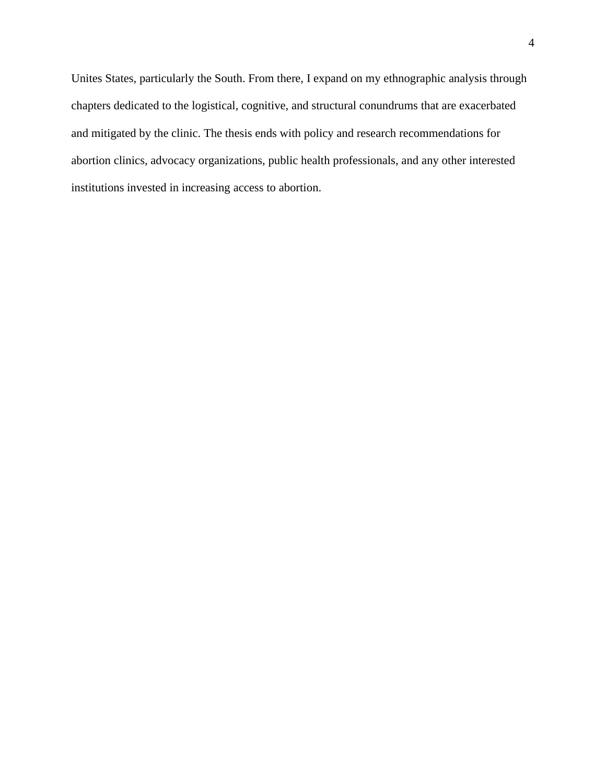Unites States, particularly the South. From there, I expand on my ethnographic analysis through chapters dedicated to the logistical, cognitive, and structural conundrums that are exacerbated and mitigated by the clinic. The thesis ends with policy and research recommendations for abortion clinics, advocacy organizations, public health professionals, and any other interested institutions invested in increasing access to abortion.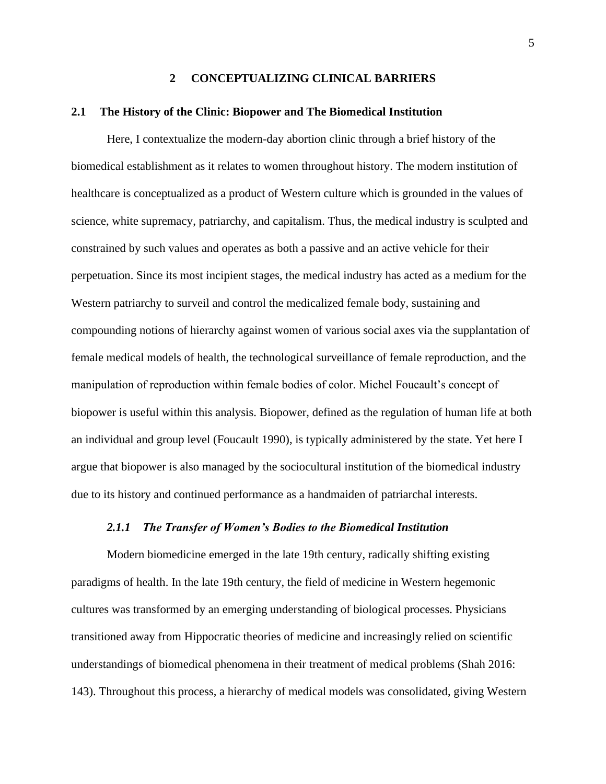#### **2 CONCEPTUALIZING CLINICAL BARRIERS**

#### <span id="page-16-1"></span><span id="page-16-0"></span>**2.1 The History of the Clinic: Biopower and The Biomedical Institution**

Here, I contextualize the modern-day abortion clinic through a brief history of the biomedical establishment as it relates to women throughout history. The modern institution of healthcare is conceptualized as a product of Western culture which is grounded in the values of science, white supremacy, patriarchy, and capitalism. Thus, the medical industry is sculpted and constrained by such values and operates as both a passive and an active vehicle for their perpetuation. Since its most incipient stages, the medical industry has acted as a medium for the Western patriarchy to surveil and control the medicalized female body, sustaining and compounding notions of hierarchy against women of various social axes via the supplantation of female medical models of health, the technological surveillance of female reproduction, and the manipulation of reproduction within female bodies of color. Michel Foucault's concept of biopower is useful within this analysis. Biopower, defined as the regulation of human life at both an individual and group level (Foucault 1990), is typically administered by the state. Yet here I argue that biopower is also managed by the sociocultural institution of the biomedical industry due to its history and continued performance as a handmaiden of patriarchal interests.

#### *2.1.1 The Transfer of Women's Bodies to the Biomedical Institution*

<span id="page-16-2"></span>Modern biomedicine emerged in the late 19th century, radically shifting existing paradigms of health. In the late 19th century, the field of medicine in Western hegemonic cultures was transformed by an emerging understanding of biological processes. Physicians transitioned away from Hippocratic theories of medicine and increasingly relied on scientific understandings of biomedical phenomena in their treatment of medical problems (Shah 2016: 143). Throughout this process, a hierarchy of medical models was consolidated, giving Western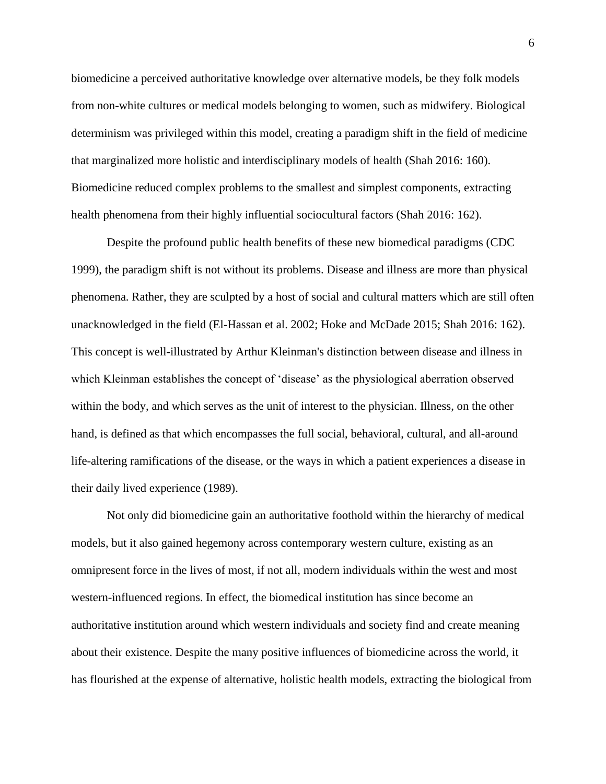biomedicine a perceived authoritative knowledge over alternative models, be they folk models from non-white cultures or medical models belonging to women, such as midwifery. Biological determinism was privileged within this model, creating a paradigm shift in the field of medicine that marginalized more holistic and interdisciplinary models of health (Shah 2016: 160). Biomedicine reduced complex problems to the smallest and simplest components, extracting health phenomena from their highly influential sociocultural factors (Shah 2016: 162).

Despite the profound public health benefits of these new biomedical paradigms (CDC 1999), the paradigm shift is not without its problems. Disease and illness are more than physical phenomena. Rather, they are sculpted by a host of social and cultural matters which are still often unacknowledged in the field (El-Hassan et al. 2002; Hoke and McDade 2015; Shah 2016: 162). This concept is well-illustrated by Arthur Kleinman's distinction between disease and illness in which Kleinman establishes the concept of 'disease' as the physiological aberration observed within the body, and which serves as the unit of interest to the physician. Illness, on the other hand, is defined as that which encompasses the full social, behavioral, cultural, and all-around life-altering ramifications of the disease, or the ways in which a patient experiences a disease in their daily lived experience (1989).

Not only did biomedicine gain an authoritative foothold within the hierarchy of medical models, but it also gained hegemony across contemporary western culture, existing as an omnipresent force in the lives of most, if not all, modern individuals within the west and most western-influenced regions. In effect, the biomedical institution has since become an authoritative institution around which western individuals and society find and create meaning about their existence. Despite the many positive influences of biomedicine across the world, it has flourished at the expense of alternative, holistic health models, extracting the biological from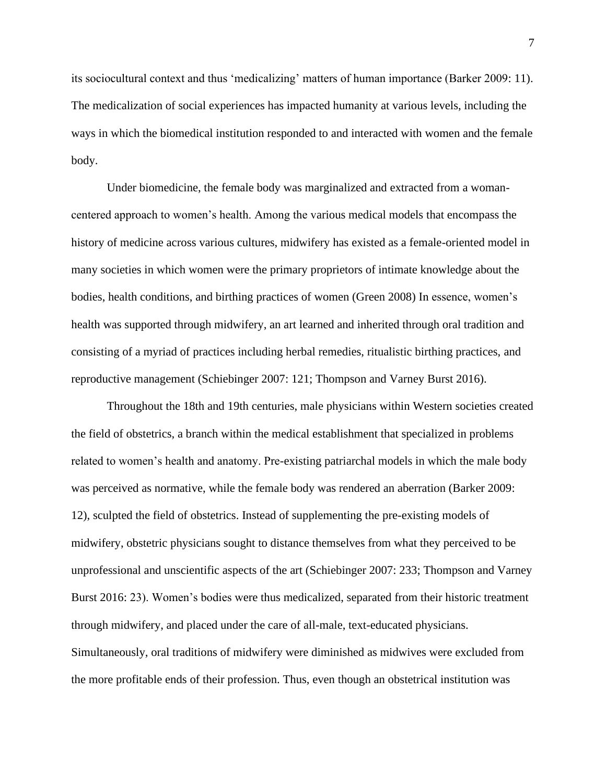its sociocultural context and thus 'medicalizing' matters of human importance (Barker 2009: 11). The medicalization of social experiences has impacted humanity at various levels, including the ways in which the biomedical institution responded to and interacted with women and the female body.

Under biomedicine, the female body was marginalized and extracted from a womancentered approach to women's health. Among the various medical models that encompass the history of medicine across various cultures, midwifery has existed as a female-oriented model in many societies in which women were the primary proprietors of intimate knowledge about the bodies, health conditions, and birthing practices of women (Green 2008) In essence, women's health was supported through midwifery, an art learned and inherited through oral tradition and consisting of a myriad of practices including herbal remedies, ritualistic birthing practices, and reproductive management (Schiebinger 2007: 121; Thompson and Varney Burst 2016).

Throughout the 18th and 19th centuries, male physicians within Western societies created the field of obstetrics, a branch within the medical establishment that specialized in problems related to women's health and anatomy. Pre-existing patriarchal models in which the male body was perceived as normative, while the female body was rendered an aberration (Barker 2009: 12), sculpted the field of obstetrics. Instead of supplementing the pre-existing models of midwifery, obstetric physicians sought to distance themselves from what they perceived to be unprofessional and unscientific aspects of the art (Schiebinger 2007: 233; Thompson and Varney Burst 2016: 23). Women's bodies were thus medicalized, separated from their historic treatment through midwifery, and placed under the care of all-male, text-educated physicians. Simultaneously, oral traditions of midwifery were diminished as midwives were excluded from the more profitable ends of their profession. Thus, even though an obstetrical institution was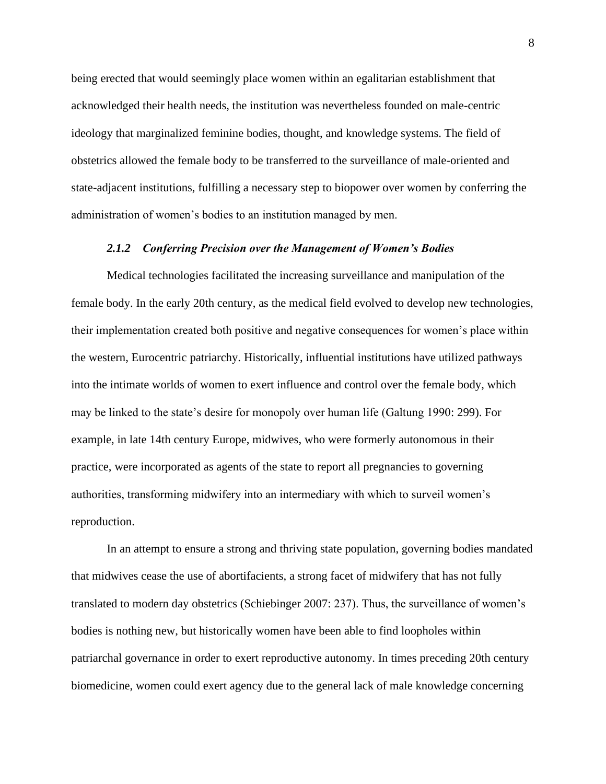being erected that would seemingly place women within an egalitarian establishment that acknowledged their health needs, the institution was nevertheless founded on male-centric ideology that marginalized feminine bodies, thought, and knowledge systems. The field of obstetrics allowed the female body to be transferred to the surveillance of male-oriented and state-adjacent institutions, fulfilling a necessary step to biopower over women by conferring the administration of women's bodies to an institution managed by men.

#### *2.1.2 Conferring Precision over the Management of Women's Bodies*

<span id="page-19-0"></span>Medical technologies facilitated the increasing surveillance and manipulation of the female body. In the early 20th century, as the medical field evolved to develop new technologies, their implementation created both positive and negative consequences for women's place within the western, Eurocentric patriarchy. Historically, influential institutions have utilized pathways into the intimate worlds of women to exert influence and control over the female body, which may be linked to the state's desire for monopoly over human life (Galtung 1990: 299). For example, in late 14th century Europe, midwives, who were formerly autonomous in their practice, were incorporated as agents of the state to report all pregnancies to governing authorities, transforming midwifery into an intermediary with which to surveil women's reproduction.

In an attempt to ensure a strong and thriving state population, governing bodies mandated that midwives cease the use of abortifacients, a strong facet of midwifery that has not fully translated to modern day obstetrics (Schiebinger 2007: 237). Thus, the surveillance of women's bodies is nothing new, but historically women have been able to find loopholes within patriarchal governance in order to exert reproductive autonomy. In times preceding 20th century biomedicine, women could exert agency due to the general lack of male knowledge concerning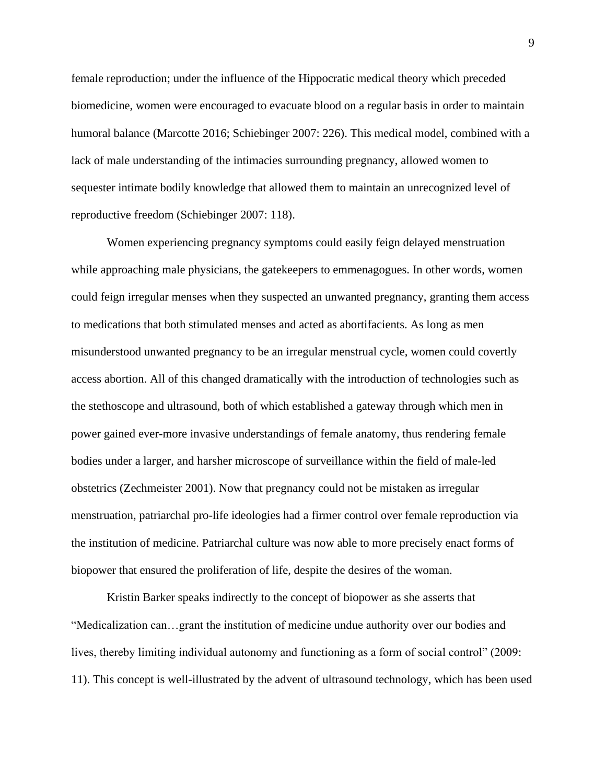female reproduction; under the influence of the Hippocratic medical theory which preceded biomedicine, women were encouraged to evacuate blood on a regular basis in order to maintain humoral balance (Marcotte 2016; Schiebinger 2007: 226). This medical model, combined with a lack of male understanding of the intimacies surrounding pregnancy, allowed women to sequester intimate bodily knowledge that allowed them to maintain an unrecognized level of reproductive freedom (Schiebinger 2007: 118).

Women experiencing pregnancy symptoms could easily feign delayed menstruation while approaching male physicians, the gatekeepers to emmenagogues. In other words, women could feign irregular menses when they suspected an unwanted pregnancy, granting them access to medications that both stimulated menses and acted as abortifacients. As long as men misunderstood unwanted pregnancy to be an irregular menstrual cycle, women could covertly access abortion. All of this changed dramatically with the introduction of technologies such as the stethoscope and ultrasound, both of which established a gateway through which men in power gained ever-more invasive understandings of female anatomy, thus rendering female bodies under a larger, and harsher microscope of surveillance within the field of male-led obstetrics (Zechmeister 2001). Now that pregnancy could not be mistaken as irregular menstruation, patriarchal pro-life ideologies had a firmer control over female reproduction via the institution of medicine. Patriarchal culture was now able to more precisely enact forms of biopower that ensured the proliferation of life, despite the desires of the woman.

Kristin Barker speaks indirectly to the concept of biopower as she asserts that "Medicalization can…grant the institution of medicine undue authority over our bodies and lives, thereby limiting individual autonomy and functioning as a form of social control" (2009: 11). This concept is well-illustrated by the advent of ultrasound technology, which has been used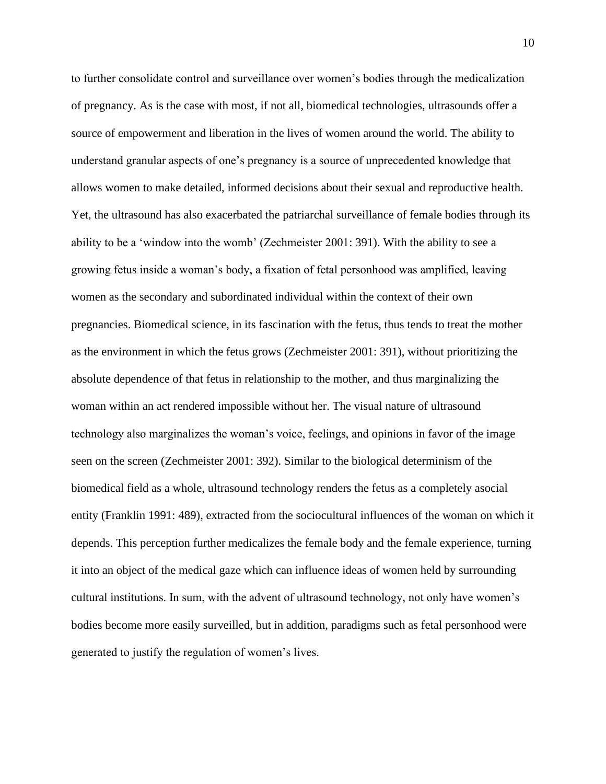to further consolidate control and surveillance over women's bodies through the medicalization of pregnancy. As is the case with most, if not all, biomedical technologies, ultrasounds offer a source of empowerment and liberation in the lives of women around the world. The ability to understand granular aspects of one's pregnancy is a source of unprecedented knowledge that allows women to make detailed, informed decisions about their sexual and reproductive health. Yet, the ultrasound has also exacerbated the patriarchal surveillance of female bodies through its ability to be a 'window into the womb' (Zechmeister 2001: 391). With the ability to see a growing fetus inside a woman's body, a fixation of fetal personhood was amplified, leaving women as the secondary and subordinated individual within the context of their own pregnancies. Biomedical science, in its fascination with the fetus, thus tends to treat the mother as the environment in which the fetus grows (Zechmeister 2001: 391), without prioritizing the absolute dependence of that fetus in relationship to the mother, and thus marginalizing the woman within an act rendered impossible without her. The visual nature of ultrasound technology also marginalizes the woman's voice, feelings, and opinions in favor of the image seen on the screen (Zechmeister 2001: 392). Similar to the biological determinism of the biomedical field as a whole, ultrasound technology renders the fetus as a completely asocial entity (Franklin 1991: 489), extracted from the sociocultural influences of the woman on which it depends. This perception further medicalizes the female body and the female experience, turning it into an object of the medical gaze which can influence ideas of women held by surrounding cultural institutions. In sum, with the advent of ultrasound technology, not only have women's bodies become more easily surveilled, but in addition, paradigms such as fetal personhood were generated to justify the regulation of women's lives.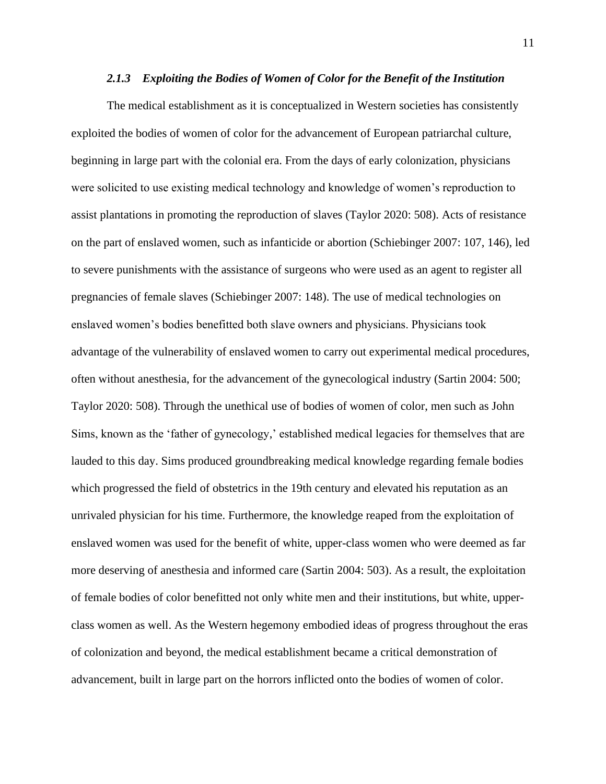#### *2.1.3 Exploiting the Bodies of Women of Color for the Benefit of the Institution*

<span id="page-22-0"></span>The medical establishment as it is conceptualized in Western societies has consistently exploited the bodies of women of color for the advancement of European patriarchal culture, beginning in large part with the colonial era. From the days of early colonization, physicians were solicited to use existing medical technology and knowledge of women's reproduction to assist plantations in promoting the reproduction of slaves (Taylor 2020: 508). Acts of resistance on the part of enslaved women, such as infanticide or abortion (Schiebinger 2007: 107, 146), led to severe punishments with the assistance of surgeons who were used as an agent to register all pregnancies of female slaves (Schiebinger 2007: 148). The use of medical technologies on enslaved women's bodies benefitted both slave owners and physicians. Physicians took advantage of the vulnerability of enslaved women to carry out experimental medical procedures, often without anesthesia, for the advancement of the gynecological industry (Sartin 2004: 500; Taylor 2020: 508). Through the unethical use of bodies of women of color, men such as John Sims, known as the 'father of gynecology,' established medical legacies for themselves that are lauded to this day. Sims produced groundbreaking medical knowledge regarding female bodies which progressed the field of obstetrics in the 19th century and elevated his reputation as an unrivaled physician for his time. Furthermore, the knowledge reaped from the exploitation of enslaved women was used for the benefit of white, upper-class women who were deemed as far more deserving of anesthesia and informed care (Sartin 2004: 503). As a result, the exploitation of female bodies of color benefitted not only white men and their institutions, but white, upperclass women as well. As the Western hegemony embodied ideas of progress throughout the eras of colonization and beyond, the medical establishment became a critical demonstration of advancement, built in large part on the horrors inflicted onto the bodies of women of color.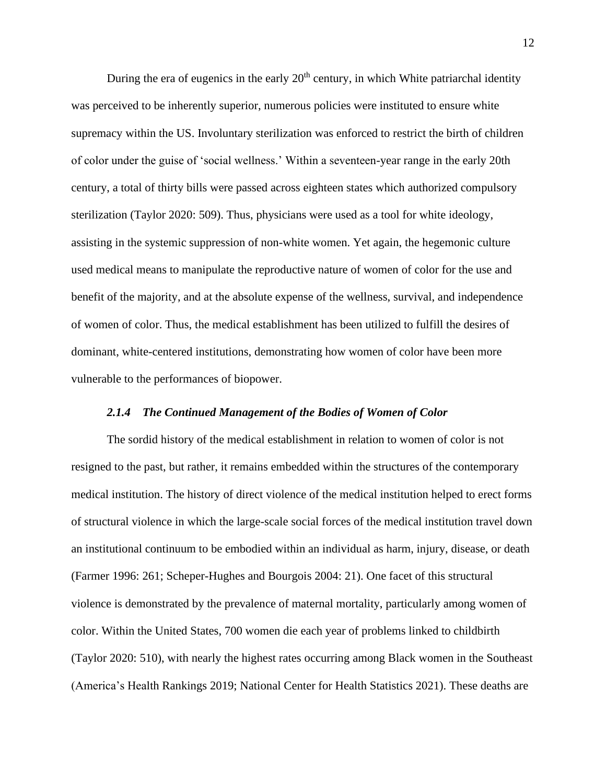During the era of eugenics in the early  $20<sup>th</sup>$  century, in which White patriarchal identity was perceived to be inherently superior, numerous policies were instituted to ensure white supremacy within the US. Involuntary sterilization was enforced to restrict the birth of children of color under the guise of 'social wellness.' Within a seventeen-year range in the early 20th century, a total of thirty bills were passed across eighteen states which authorized compulsory sterilization (Taylor 2020: 509). Thus, physicians were used as a tool for white ideology, assisting in the systemic suppression of non-white women. Yet again, the hegemonic culture used medical means to manipulate the reproductive nature of women of color for the use and benefit of the majority, and at the absolute expense of the wellness, survival, and independence of women of color. Thus, the medical establishment has been utilized to fulfill the desires of dominant, white-centered institutions, demonstrating how women of color have been more vulnerable to the performances of biopower.

#### *2.1.4 The Continued Management of the Bodies of Women of Color*

<span id="page-23-0"></span>The sordid history of the medical establishment in relation to women of color is not resigned to the past, but rather, it remains embedded within the structures of the contemporary medical institution. The history of direct violence of the medical institution helped to erect forms of structural violence in which the large-scale social forces of the medical institution travel down an institutional continuum to be embodied within an individual as harm, injury, disease, or death (Farmer 1996: 261; Scheper-Hughes and Bourgois 2004: 21). One facet of this structural violence is demonstrated by the prevalence of maternal mortality, particularly among women of color. Within the United States, 700 women die each year of problems linked to childbirth (Taylor 2020: 510), with nearly the highest rates occurring among Black women in the Southeast (America's Health Rankings 2019; National Center for Health Statistics 2021). These deaths are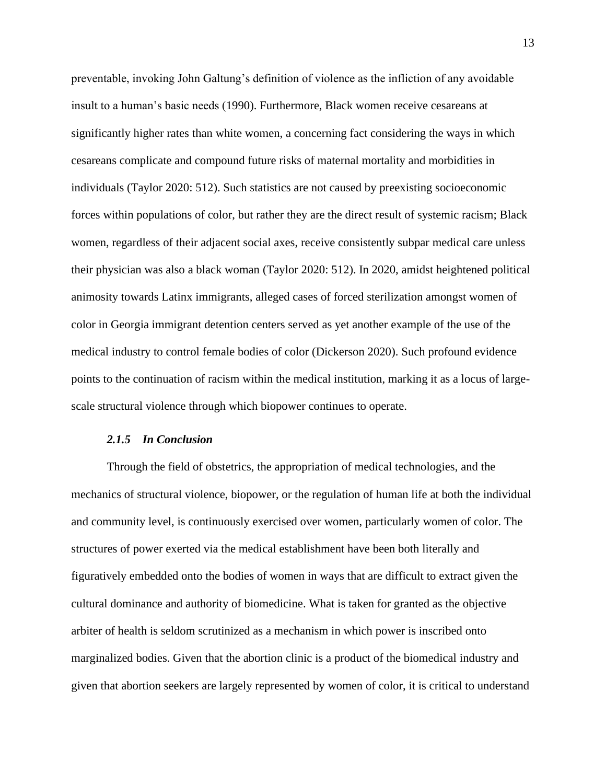preventable, invoking John Galtung's definition of violence as the infliction of any avoidable insult to a human's basic needs (1990). Furthermore, Black women receive cesareans at significantly higher rates than white women, a concerning fact considering the ways in which cesareans complicate and compound future risks of maternal mortality and morbidities in individuals (Taylor 2020: 512). Such statistics are not caused by preexisting socioeconomic forces within populations of color, but rather they are the direct result of systemic racism; Black women, regardless of their adjacent social axes, receive consistently subpar medical care unless their physician was also a black woman (Taylor 2020: 512). In 2020, amidst heightened political animosity towards Latinx immigrants, alleged cases of forced sterilization amongst women of color in Georgia immigrant detention centers served as yet another example of the use of the medical industry to control female bodies of color (Dickerson 2020). Such profound evidence points to the continuation of racism within the medical institution, marking it as a locus of largescale structural violence through which biopower continues to operate.

#### *2.1.5 In Conclusion*

<span id="page-24-0"></span>Through the field of obstetrics, the appropriation of medical technologies, and the mechanics of structural violence, biopower, or the regulation of human life at both the individual and community level, is continuously exercised over women, particularly women of color. The structures of power exerted via the medical establishment have been both literally and figuratively embedded onto the bodies of women in ways that are difficult to extract given the cultural dominance and authority of biomedicine. What is taken for granted as the objective arbiter of health is seldom scrutinized as a mechanism in which power is inscribed onto marginalized bodies. Given that the abortion clinic is a product of the biomedical industry and given that abortion seekers are largely represented by women of color, it is critical to understand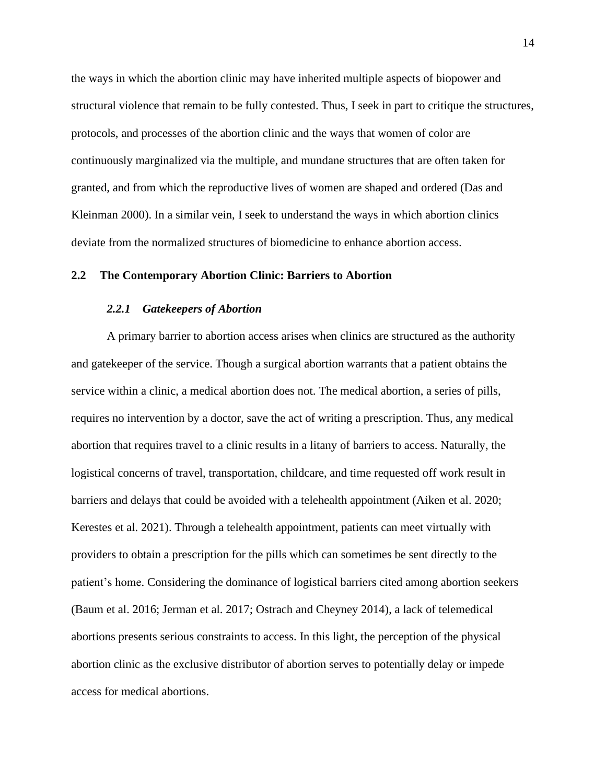the ways in which the abortion clinic may have inherited multiple aspects of biopower and structural violence that remain to be fully contested. Thus, I seek in part to critique the structures, protocols, and processes of the abortion clinic and the ways that women of color are continuously marginalized via the multiple, and mundane structures that are often taken for granted, and from which the reproductive lives of women are shaped and ordered (Das and Kleinman 2000). In a similar vein, I seek to understand the ways in which abortion clinics deviate from the normalized structures of biomedicine to enhance abortion access.

#### <span id="page-25-1"></span><span id="page-25-0"></span>**2.2 The Contemporary Abortion Clinic: Barriers to Abortion**

#### *2.2.1 Gatekeepers of Abortion*

A primary barrier to abortion access arises when clinics are structured as the authority and gatekeeper of the service. Though a surgical abortion warrants that a patient obtains the service within a clinic, a medical abortion does not. The medical abortion, a series of pills, requires no intervention by a doctor, save the act of writing a prescription. Thus, any medical abortion that requires travel to a clinic results in a litany of barriers to access. Naturally, the logistical concerns of travel, transportation, childcare, and time requested off work result in barriers and delays that could be avoided with a telehealth appointment (Aiken et al. 2020; Kerestes et al. 2021). Through a telehealth appointment, patients can meet virtually with providers to obtain a prescription for the pills which can sometimes be sent directly to the patient's home. Considering the dominance of logistical barriers cited among abortion seekers (Baum et al. 2016; Jerman et al. 2017; Ostrach and Cheyney 2014), a lack of telemedical abortions presents serious constraints to access. In this light, the perception of the physical abortion clinic as the exclusive distributor of abortion serves to potentially delay or impede access for medical abortions.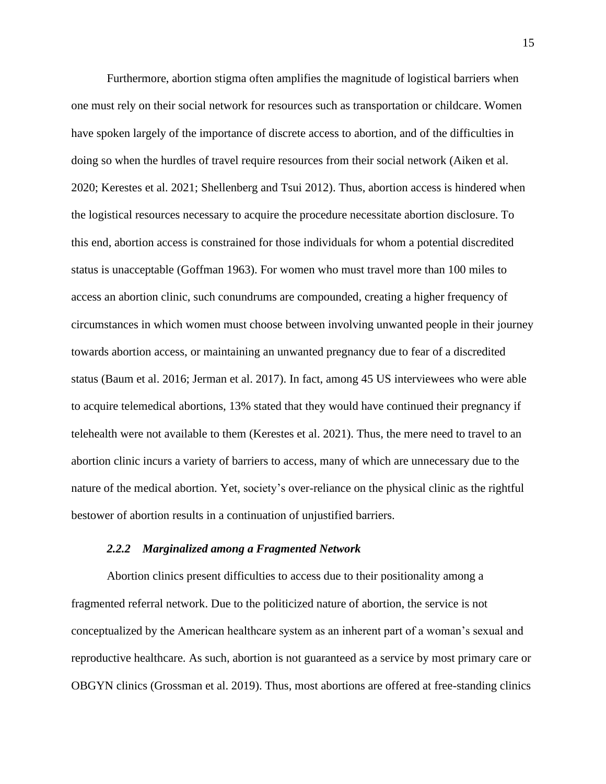Furthermore, abortion stigma often amplifies the magnitude of logistical barriers when one must rely on their social network for resources such as transportation or childcare. Women have spoken largely of the importance of discrete access to abortion, and of the difficulties in doing so when the hurdles of travel require resources from their social network (Aiken et al. 2020; Kerestes et al. 2021; Shellenberg and Tsui 2012). Thus, abortion access is hindered when the logistical resources necessary to acquire the procedure necessitate abortion disclosure. To this end, abortion access is constrained for those individuals for whom a potential discredited status is unacceptable (Goffman 1963). For women who must travel more than 100 miles to access an abortion clinic, such conundrums are compounded, creating a higher frequency of circumstances in which women must choose between involving unwanted people in their journey towards abortion access, or maintaining an unwanted pregnancy due to fear of a discredited status (Baum et al. 2016; Jerman et al. 2017). In fact, among 45 US interviewees who were able to acquire telemedical abortions, 13% stated that they would have continued their pregnancy if telehealth were not available to them (Kerestes et al. 2021). Thus, the mere need to travel to an abortion clinic incurs a variety of barriers to access, many of which are unnecessary due to the nature of the medical abortion. Yet, society's over-reliance on the physical clinic as the rightful bestower of abortion results in a continuation of unjustified barriers.

#### *2.2.2 Marginalized among a Fragmented Network*

<span id="page-26-0"></span>Abortion clinics present difficulties to access due to their positionality among a fragmented referral network. Due to the politicized nature of abortion, the service is not conceptualized by the American healthcare system as an inherent part of a woman's sexual and reproductive healthcare. As such, abortion is not guaranteed as a service by most primary care or OBGYN clinics (Grossman et al. 2019). Thus, most abortions are offered at free-standing clinics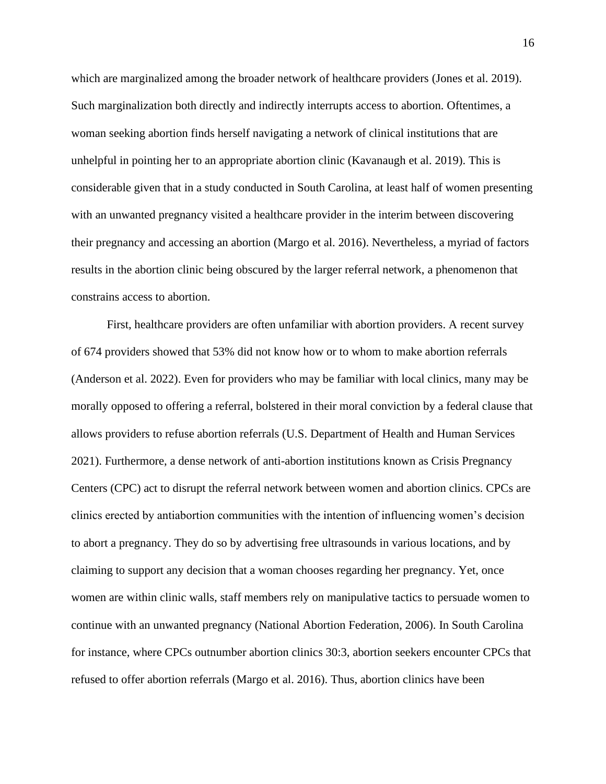which are marginalized among the broader network of healthcare providers (Jones et al. 2019). Such marginalization both directly and indirectly interrupts access to abortion. Oftentimes, a woman seeking abortion finds herself navigating a network of clinical institutions that are unhelpful in pointing her to an appropriate abortion clinic (Kavanaugh et al. 2019). This is considerable given that in a study conducted in South Carolina, at least half of women presenting with an unwanted pregnancy visited a healthcare provider in the interim between discovering their pregnancy and accessing an abortion (Margo et al. 2016). Nevertheless, a myriad of factors results in the abortion clinic being obscured by the larger referral network, a phenomenon that constrains access to abortion.

First, healthcare providers are often unfamiliar with abortion providers. A recent survey of 674 providers showed that 53% did not know how or to whom to make abortion referrals (Anderson et al. 2022). Even for providers who may be familiar with local clinics, many may be morally opposed to offering a referral, bolstered in their moral conviction by a federal clause that allows providers to refuse abortion referrals (U.S. Department of Health and Human Services 2021). Furthermore, a dense network of anti-abortion institutions known as Crisis Pregnancy Centers (CPC) act to disrupt the referral network between women and abortion clinics. CPCs are clinics erected by antiabortion communities with the intention of influencing women's decision to abort a pregnancy. They do so by advertising free ultrasounds in various locations, and by claiming to support any decision that a woman chooses regarding her pregnancy. Yet, once women are within clinic walls, staff members rely on manipulative tactics to persuade women to continue with an unwanted pregnancy (National Abortion Federation, 2006). In South Carolina for instance, where CPCs outnumber abortion clinics 30:3, abortion seekers encounter CPCs that refused to offer abortion referrals (Margo et al. 2016). Thus, abortion clinics have been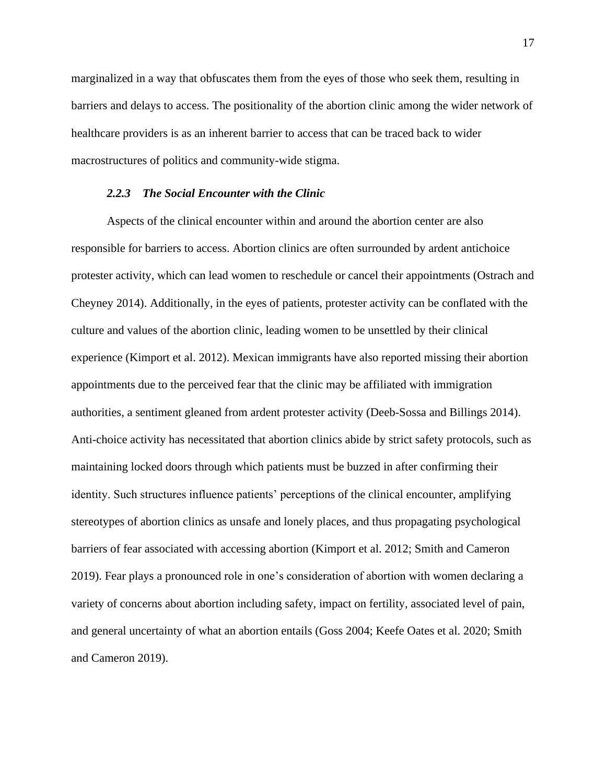marginalized in a way that obfuscates them from the eyes of those who seek them, resulting in barriers and delays to access. The positionality of the abortion clinic among the wider network of healthcare providers is as an inherent barrier to access that can be traced back to wider macrostructures of politics and community-wide stigma.

#### *2.2.3 The Social Encounter with the Clinic*

<span id="page-28-0"></span>Aspects of the clinical encounter within and around the abortion center are also responsible for barriers to access. Abortion clinics are often surrounded by ardent antichoice protester activity, which can lead women to reschedule or cancel their appointments (Ostrach and Cheyney 2014). Additionally, in the eyes of patients, protester activity can be conflated with the culture and values of the abortion clinic, leading women to be unsettled by their clinical experience (Kimport et al. 2012). Mexican immigrants have also reported missing their abortion appointments due to the perceived fear that the clinic may be affiliated with immigration authorities, a sentiment gleaned from ardent protester activity (Deeb-Sossa and Billings 2014). Anti-choice activity has necessitated that abortion clinics abide by strict safety protocols, such as maintaining locked doors through which patients must be buzzed in after confirming their identity. Such structures influence patients' perceptions of the clinical encounter, amplifying stereotypes of abortion clinics as unsafe and lonely places, and thus propagating psychological barriers of fear associated with accessing abortion (Kimport et al. 2012; Smith and Cameron 2019). Fear plays a pronounced role in one's consideration of abortion with women declaring a variety of concerns about abortion including safety, impact on fertility, associated level of pain, and general uncertainty of what an abortion entails (Goss 2004; Keefe Oates et al. 2020; Smith and Cameron 2019).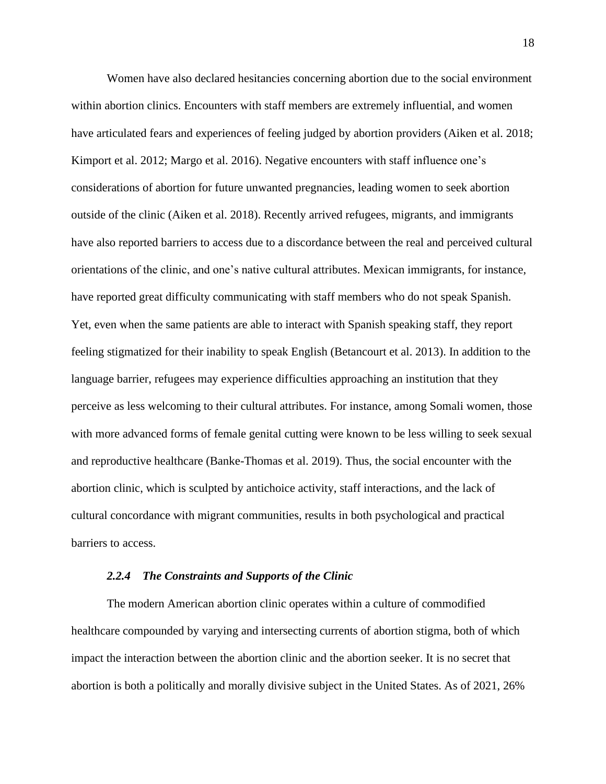Women have also declared hesitancies concerning abortion due to the social environment within abortion clinics. Encounters with staff members are extremely influential, and women have articulated fears and experiences of feeling judged by abortion providers (Aiken et al. 2018; Kimport et al. 2012; Margo et al. 2016). Negative encounters with staff influence one's considerations of abortion for future unwanted pregnancies, leading women to seek abortion outside of the clinic (Aiken et al. 2018). Recently arrived refugees, migrants, and immigrants have also reported barriers to access due to a discordance between the real and perceived cultural orientations of the clinic, and one's native cultural attributes. Mexican immigrants, for instance, have reported great difficulty communicating with staff members who do not speak Spanish. Yet, even when the same patients are able to interact with Spanish speaking staff, they report feeling stigmatized for their inability to speak English (Betancourt et al. 2013). In addition to the language barrier, refugees may experience difficulties approaching an institution that they perceive as less welcoming to their cultural attributes. For instance, among Somali women, those with more advanced forms of female genital cutting were known to be less willing to seek sexual and reproductive healthcare (Banke-Thomas et al. 2019). Thus, the social encounter with the abortion clinic, which is sculpted by antichoice activity, staff interactions, and the lack of cultural concordance with migrant communities, results in both psychological and practical barriers to access.

#### *2.2.4 The Constraints and Supports of the Clinic*

<span id="page-29-0"></span>The modern American abortion clinic operates within a culture of commodified healthcare compounded by varying and intersecting currents of abortion stigma, both of which impact the interaction between the abortion clinic and the abortion seeker. It is no secret that abortion is both a politically and morally divisive subject in the United States. As of 2021, 26%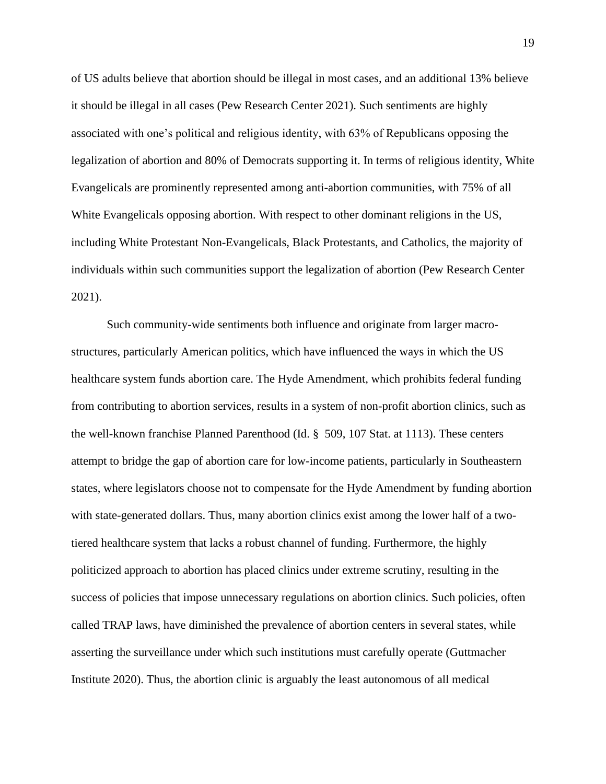of US adults believe that abortion should be illegal in most cases, and an additional 13% believe it should be illegal in all cases (Pew Research Center 2021). Such sentiments are highly associated with one's political and religious identity, with 63% of Republicans opposing the legalization of abortion and 80% of Democrats supporting it. In terms of religious identity, White Evangelicals are prominently represented among anti-abortion communities, with 75% of all White Evangelicals opposing abortion. With respect to other dominant religions in the US, including White Protestant Non-Evangelicals, Black Protestants, and Catholics, the majority of individuals within such communities support the legalization of abortion (Pew Research Center 2021).

Such community-wide sentiments both influence and originate from larger macrostructures, particularly American politics, which have influenced the ways in which the US healthcare system funds abortion care. The Hyde Amendment, which prohibits federal funding from contributing to abortion services, results in a system of non-profit abortion clinics, such as the well-known franchise Planned Parenthood (Id. § 509, 107 Stat. at 1113). These centers attempt to bridge the gap of abortion care for low-income patients, particularly in Southeastern states, where legislators choose not to compensate for the Hyde Amendment by funding abortion with state-generated dollars. Thus, many abortion clinics exist among the lower half of a twotiered healthcare system that lacks a robust channel of funding. Furthermore, the highly politicized approach to abortion has placed clinics under extreme scrutiny, resulting in the success of policies that impose unnecessary regulations on abortion clinics. Such policies, often called TRAP laws, have diminished the prevalence of abortion centers in several states, while asserting the surveillance under which such institutions must carefully operate (Guttmacher Institute 2020). Thus, the abortion clinic is arguably the least autonomous of all medical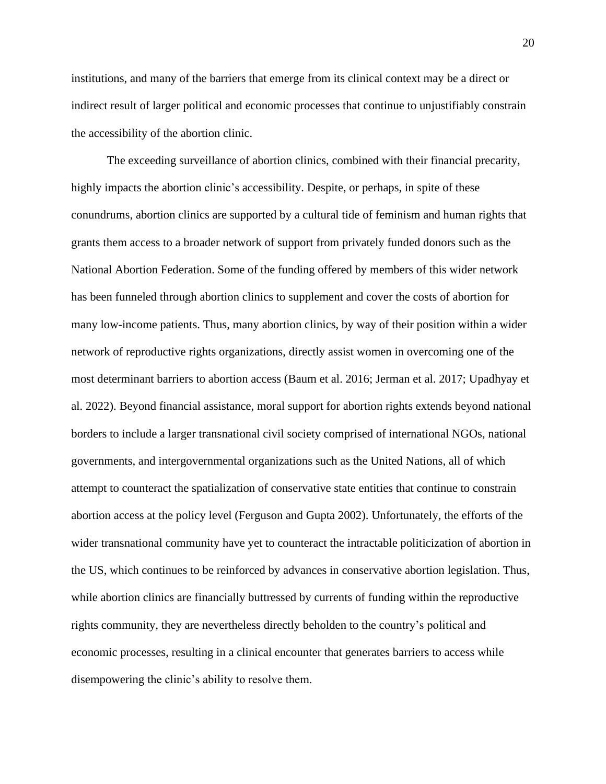institutions, and many of the barriers that emerge from its clinical context may be a direct or indirect result of larger political and economic processes that continue to unjustifiably constrain the accessibility of the abortion clinic.

The exceeding surveillance of abortion clinics, combined with their financial precarity, highly impacts the abortion clinic's accessibility. Despite, or perhaps, in spite of these conundrums, abortion clinics are supported by a cultural tide of feminism and human rights that grants them access to a broader network of support from privately funded donors such as the National Abortion Federation. Some of the funding offered by members of this wider network has been funneled through abortion clinics to supplement and cover the costs of abortion for many low-income patients. Thus, many abortion clinics, by way of their position within a wider network of reproductive rights organizations, directly assist women in overcoming one of the most determinant barriers to abortion access (Baum et al. 2016; Jerman et al. 2017; Upadhyay et al. 2022). Beyond financial assistance, moral support for abortion rights extends beyond national borders to include a larger transnational civil society comprised of international NGOs, national governments, and intergovernmental organizations such as the United Nations, all of which attempt to counteract the spatialization of conservative state entities that continue to constrain abortion access at the policy level (Ferguson and Gupta 2002). Unfortunately, the efforts of the wider transnational community have yet to counteract the intractable politicization of abortion in the US, which continues to be reinforced by advances in conservative abortion legislation. Thus, while abortion clinics are financially buttressed by currents of funding within the reproductive rights community, they are nevertheless directly beholden to the country's political and economic processes, resulting in a clinical encounter that generates barriers to access while disempowering the clinic's ability to resolve them.

20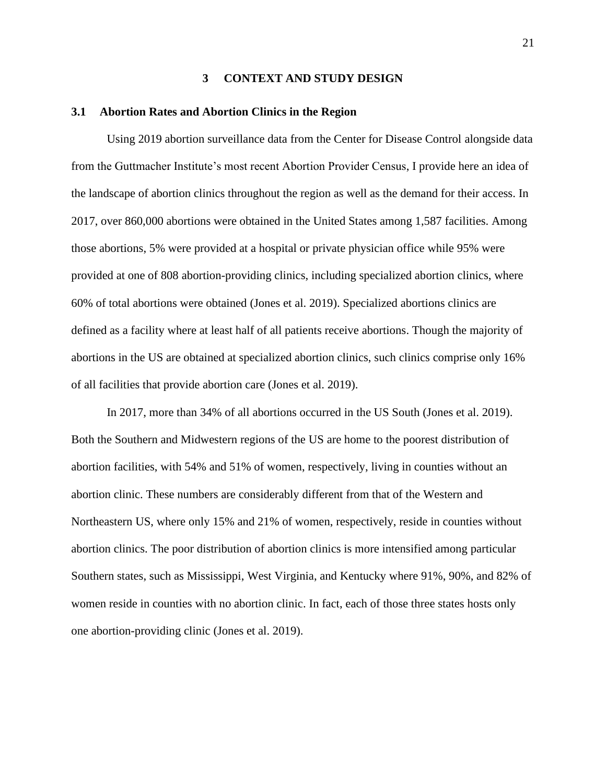#### **3 CONTEXT AND STUDY DESIGN**

#### <span id="page-32-1"></span><span id="page-32-0"></span>**3.1 Abortion Rates and Abortion Clinics in the Region**

Using 2019 abortion surveillance data from the Center for Disease Control alongside data from the Guttmacher Institute's most recent Abortion Provider Census, I provide here an idea of the landscape of abortion clinics throughout the region as well as the demand for their access. In 2017, over 860,000 abortions were obtained in the United States among 1,587 facilities. Among those abortions, 5% were provided at a hospital or private physician office while 95% were provided at one of 808 abortion-providing clinics, including specialized abortion clinics, where 60% of total abortions were obtained (Jones et al. 2019). Specialized abortions clinics are defined as a facility where at least half of all patients receive abortions. Though the majority of abortions in the US are obtained at specialized abortion clinics, such clinics comprise only 16% of all facilities that provide abortion care (Jones et al. 2019).

In 2017, more than 34% of all abortions occurred in the US South (Jones et al. 2019). Both the Southern and Midwestern regions of the US are home to the poorest distribution of abortion facilities, with 54% and 51% of women, respectively, living in counties without an abortion clinic. These numbers are considerably different from that of the Western and Northeastern US, where only 15% and 21% of women, respectively, reside in counties without abortion clinics. The poor distribution of abortion clinics is more intensified among particular Southern states, such as Mississippi, West Virginia, and Kentucky where 91%, 90%, and 82% of women reside in counties with no abortion clinic. In fact, each of those three states hosts only one abortion-providing clinic (Jones et al. 2019).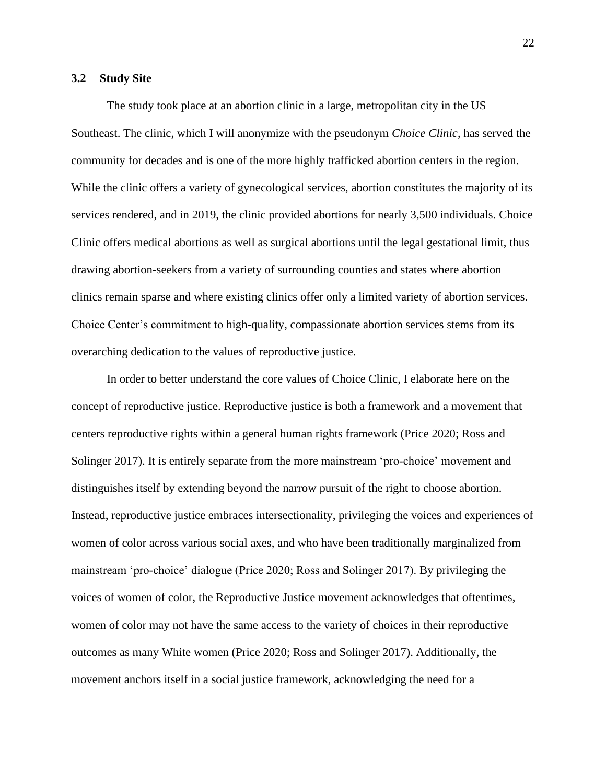#### <span id="page-33-0"></span>**3.2 Study Site**

The study took place at an abortion clinic in a large, metropolitan city in the US Southeast. The clinic, which I will anonymize with the pseudonym *Choice Clinic*, has served the community for decades and is one of the more highly trafficked abortion centers in the region. While the clinic offers a variety of gynecological services, abortion constitutes the majority of its services rendered, and in 2019, the clinic provided abortions for nearly 3,500 individuals. Choice Clinic offers medical abortions as well as surgical abortions until the legal gestational limit, thus drawing abortion-seekers from a variety of surrounding counties and states where abortion clinics remain sparse and where existing clinics offer only a limited variety of abortion services. Choice Center's commitment to high-quality, compassionate abortion services stems from its overarching dedication to the values of reproductive justice.

In order to better understand the core values of Choice Clinic, I elaborate here on the concept of reproductive justice. Reproductive justice is both a framework and a movement that centers reproductive rights within a general human rights framework (Price 2020; Ross and Solinger 2017). It is entirely separate from the more mainstream 'pro-choice' movement and distinguishes itself by extending beyond the narrow pursuit of the right to choose abortion. Instead, reproductive justice embraces intersectionality, privileging the voices and experiences of women of color across various social axes, and who have been traditionally marginalized from mainstream 'pro-choice' dialogue (Price 2020; Ross and Solinger 2017). By privileging the voices of women of color, the Reproductive Justice movement acknowledges that oftentimes, women of color may not have the same access to the variety of choices in their reproductive outcomes as many White women (Price 2020; Ross and Solinger 2017). Additionally, the movement anchors itself in a social justice framework, acknowledging the need for a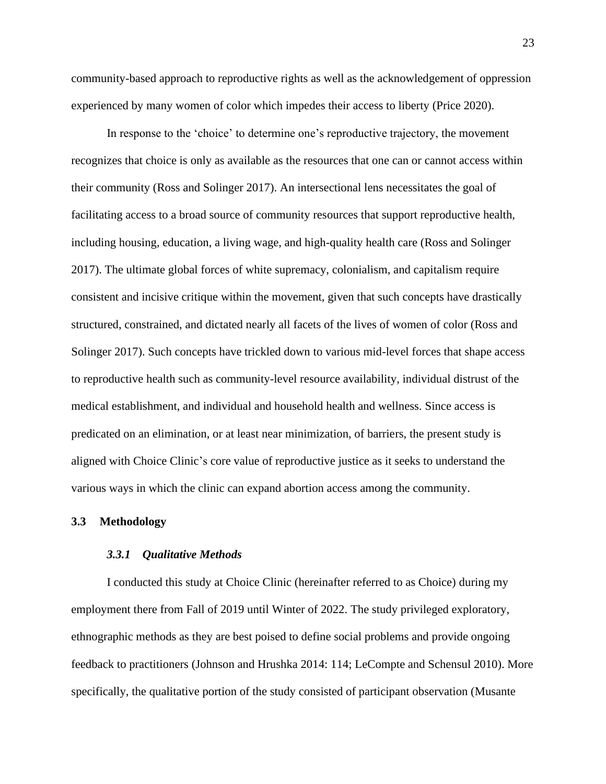community-based approach to reproductive rights as well as the acknowledgement of oppression experienced by many women of color which impedes their access to liberty (Price 2020).

In response to the 'choice' to determine one's reproductive trajectory, the movement recognizes that choice is only as available as the resources that one can or cannot access within their community (Ross and Solinger 2017). An intersectional lens necessitates the goal of facilitating access to a broad source of community resources that support reproductive health, including housing, education, a living wage, and high-quality health care (Ross and Solinger 2017). The ultimate global forces of white supremacy, colonialism, and capitalism require consistent and incisive critique within the movement, given that such concepts have drastically structured, constrained, and dictated nearly all facets of the lives of women of color (Ross and Solinger 2017). Such concepts have trickled down to various mid-level forces that shape access to reproductive health such as community-level resource availability, individual distrust of the medical establishment, and individual and household health and wellness. Since access is predicated on an elimination, or at least near minimization, of barriers, the present study is aligned with Choice Clinic's core value of reproductive justice as it seeks to understand the various ways in which the clinic can expand abortion access among the community.

#### <span id="page-34-1"></span><span id="page-34-0"></span>**3.3 Methodology**

#### *3.3.1 Qualitative Methods*

I conducted this study at Choice Clinic (hereinafter referred to as Choice) during my employment there from Fall of 2019 until Winter of 2022. The study privileged exploratory, ethnographic methods as they are best poised to define social problems and provide ongoing feedback to practitioners (Johnson and Hrushka 2014: 114; LeCompte and Schensul 2010). More specifically, the qualitative portion of the study consisted of participant observation (Musante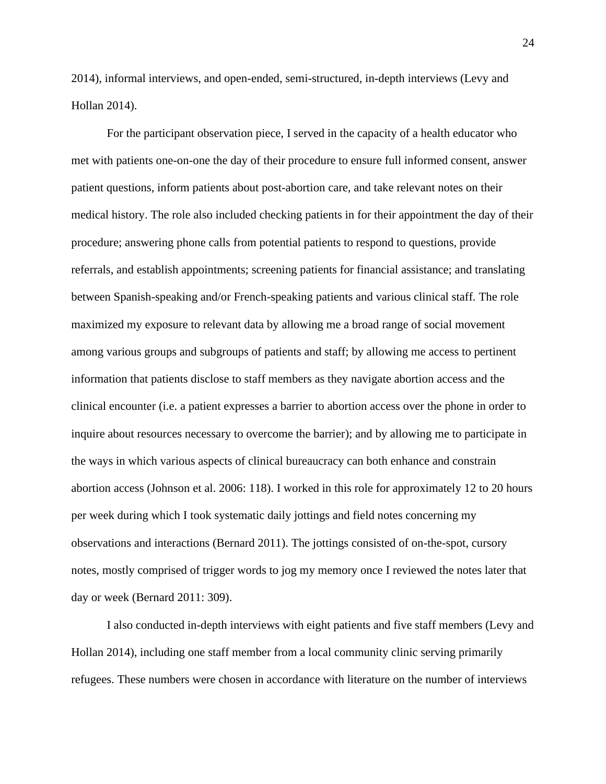2014), informal interviews, and open-ended, semi-structured, in-depth interviews (Levy and Hollan 2014).

For the participant observation piece, I served in the capacity of a health educator who met with patients one-on-one the day of their procedure to ensure full informed consent, answer patient questions, inform patients about post-abortion care, and take relevant notes on their medical history. The role also included checking patients in for their appointment the day of their procedure; answering phone calls from potential patients to respond to questions, provide referrals, and establish appointments; screening patients for financial assistance; and translating between Spanish-speaking and/or French-speaking patients and various clinical staff. The role maximized my exposure to relevant data by allowing me a broad range of social movement among various groups and subgroups of patients and staff; by allowing me access to pertinent information that patients disclose to staff members as they navigate abortion access and the clinical encounter (i.e. a patient expresses a barrier to abortion access over the phone in order to inquire about resources necessary to overcome the barrier); and by allowing me to participate in the ways in which various aspects of clinical bureaucracy can both enhance and constrain abortion access (Johnson et al. 2006: 118). I worked in this role for approximately 12 to 20 hours per week during which I took systematic daily jottings and field notes concerning my observations and interactions (Bernard 2011). The jottings consisted of on-the-spot, cursory notes, mostly comprised of trigger words to jog my memory once I reviewed the notes later that day or week (Bernard 2011: 309).

I also conducted in-depth interviews with eight patients and five staff members (Levy and Hollan 2014), including one staff member from a local community clinic serving primarily refugees. These numbers were chosen in accordance with literature on the number of interviews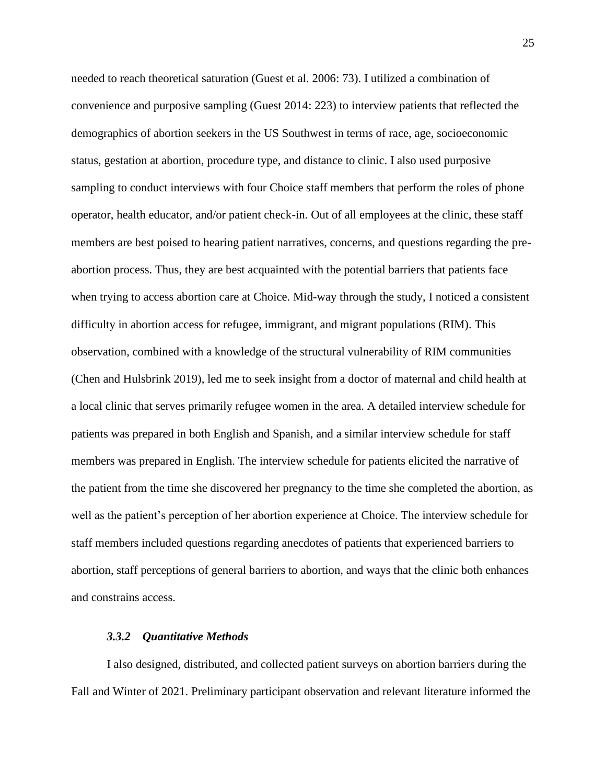needed to reach theoretical saturation (Guest et al. 2006: 73). I utilized a combination of convenience and purposive sampling (Guest 2014: 223) to interview patients that reflected the demographics of abortion seekers in the US Southwest in terms of race, age, socioeconomic status, gestation at abortion, procedure type, and distance to clinic. I also used purposive sampling to conduct interviews with four Choice staff members that perform the roles of phone operator, health educator, and/or patient check-in. Out of all employees at the clinic, these staff members are best poised to hearing patient narratives, concerns, and questions regarding the preabortion process. Thus, they are best acquainted with the potential barriers that patients face when trying to access abortion care at Choice. Mid-way through the study, I noticed a consistent difficulty in abortion access for refugee, immigrant, and migrant populations (RIM). This observation, combined with a knowledge of the structural vulnerability of RIM communities (Chen and Hulsbrink 2019), led me to seek insight from a doctor of maternal and child health at a local clinic that serves primarily refugee women in the area. A detailed interview schedule for patients was prepared in both English and Spanish, and a similar interview schedule for staff members was prepared in English. The interview schedule for patients elicited the narrative of the patient from the time she discovered her pregnancy to the time she completed the abortion, as well as the patient's perception of her abortion experience at Choice. The interview schedule for staff members included questions regarding anecdotes of patients that experienced barriers to abortion, staff perceptions of general barriers to abortion, and ways that the clinic both enhances and constrains access.

### *3.3.2 Quantitative Methods*

I also designed, distributed, and collected patient surveys on abortion barriers during the Fall and Winter of 2021. Preliminary participant observation and relevant literature informed the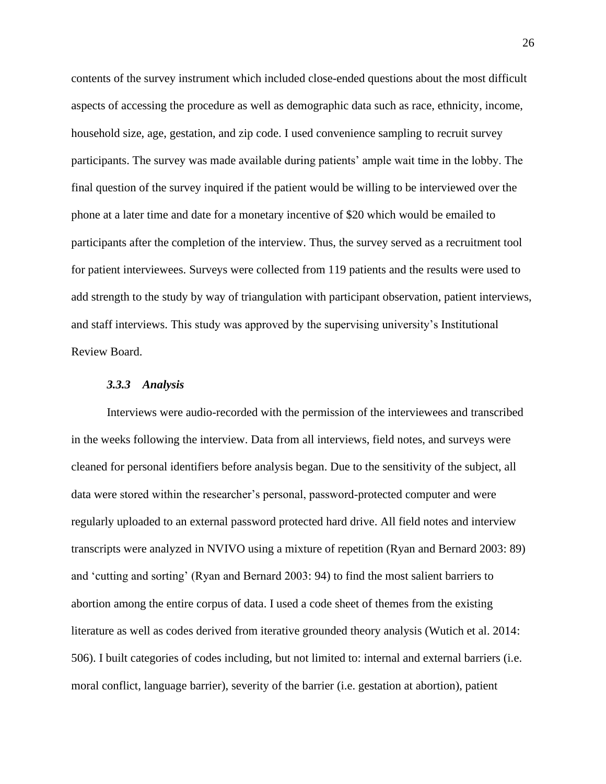contents of the survey instrument which included close-ended questions about the most difficult aspects of accessing the procedure as well as demographic data such as race, ethnicity, income, household size, age, gestation, and zip code. I used convenience sampling to recruit survey participants. The survey was made available during patients' ample wait time in the lobby. The final question of the survey inquired if the patient would be willing to be interviewed over the phone at a later time and date for a monetary incentive of \$20 which would be emailed to participants after the completion of the interview. Thus, the survey served as a recruitment tool for patient interviewees. Surveys were collected from 119 patients and the results were used to add strength to the study by way of triangulation with participant observation, patient interviews, and staff interviews. This study was approved by the supervising university's Institutional Review Board.

#### *3.3.3 Analysis*

Interviews were audio-recorded with the permission of the interviewees and transcribed in the weeks following the interview. Data from all interviews, field notes, and surveys were cleaned for personal identifiers before analysis began. Due to the sensitivity of the subject, all data were stored within the researcher's personal, password-protected computer and were regularly uploaded to an external password protected hard drive. All field notes and interview transcripts were analyzed in NVIVO using a mixture of repetition (Ryan and Bernard 2003: 89) and 'cutting and sorting' (Ryan and Bernard 2003: 94) to find the most salient barriers to abortion among the entire corpus of data. I used a code sheet of themes from the existing literature as well as codes derived from iterative grounded theory analysis (Wutich et al. 2014: 506). I built categories of codes including, but not limited to: internal and external barriers (i.e. moral conflict, language barrier), severity of the barrier (i.e. gestation at abortion), patient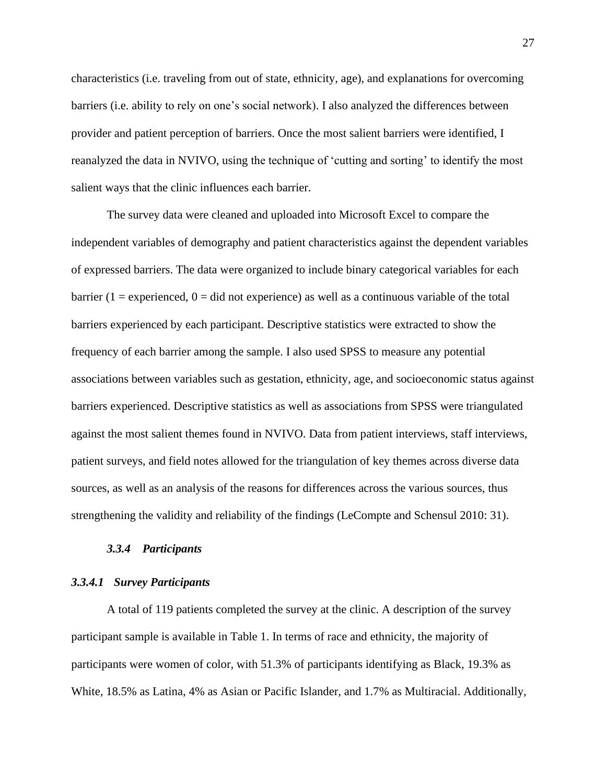characteristics (i.e. traveling from out of state, ethnicity, age), and explanations for overcoming barriers (i.e. ability to rely on one's social network). I also analyzed the differences between provider and patient perception of barriers. Once the most salient barriers were identified, I reanalyzed the data in NVIVO, using the technique of 'cutting and sorting' to identify the most salient ways that the clinic influences each barrier.

The survey data were cleaned and uploaded into Microsoft Excel to compare the independent variables of demography and patient characteristics against the dependent variables of expressed barriers. The data were organized to include binary categorical variables for each barrier (1 = experienced,  $0 = \text{did}$  not experience) as well as a continuous variable of the total barriers experienced by each participant. Descriptive statistics were extracted to show the frequency of each barrier among the sample. I also used SPSS to measure any potential associations between variables such as gestation, ethnicity, age, and socioeconomic status against barriers experienced. Descriptive statistics as well as associations from SPSS were triangulated against the most salient themes found in NVIVO. Data from patient interviews, staff interviews, patient surveys, and field notes allowed for the triangulation of key themes across diverse data sources, as well as an analysis of the reasons for differences across the various sources, thus strengthening the validity and reliability of the findings (LeCompte and Schensul 2010: 31).

### *3.3.4 Participants*

### *3.3.4.1 Survey Participants*

A total of 119 patients completed the survey at the clinic. A description of the survey participant sample is available in Table 1. In terms of race and ethnicity, the majority of participants were women of color, with 51.3% of participants identifying as Black, 19.3% as White, 18.5% as Latina, 4% as Asian or Pacific Islander, and 1.7% as Multiracial. Additionally,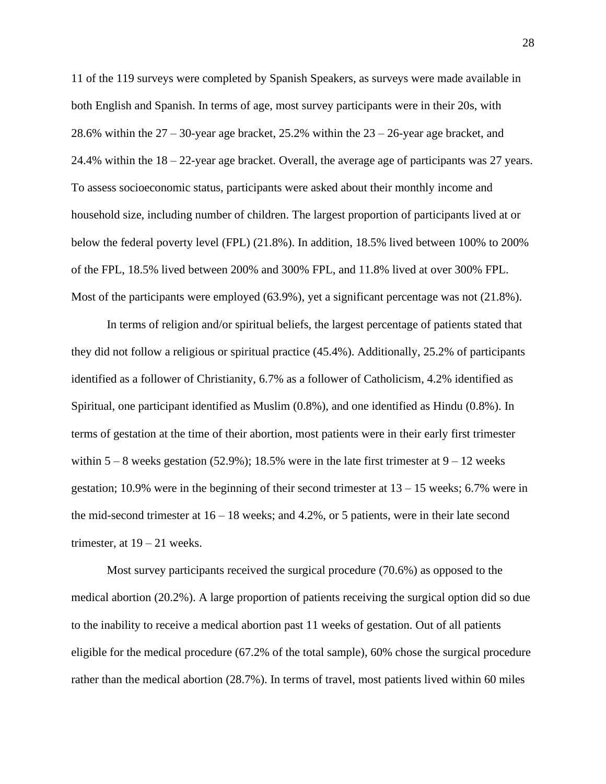11 of the 119 surveys were completed by Spanish Speakers, as surveys were made available in both English and Spanish. In terms of age, most survey participants were in their 20s, with 28.6% within the 27 – 30-year age bracket, 25.2% within the 23 – 26-year age bracket, and 24.4% within the 18 – 22-year age bracket. Overall, the average age of participants was 27 years. To assess socioeconomic status, participants were asked about their monthly income and household size, including number of children. The largest proportion of participants lived at or below the federal poverty level (FPL) (21.8%). In addition, 18.5% lived between 100% to 200% of the FPL, 18.5% lived between 200% and 300% FPL, and 11.8% lived at over 300% FPL. Most of the participants were employed (63.9%), yet a significant percentage was not (21.8%).

In terms of religion and/or spiritual beliefs, the largest percentage of patients stated that they did not follow a religious or spiritual practice (45.4%). Additionally, 25.2% of participants identified as a follower of Christianity, 6.7% as a follower of Catholicism, 4.2% identified as Spiritual, one participant identified as Muslim (0.8%), and one identified as Hindu (0.8%). In terms of gestation at the time of their abortion, most patients were in their early first trimester within  $5 - 8$  weeks gestation (52.9%); 18.5% were in the late first trimester at  $9 - 12$  weeks gestation; 10.9% were in the beginning of their second trimester at  $13 - 15$  weeks; 6.7% were in the mid-second trimester at 16 – 18 weeks; and 4.2%, or 5 patients, were in their late second trimester, at  $19 - 21$  weeks.

Most survey participants received the surgical procedure (70.6%) as opposed to the medical abortion (20.2%). A large proportion of patients receiving the surgical option did so due to the inability to receive a medical abortion past 11 weeks of gestation. Out of all patients eligible for the medical procedure (67.2% of the total sample), 60% chose the surgical procedure rather than the medical abortion (28.7%). In terms of travel, most patients lived within 60 miles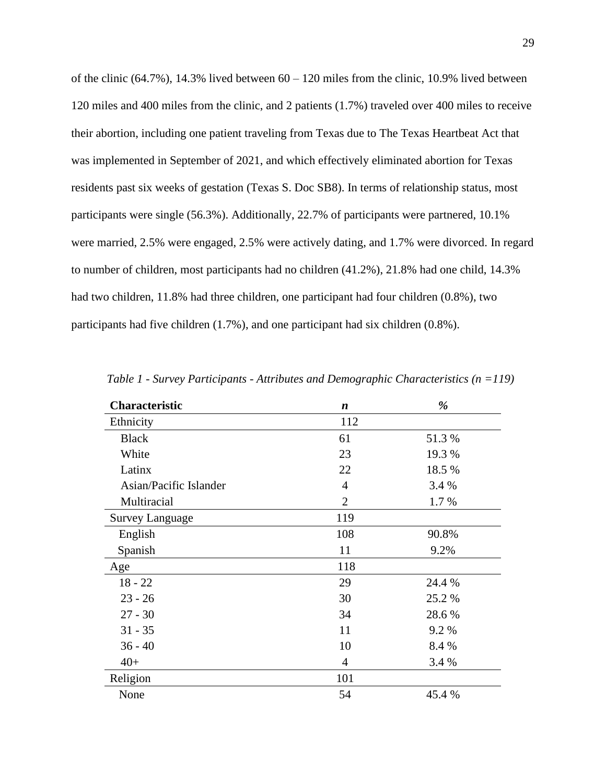of the clinic  $(64.7\%)$ , 14.3% lived between  $60 - 120$  miles from the clinic, 10.9% lived between 120 miles and 400 miles from the clinic, and 2 patients (1.7%) traveled over 400 miles to receive their abortion, including one patient traveling from Texas due to The Texas Heartbeat Act that was implemented in September of 2021, and which effectively eliminated abortion for Texas residents past six weeks of gestation (Texas S. Doc SB8). In terms of relationship status, most participants were single (56.3%). Additionally, 22.7% of participants were partnered, 10.1% were married, 2.5% were engaged, 2.5% were actively dating, and 1.7% were divorced. In regard to number of children, most participants had no children (41.2%), 21.8% had one child, 14.3% had two children, 11.8% had three children, one participant had four children (0.8%), two participants had five children (1.7%), and one participant had six children (0.8%).

| <b>Characteristic</b>  | $\boldsymbol{n}$       | %      |  |
|------------------------|------------------------|--------|--|
| Ethnicity              | 112                    |        |  |
| <b>Black</b>           | 61                     | 51.3%  |  |
| White                  | 23                     | 19.3 % |  |
| Latinx                 | 22                     | 18.5 % |  |
| Asian/Pacific Islander | $\overline{4}$         | 3.4 %  |  |
| Multiracial            | $\overline{2}$<br>1.7% |        |  |
| <b>Survey Language</b> | 119                    |        |  |
| English                | 108                    | 90.8%  |  |
| Spanish                | 11                     | 9.2%   |  |
| Age                    | 118                    |        |  |
| $18 - 22$              | 29                     | 24.4 % |  |
| $23 - 26$              | 30                     | 25.2 % |  |
| $27 - 30$              | 34                     | 28.6%  |  |
| $31 - 35$              | 11                     | 9.2%   |  |
| $36 - 40$              | 10                     | 8.4 %  |  |
| $40+$                  | $\overline{4}$         | 3.4 %  |  |
| Religion               | 101                    |        |  |
| None                   | 54                     | 45.4 % |  |

*Table 1 - Survey Participants - Attributes and Demographic Characteristics (n =119)*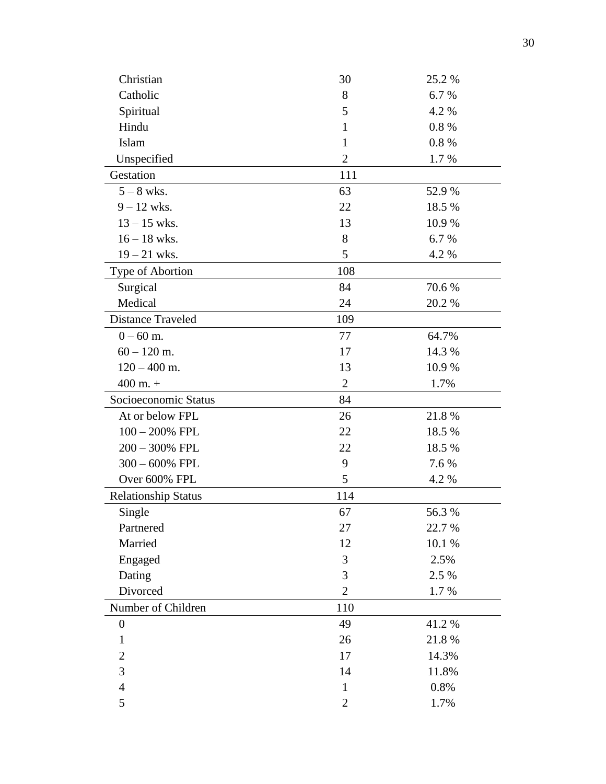| Christian                  | 30             | 25.2 % |
|----------------------------|----------------|--------|
| Catholic                   | 8              | 6.7%   |
| Spiritual                  | 5              | 4.2 %  |
| Hindu                      | 1              | 0.8%   |
| Islam                      | $\mathbf{1}$   | 0.8%   |
| Unspecified                | $\overline{2}$ | 1.7 %  |
| Gestation                  | 111            |        |
| $5 - 8$ wks.               | 63             | 52.9 % |
| $9 - 12$ wks.              | 22             | 18.5 % |
| $13 - 15$ wks.             | 13             | 10.9 % |
| $16 - 18$ wks.             | 8              | 6.7%   |
| $19 - 21$ wks.             | 5              | 4.2 %  |
| Type of Abortion           | 108            |        |
| Surgical                   | 84             | 70.6%  |
| Medical                    | 24             | 20.2 % |
| <b>Distance Traveled</b>   | 109            |        |
| $0 - 60$ m.                | 77             | 64.7%  |
| $60 - 120$ m.              | 17             | 14.3 % |
| $120 - 400$ m.             | 13             | 10.9%  |
| $400$ m. $+$               | $\overline{2}$ | 1.7%   |
| Socioeconomic Status       | 84             |        |
| At or below FPL            | 26             | 21.8%  |
| $100 - 200\%$ FPL          | 22             | 18.5 % |
| $200 - 300\%$ FPL          | 22             | 18.5 % |
| $300 - 600\%$ FPL          | 9              | 7.6 %  |
| Over 600% FPL              | 5              | 4.2 %  |
| <b>Relationship Status</b> | 114            |        |
| Single                     | 67             | 56.3%  |
| Partnered                  | 27             | 22.7 % |
| Married                    | 12             | 10.1 % |
| Engaged                    | 3              | 2.5%   |
| Dating                     | 3              | 2.5 %  |
| Divorced                   | $\overline{2}$ | 1.7%   |
| Number of Children         | 110            |        |
| $\boldsymbol{0}$           | 49             | 41.2%  |
| $\mathbf{1}$               | 26             | 21.8%  |
| $\overline{2}$             | 17             | 14.3%  |
| 3                          | 14             | 11.8%  |
| $\overline{4}$             | $\mathbf{1}$   | 0.8%   |
| 5                          | $\overline{2}$ | 1.7%   |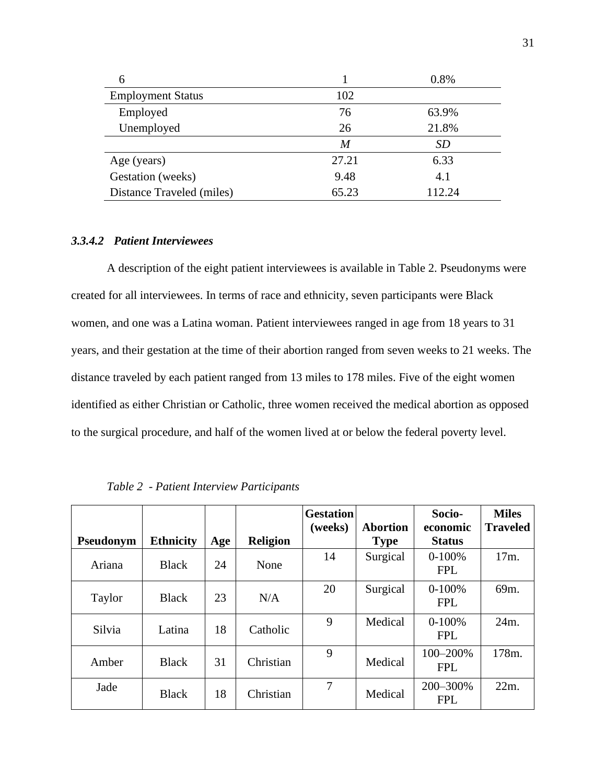| 6                         |       | 0.8%   |  |
|---------------------------|-------|--------|--|
| <b>Employment Status</b>  | 102   |        |  |
| Employed                  | 76    | 63.9%  |  |
| Unemployed                | 26    | 21.8%  |  |
|                           | M     | SD     |  |
| Age (years)               | 27.21 | 6.33   |  |
| Gestation (weeks)         | 9.48  | 4.1    |  |
| Distance Traveled (miles) | 65.23 | 112.24 |  |

# *3.3.4.2 Patient Interviewees*

A description of the eight patient interviewees is available in Table 2. Pseudonyms were created for all interviewees. In terms of race and ethnicity, seven participants were Black women, and one was a Latina woman. Patient interviewees ranged in age from 18 years to 31 years, and their gestation at the time of their abortion ranged from seven weeks to 21 weeks. The distance traveled by each patient ranged from 13 miles to 178 miles. Five of the eight women identified as either Christian or Catholic, three women received the medical abortion as opposed to the surgical procedure, and half of the women lived at or below the federal poverty level.

|           |                  |     |                 | <b>Gestation</b><br>(weeks) | <b>Abortion</b> | Socio-<br>economic     | <b>Miles</b><br><b>Traveled</b> |
|-----------|------------------|-----|-----------------|-----------------------------|-----------------|------------------------|---------------------------------|
| Pseudonym | <b>Ethnicity</b> | Age | <b>Religion</b> |                             | <b>Type</b>     | <b>Status</b>          |                                 |
| Ariana    | <b>Black</b>     | 24  | None            | 14                          | Surgical        | $0-100%$<br><b>FPL</b> | 17m.                            |
| Taylor    | <b>Black</b>     | 23  | N/A             | 20                          | Surgical        | $0-100%$<br><b>FPL</b> | 69m.                            |
| Silvia    | Latina           | 18  | Catholic        | 9                           | Medical         | $0-100%$<br><b>FPL</b> | 24m.                            |
| Amber     | <b>Black</b>     | 31  | Christian       | 9                           | Medical         | 100-200%<br><b>FPL</b> | 178m.                           |
| Jade      | <b>Black</b>     | 18  | Christian       | 7                           | Medical         | 200-300%<br><b>FPL</b> | $22m$ .                         |

*Table 2 - Patient Interview Participants*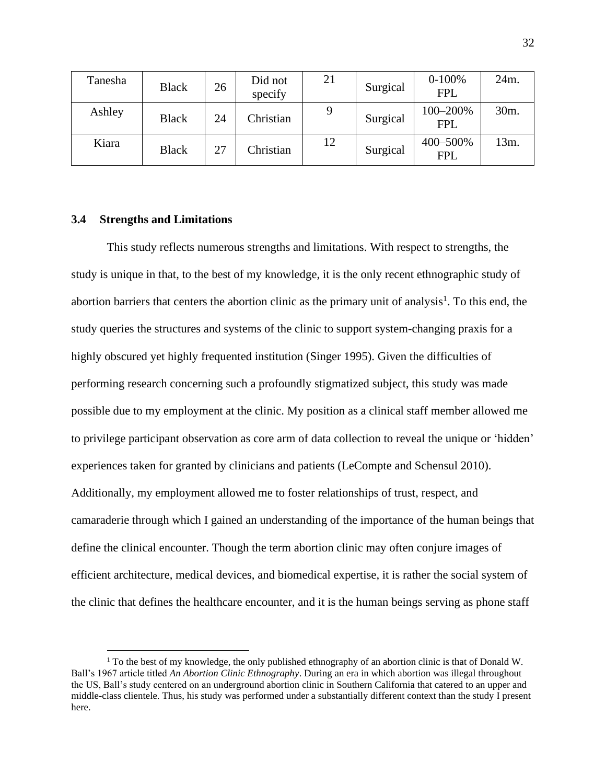| Tanesha | <b>Black</b> | 26 | Did not<br>specify | 21 | Surgical | $0-100%$<br><b>FPL</b> | 24m. |
|---------|--------------|----|--------------------|----|----------|------------------------|------|
| Ashley  | <b>Black</b> | 24 | Christian          |    | Surgical | 100-200%<br><b>FPL</b> | 30m. |
| Kiara   | <b>Black</b> | 27 | Christian          | 12 | Surgical | 400-500%<br><b>FPL</b> | 13m. |

### **3.4 Strengths and Limitations**

This study reflects numerous strengths and limitations. With respect to strengths, the study is unique in that, to the best of my knowledge, it is the only recent ethnographic study of abortion barriers that centers the abortion clinic as the primary unit of analysis<sup>1</sup>. To this end, the study queries the structures and systems of the clinic to support system-changing praxis for a highly obscured yet highly frequented institution (Singer 1995). Given the difficulties of performing research concerning such a profoundly stigmatized subject, this study was made possible due to my employment at the clinic. My position as a clinical staff member allowed me to privilege participant observation as core arm of data collection to reveal the unique or 'hidden' experiences taken for granted by clinicians and patients (LeCompte and Schensul 2010). Additionally, my employment allowed me to foster relationships of trust, respect, and camaraderie through which I gained an understanding of the importance of the human beings that define the clinical encounter. Though the term abortion clinic may often conjure images of efficient architecture, medical devices, and biomedical expertise, it is rather the social system of the clinic that defines the healthcare encounter, and it is the human beings serving as phone staff

<sup>&</sup>lt;sup>1</sup> To the best of my knowledge, the only published ethnography of an abortion clinic is that of Donald W. Ball's 1967 article titled *An Abortion Clinic Ethnography*. During an era in which abortion was illegal throughout the US, Ball's study centered on an underground abortion clinic in Southern California that catered to an upper and middle-class clientele. Thus, his study was performed under a substantially different context than the study I present here.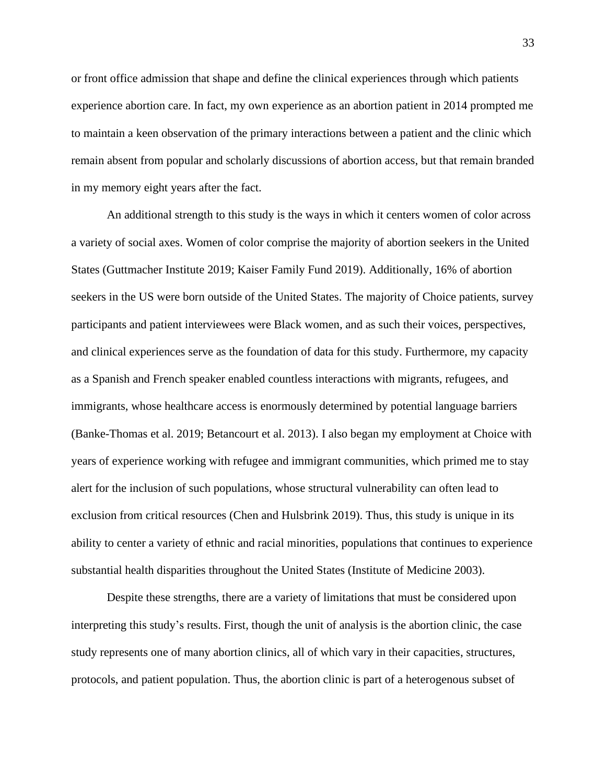or front office admission that shape and define the clinical experiences through which patients experience abortion care. In fact, my own experience as an abortion patient in 2014 prompted me to maintain a keen observation of the primary interactions between a patient and the clinic which remain absent from popular and scholarly discussions of abortion access, but that remain branded in my memory eight years after the fact.

An additional strength to this study is the ways in which it centers women of color across a variety of social axes. Women of color comprise the majority of abortion seekers in the United States (Guttmacher Institute 2019; Kaiser Family Fund 2019). Additionally, 16% of abortion seekers in the US were born outside of the United States. The majority of Choice patients, survey participants and patient interviewees were Black women, and as such their voices, perspectives, and clinical experiences serve as the foundation of data for this study. Furthermore, my capacity as a Spanish and French speaker enabled countless interactions with migrants, refugees, and immigrants, whose healthcare access is enormously determined by potential language barriers (Banke-Thomas et al. 2019; Betancourt et al. 2013). I also began my employment at Choice with years of experience working with refugee and immigrant communities, which primed me to stay alert for the inclusion of such populations, whose structural vulnerability can often lead to exclusion from critical resources (Chen and Hulsbrink 2019). Thus, this study is unique in its ability to center a variety of ethnic and racial minorities, populations that continues to experience substantial health disparities throughout the United States (Institute of Medicine 2003).

Despite these strengths, there are a variety of limitations that must be considered upon interpreting this study's results. First, though the unit of analysis is the abortion clinic, the case study represents one of many abortion clinics, all of which vary in their capacities, structures, protocols, and patient population. Thus, the abortion clinic is part of a heterogenous subset of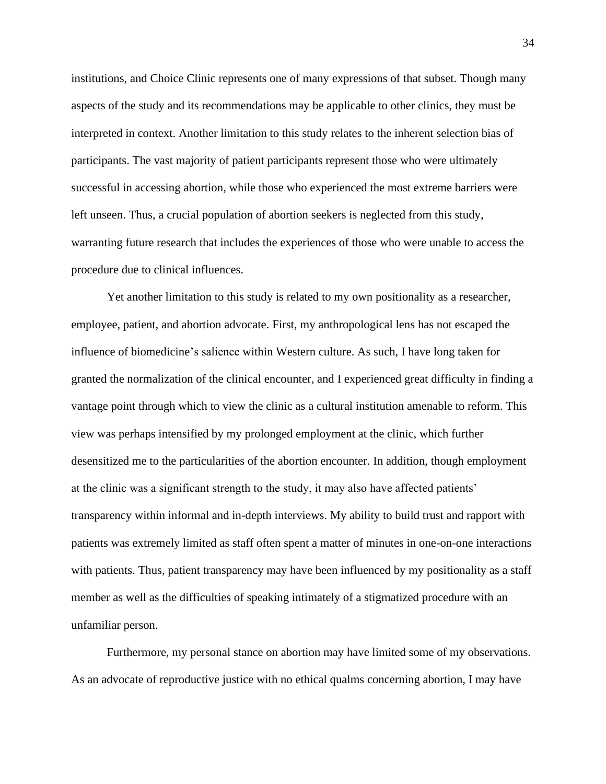institutions, and Choice Clinic represents one of many expressions of that subset. Though many aspects of the study and its recommendations may be applicable to other clinics, they must be interpreted in context. Another limitation to this study relates to the inherent selection bias of participants. The vast majority of patient participants represent those who were ultimately successful in accessing abortion, while those who experienced the most extreme barriers were left unseen. Thus, a crucial population of abortion seekers is neglected from this study, warranting future research that includes the experiences of those who were unable to access the procedure due to clinical influences.

Yet another limitation to this study is related to my own positionality as a researcher, employee, patient, and abortion advocate. First, my anthropological lens has not escaped the influence of biomedicine's salience within Western culture. As such, I have long taken for granted the normalization of the clinical encounter, and I experienced great difficulty in finding a vantage point through which to view the clinic as a cultural institution amenable to reform. This view was perhaps intensified by my prolonged employment at the clinic, which further desensitized me to the particularities of the abortion encounter. In addition, though employment at the clinic was a significant strength to the study, it may also have affected patients' transparency within informal and in-depth interviews. My ability to build trust and rapport with patients was extremely limited as staff often spent a matter of minutes in one-on-one interactions with patients. Thus, patient transparency may have been influenced by my positionality as a staff member as well as the difficulties of speaking intimately of a stigmatized procedure with an unfamiliar person.

Furthermore, my personal stance on abortion may have limited some of my observations. As an advocate of reproductive justice with no ethical qualms concerning abortion, I may have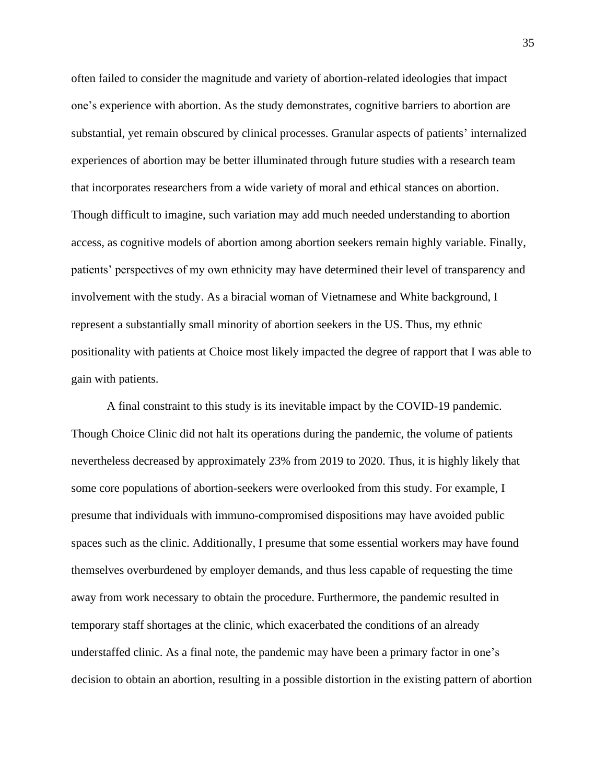often failed to consider the magnitude and variety of abortion-related ideologies that impact one's experience with abortion. As the study demonstrates, cognitive barriers to abortion are substantial, yet remain obscured by clinical processes. Granular aspects of patients' internalized experiences of abortion may be better illuminated through future studies with a research team that incorporates researchers from a wide variety of moral and ethical stances on abortion. Though difficult to imagine, such variation may add much needed understanding to abortion access, as cognitive models of abortion among abortion seekers remain highly variable. Finally, patients' perspectives of my own ethnicity may have determined their level of transparency and involvement with the study. As a biracial woman of Vietnamese and White background, I represent a substantially small minority of abortion seekers in the US. Thus, my ethnic positionality with patients at Choice most likely impacted the degree of rapport that I was able to gain with patients.

A final constraint to this study is its inevitable impact by the COVID-19 pandemic. Though Choice Clinic did not halt its operations during the pandemic, the volume of patients nevertheless decreased by approximately 23% from 2019 to 2020. Thus, it is highly likely that some core populations of abortion-seekers were overlooked from this study. For example, I presume that individuals with immuno-compromised dispositions may have avoided public spaces such as the clinic. Additionally, I presume that some essential workers may have found themselves overburdened by employer demands, and thus less capable of requesting the time away from work necessary to obtain the procedure. Furthermore, the pandemic resulted in temporary staff shortages at the clinic, which exacerbated the conditions of an already understaffed clinic. As a final note, the pandemic may have been a primary factor in one's decision to obtain an abortion, resulting in a possible distortion in the existing pattern of abortion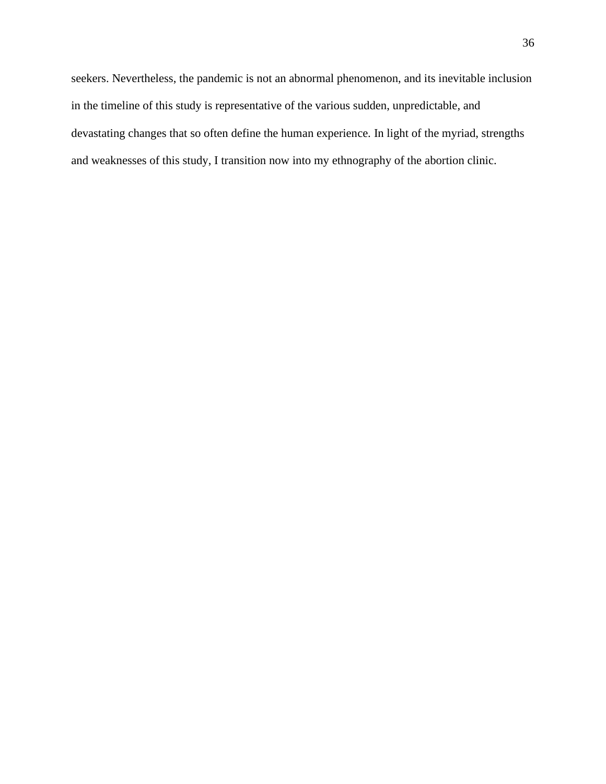seekers. Nevertheless, the pandemic is not an abnormal phenomenon, and its inevitable inclusion in the timeline of this study is representative of the various sudden, unpredictable, and devastating changes that so often define the human experience. In light of the myriad, strengths and weaknesses of this study, I transition now into my ethnography of the abortion clinic.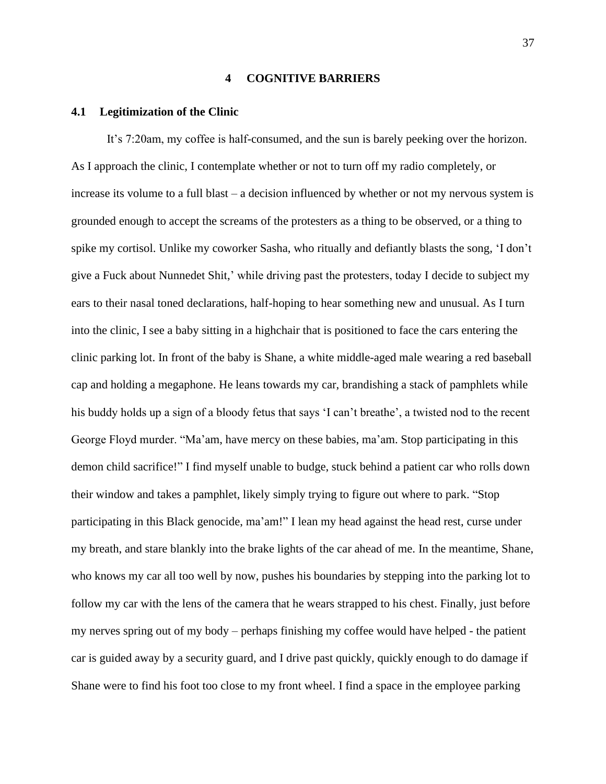#### **4 COGNITIVE BARRIERS**

#### **4.1 Legitimization of the Clinic**

It's 7:20am, my coffee is half-consumed, and the sun is barely peeking over the horizon. As I approach the clinic, I contemplate whether or not to turn off my radio completely, or increase its volume to a full blast – a decision influenced by whether or not my nervous system is grounded enough to accept the screams of the protesters as a thing to be observed, or a thing to spike my cortisol. Unlike my coworker Sasha, who ritually and defiantly blasts the song, 'I don't give a Fuck about Nunnedet Shit,' while driving past the protesters, today I decide to subject my ears to their nasal toned declarations, half-hoping to hear something new and unusual. As I turn into the clinic, I see a baby sitting in a highchair that is positioned to face the cars entering the clinic parking lot. In front of the baby is Shane, a white middle-aged male wearing a red baseball cap and holding a megaphone. He leans towards my car, brandishing a stack of pamphlets while his buddy holds up a sign of a bloody fetus that says 'I can't breathe', a twisted nod to the recent George Floyd murder. "Ma'am, have mercy on these babies, ma'am. Stop participating in this demon child sacrifice!" I find myself unable to budge, stuck behind a patient car who rolls down their window and takes a pamphlet, likely simply trying to figure out where to park. "Stop participating in this Black genocide, ma'am!" I lean my head against the head rest, curse under my breath, and stare blankly into the brake lights of the car ahead of me. In the meantime, Shane, who knows my car all too well by now, pushes his boundaries by stepping into the parking lot to follow my car with the lens of the camera that he wears strapped to his chest. Finally, just before my nerves spring out of my body – perhaps finishing my coffee would have helped - the patient car is guided away by a security guard, and I drive past quickly, quickly enough to do damage if Shane were to find his foot too close to my front wheel. I find a space in the employee parking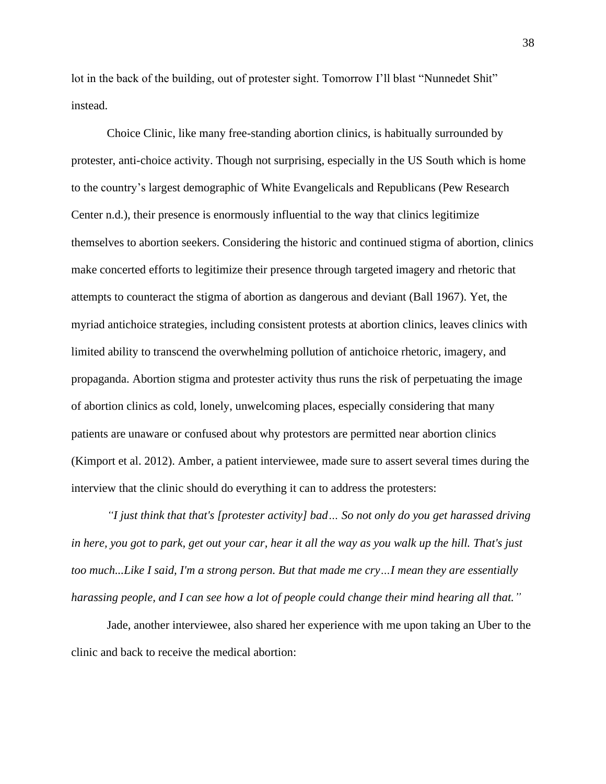lot in the back of the building, out of protester sight. Tomorrow I'll blast "Nunnedet Shit" instead.

Choice Clinic, like many free-standing abortion clinics, is habitually surrounded by protester, anti-choice activity. Though not surprising, especially in the US South which is home to the country's largest demographic of White Evangelicals and Republicans (Pew Research Center n.d.), their presence is enormously influential to the way that clinics legitimize themselves to abortion seekers. Considering the historic and continued stigma of abortion, clinics make concerted efforts to legitimize their presence through targeted imagery and rhetoric that attempts to counteract the stigma of abortion as dangerous and deviant (Ball 1967). Yet, the myriad antichoice strategies, including consistent protests at abortion clinics, leaves clinics with limited ability to transcend the overwhelming pollution of antichoice rhetoric, imagery, and propaganda. Abortion stigma and protester activity thus runs the risk of perpetuating the image of abortion clinics as cold, lonely, unwelcoming places, especially considering that many patients are unaware or confused about why protestors are permitted near abortion clinics (Kimport et al. 2012). Amber, a patient interviewee, made sure to assert several times during the interview that the clinic should do everything it can to address the protesters:

*"I just think that that's [protester activity] bad… So not only do you get harassed driving in here, you got to park, get out your car, hear it all the way as you walk up the hill. That's just too much...Like I said, I'm a strong person. But that made me cry…I mean they are essentially harassing people, and I can see how a lot of people could change their mind hearing all that."*

Jade, another interviewee, also shared her experience with me upon taking an Uber to the clinic and back to receive the medical abortion: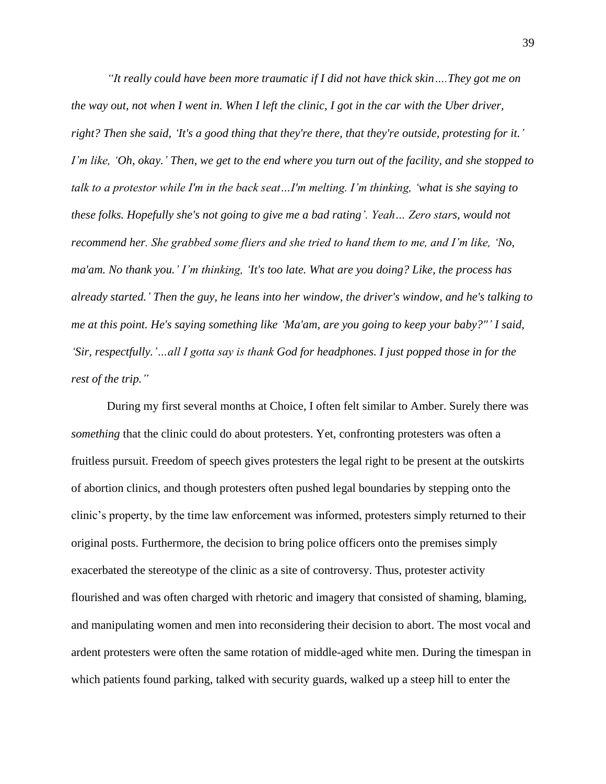*"It really could have been more traumatic if I did not have thick skin….They got me on the way out, not when I went in. When I left the clinic, I got in the car with the Uber driver, right? Then she said, 'It's a good thing that they're there, that they're outside, protesting for it.' I'm like, 'Oh, okay.' Then, we get to the end where you turn out of the facility, and she stopped to talk to a protestor while I'm in the back seat…I'm melting. I'm thinking, 'what is she saying to these folks. Hopefully she's not going to give me a bad rating'. Yeah… Zero stars, would not recommend her. She grabbed some fliers and she tried to hand them to me, and I'm like, 'No, ma'am. No thank you.' I'm thinking, 'It's too late. What are you doing? Like, the process has already started.' Then the guy, he leans into her window, the driver's window, and he's talking to me at this point. He's saying something like 'Ma'am, are you going to keep your baby?"' I said, 'Sir, respectfully.'…all I gotta say is thank God for headphones. I just popped those in for the rest of the trip."*

During my first several months at Choice, I often felt similar to Amber. Surely there was *something* that the clinic could do about protesters. Yet, confronting protesters was often a fruitless pursuit. Freedom of speech gives protesters the legal right to be present at the outskirts of abortion clinics, and though protesters often pushed legal boundaries by stepping onto the clinic's property, by the time law enforcement was informed, protesters simply returned to their original posts. Furthermore, the decision to bring police officers onto the premises simply exacerbated the stereotype of the clinic as a site of controversy. Thus, protester activity flourished and was often charged with rhetoric and imagery that consisted of shaming, blaming, and manipulating women and men into reconsidering their decision to abort. The most vocal and ardent protesters were often the same rotation of middle-aged white men. During the timespan in which patients found parking, talked with security guards, walked up a steep hill to enter the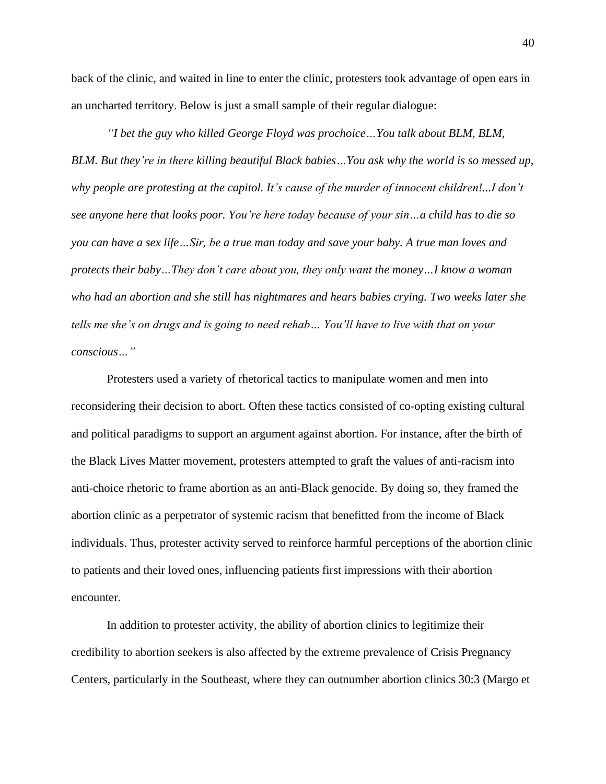back of the clinic, and waited in line to enter the clinic, protesters took advantage of open ears in an uncharted territory. Below is just a small sample of their regular dialogue:

*"I bet the guy who killed George Floyd was prochoice…You talk about BLM, BLM, BLM. But they're in there killing beautiful Black babies…You ask why the world is so messed up, why people are protesting at the capitol. It's cause of the murder of innocent children!...I don't see anyone here that looks poor. You're here today because of your sin…a child has to die so you can have a sex life…Sir, be a true man today and save your baby. A true man loves and protects their baby…They don't care about you, they only want the money…I know a woman who had an abortion and she still has nightmares and hears babies crying. Two weeks later she tells me she's on drugs and is going to need rehab… You'll have to live with that on your conscious…"*

Protesters used a variety of rhetorical tactics to manipulate women and men into reconsidering their decision to abort. Often these tactics consisted of co-opting existing cultural and political paradigms to support an argument against abortion. For instance, after the birth of the Black Lives Matter movement, protesters attempted to graft the values of anti-racism into anti-choice rhetoric to frame abortion as an anti-Black genocide. By doing so, they framed the abortion clinic as a perpetrator of systemic racism that benefitted from the income of Black individuals. Thus, protester activity served to reinforce harmful perceptions of the abortion clinic to patients and their loved ones, influencing patients first impressions with their abortion encounter.

In addition to protester activity, the ability of abortion clinics to legitimize their credibility to abortion seekers is also affected by the extreme prevalence of Crisis Pregnancy Centers, particularly in the Southeast, where they can outnumber abortion clinics 30:3 (Margo et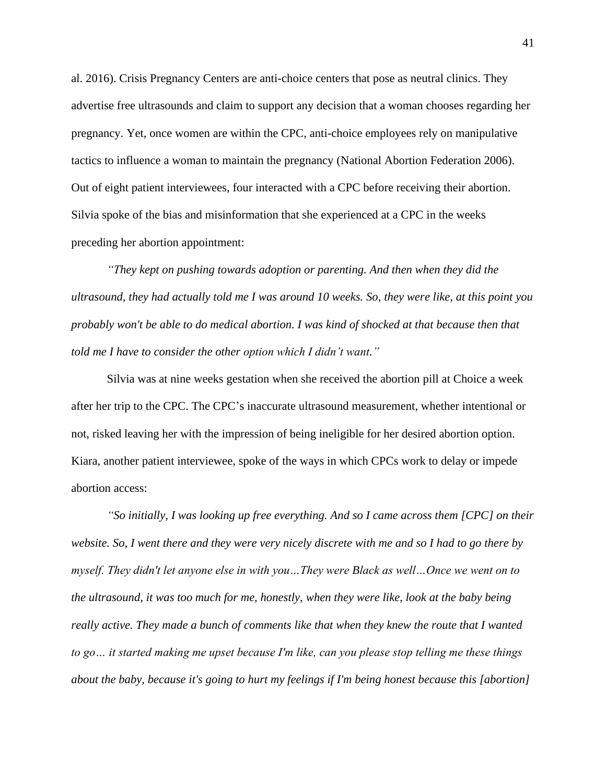al. 2016). Crisis Pregnancy Centers are anti-choice centers that pose as neutral clinics. They advertise free ultrasounds and claim to support any decision that a woman chooses regarding her pregnancy. Yet, once women are within the CPC, anti-choice employees rely on manipulative tactics to influence a woman to maintain the pregnancy (National Abortion Federation 2006). Out of eight patient interviewees, four interacted with a CPC before receiving their abortion. Silvia spoke of the bias and misinformation that she experienced at a CPC in the weeks preceding her abortion appointment:

*"They kept on pushing towards adoption or parenting. And then when they did the ultrasound, they had actually told me I was around 10 weeks. So, they were like, at this point you probably won't be able to do medical abortion. I was kind of shocked at that because then that told me I have to consider the other option which I didn't want."*

Silvia was at nine weeks gestation when she received the abortion pill at Choice a week after her trip to the CPC. The CPC's inaccurate ultrasound measurement, whether intentional or not, risked leaving her with the impression of being ineligible for her desired abortion option. Kiara, another patient interviewee, spoke of the ways in which CPCs work to delay or impede abortion access:

*"So initially, I was looking up free everything. And so I came across them [CPC] on their website. So, I went there and they were very nicely discrete with me and so I had to go there by myself. They didn't let anyone else in with you…They were Black as well…Once we went on to the ultrasound, it was too much for me, honestly, when they were like, look at the baby being really active. They made a bunch of comments like that when they knew the route that I wanted to go… it started making me upset because I'm like, can you please stop telling me these things about the baby, because it's going to hurt my feelings if I'm being honest because this [abortion]*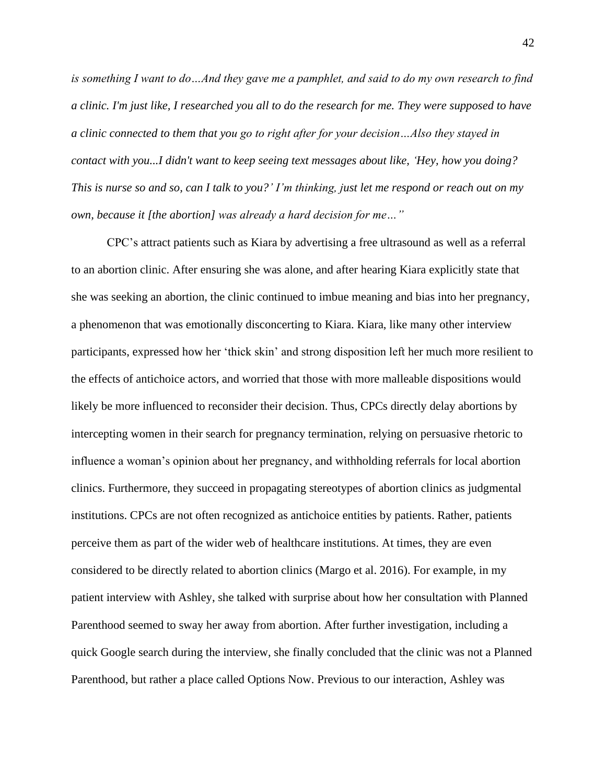*is something I want to do…And they gave me a pamphlet, and said to do my own research to find a clinic. I'm just like, I researched you all to do the research for me. They were supposed to have a clinic connected to them that you go to right after for your decision…Also they stayed in contact with you...I didn't want to keep seeing text messages about like, 'Hey, how you doing? This is nurse so and so, can I talk to you?' I'm thinking, just let me respond or reach out on my own, because it [the abortion] was already a hard decision for me…"*

CPC's attract patients such as Kiara by advertising a free ultrasound as well as a referral to an abortion clinic. After ensuring she was alone, and after hearing Kiara explicitly state that she was seeking an abortion, the clinic continued to imbue meaning and bias into her pregnancy, a phenomenon that was emotionally disconcerting to Kiara. Kiara, like many other interview participants, expressed how her 'thick skin' and strong disposition left her much more resilient to the effects of antichoice actors, and worried that those with more malleable dispositions would likely be more influenced to reconsider their decision. Thus, CPCs directly delay abortions by intercepting women in their search for pregnancy termination, relying on persuasive rhetoric to influence a woman's opinion about her pregnancy, and withholding referrals for local abortion clinics. Furthermore, they succeed in propagating stereotypes of abortion clinics as judgmental institutions. CPCs are not often recognized as antichoice entities by patients. Rather, patients perceive them as part of the wider web of healthcare institutions. At times, they are even considered to be directly related to abortion clinics (Margo et al. 2016). For example, in my patient interview with Ashley, she talked with surprise about how her consultation with Planned Parenthood seemed to sway her away from abortion. After further investigation, including a quick Google search during the interview, she finally concluded that the clinic was not a Planned Parenthood, but rather a place called Options Now. Previous to our interaction, Ashley was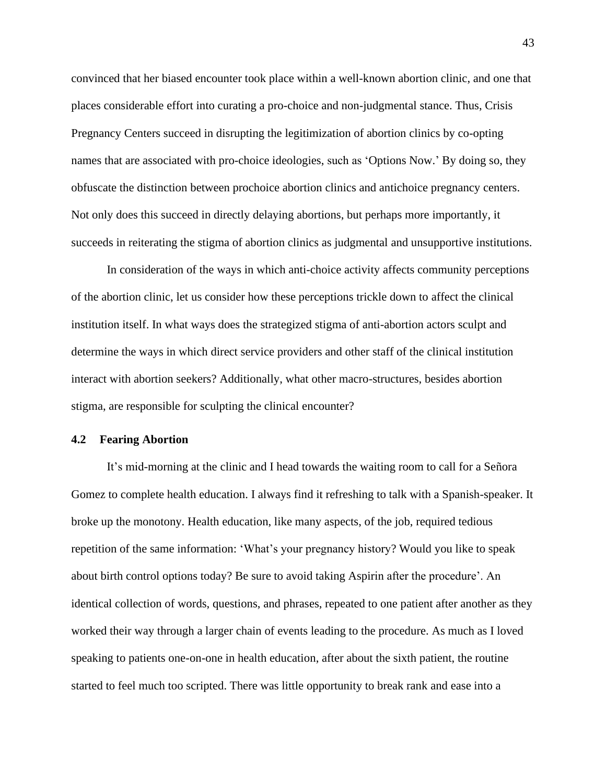convinced that her biased encounter took place within a well-known abortion clinic, and one that places considerable effort into curating a pro-choice and non-judgmental stance. Thus, Crisis Pregnancy Centers succeed in disrupting the legitimization of abortion clinics by co-opting names that are associated with pro-choice ideologies, such as 'Options Now.' By doing so, they obfuscate the distinction between prochoice abortion clinics and antichoice pregnancy centers. Not only does this succeed in directly delaying abortions, but perhaps more importantly, it succeeds in reiterating the stigma of abortion clinics as judgmental and unsupportive institutions.

In consideration of the ways in which anti-choice activity affects community perceptions of the abortion clinic, let us consider how these perceptions trickle down to affect the clinical institution itself. In what ways does the strategized stigma of anti-abortion actors sculpt and determine the ways in which direct service providers and other staff of the clinical institution interact with abortion seekers? Additionally, what other macro-structures, besides abortion stigma, are responsible for sculpting the clinical encounter?

#### **4.2 Fearing Abortion**

It's mid-morning at the clinic and I head towards the waiting room to call for a Señora Gomez to complete health education. I always find it refreshing to talk with a Spanish-speaker. It broke up the monotony. Health education, like many aspects, of the job, required tedious repetition of the same information: 'What's your pregnancy history? Would you like to speak about birth control options today? Be sure to avoid taking Aspirin after the procedure'. An identical collection of words, questions, and phrases, repeated to one patient after another as they worked their way through a larger chain of events leading to the procedure. As much as I loved speaking to patients one-on-one in health education, after about the sixth patient, the routine started to feel much too scripted. There was little opportunity to break rank and ease into a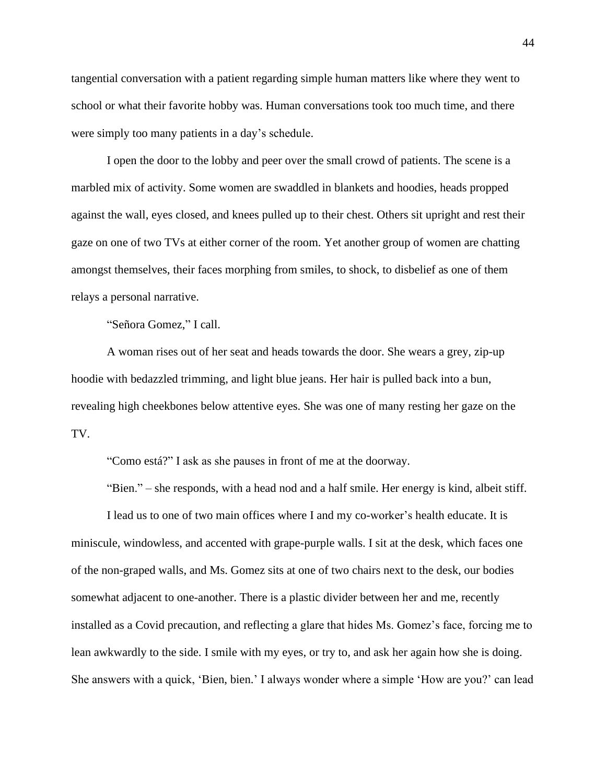tangential conversation with a patient regarding simple human matters like where they went to school or what their favorite hobby was. Human conversations took too much time, and there were simply too many patients in a day's schedule.

I open the door to the lobby and peer over the small crowd of patients. The scene is a marbled mix of activity. Some women are swaddled in blankets and hoodies, heads propped against the wall, eyes closed, and knees pulled up to their chest. Others sit upright and rest their gaze on one of two TVs at either corner of the room. Yet another group of women are chatting amongst themselves, their faces morphing from smiles, to shock, to disbelief as one of them relays a personal narrative.

"Señora Gomez," I call.

A woman rises out of her seat and heads towards the door. She wears a grey, zip-up hoodie with bedazzled trimming, and light blue jeans. Her hair is pulled back into a bun, revealing high cheekbones below attentive eyes. She was one of many resting her gaze on the TV.

"Como está?" I ask as she pauses in front of me at the doorway.

"Bien." – she responds, with a head nod and a half smile. Her energy is kind, albeit stiff.

I lead us to one of two main offices where I and my co-worker's health educate. It is miniscule, windowless, and accented with grape-purple walls. I sit at the desk, which faces one of the non-graped walls, and Ms. Gomez sits at one of two chairs next to the desk, our bodies somewhat adjacent to one-another. There is a plastic divider between her and me, recently installed as a Covid precaution, and reflecting a glare that hides Ms. Gomez's face, forcing me to lean awkwardly to the side. I smile with my eyes, or try to, and ask her again how she is doing. She answers with a quick, 'Bien, bien.' I always wonder where a simple 'How are you?' can lead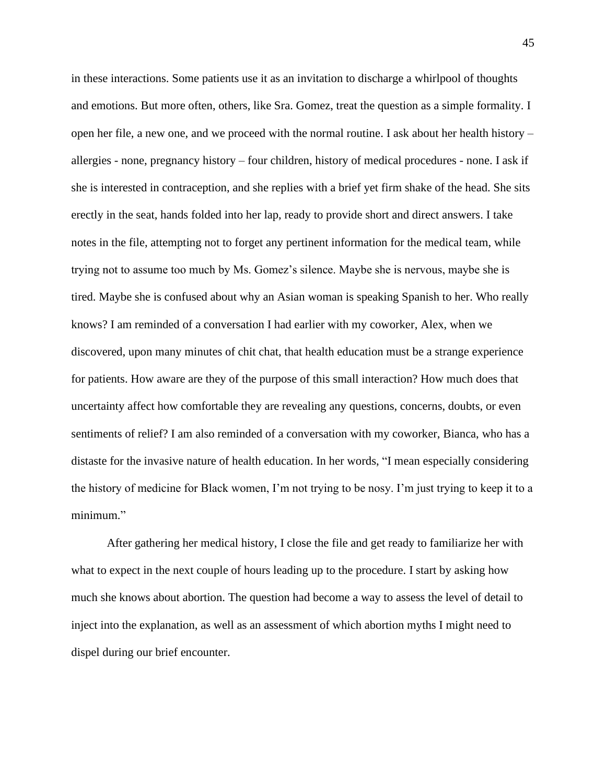in these interactions. Some patients use it as an invitation to discharge a whirlpool of thoughts and emotions. But more often, others, like Sra. Gomez, treat the question as a simple formality. I open her file, a new one, and we proceed with the normal routine. I ask about her health history – allergies - none, pregnancy history – four children, history of medical procedures - none. I ask if she is interested in contraception, and she replies with a brief yet firm shake of the head. She sits erectly in the seat, hands folded into her lap, ready to provide short and direct answers. I take notes in the file, attempting not to forget any pertinent information for the medical team, while trying not to assume too much by Ms. Gomez's silence. Maybe she is nervous, maybe she is tired. Maybe she is confused about why an Asian woman is speaking Spanish to her. Who really knows? I am reminded of a conversation I had earlier with my coworker, Alex, when we discovered, upon many minutes of chit chat, that health education must be a strange experience for patients. How aware are they of the purpose of this small interaction? How much does that uncertainty affect how comfortable they are revealing any questions, concerns, doubts, or even sentiments of relief? I am also reminded of a conversation with my coworker, Bianca, who has a distaste for the invasive nature of health education. In her words, "I mean especially considering the history of medicine for Black women, I'm not trying to be nosy. I'm just trying to keep it to a minimum."

After gathering her medical history, I close the file and get ready to familiarize her with what to expect in the next couple of hours leading up to the procedure. I start by asking how much she knows about abortion. The question had become a way to assess the level of detail to inject into the explanation, as well as an assessment of which abortion myths I might need to dispel during our brief encounter.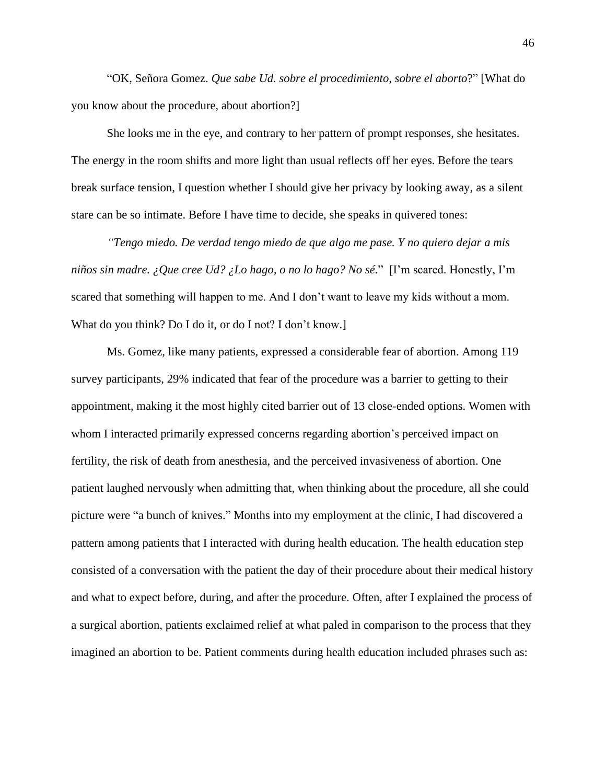"OK, Señora Gomez. *Que sabe Ud. sobre el procedimiento, sobre el aborto*?" [What do you know about the procedure, about abortion?]

She looks me in the eye, and contrary to her pattern of prompt responses, she hesitates. The energy in the room shifts and more light than usual reflects off her eyes. Before the tears break surface tension, I question whether I should give her privacy by looking away, as a silent stare can be so intimate. Before I have time to decide, she speaks in quivered tones:

*"Tengo miedo. De verdad tengo miedo de que algo me pase. Y no quiero dejar a mis niños sin madre. ¿Que cree Ud? ¿Lo hago, o no lo hago? No sé*." [I'm scared. Honestly, I'm scared that something will happen to me. And I don't want to leave my kids without a mom. What do you think? Do I do it, or do I not? I don't know.]

Ms. Gomez, like many patients, expressed a considerable fear of abortion. Among 119 survey participants, 29% indicated that fear of the procedure was a barrier to getting to their appointment, making it the most highly cited barrier out of 13 close-ended options. Women with whom I interacted primarily expressed concerns regarding abortion's perceived impact on fertility, the risk of death from anesthesia, and the perceived invasiveness of abortion. One patient laughed nervously when admitting that, when thinking about the procedure, all she could picture were "a bunch of knives." Months into my employment at the clinic, I had discovered a pattern among patients that I interacted with during health education. The health education step consisted of a conversation with the patient the day of their procedure about their medical history and what to expect before, during, and after the procedure. Often, after I explained the process of a surgical abortion, patients exclaimed relief at what paled in comparison to the process that they imagined an abortion to be. Patient comments during health education included phrases such as: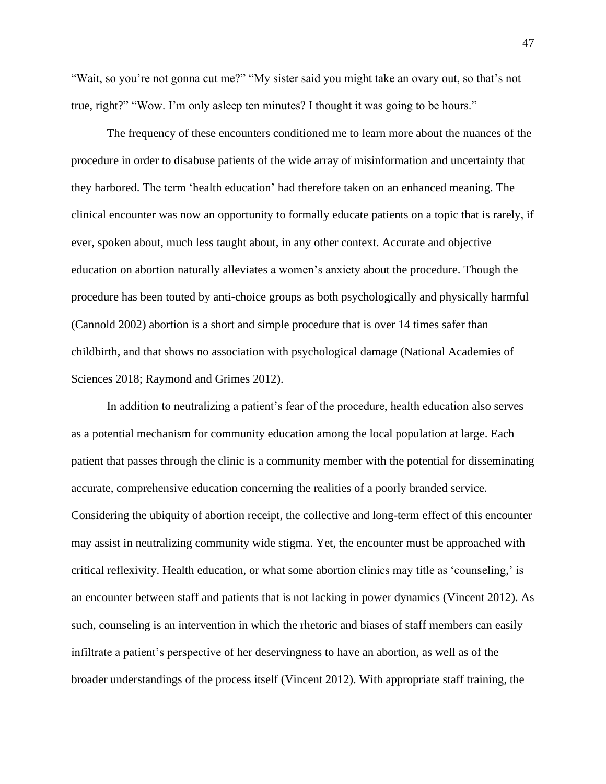"Wait, so you're not gonna cut me?" "My sister said you might take an ovary out, so that's not true, right?" "Wow. I'm only asleep ten minutes? I thought it was going to be hours."

The frequency of these encounters conditioned me to learn more about the nuances of the procedure in order to disabuse patients of the wide array of misinformation and uncertainty that they harbored. The term 'health education' had therefore taken on an enhanced meaning. The clinical encounter was now an opportunity to formally educate patients on a topic that is rarely, if ever, spoken about, much less taught about, in any other context. Accurate and objective education on abortion naturally alleviates a women's anxiety about the procedure. Though the procedure has been touted by anti-choice groups as both psychologically and physically harmful (Cannold 2002) abortion is a short and simple procedure that is over 14 times safer than childbirth, and that shows no association with psychological damage (National Academies of Sciences 2018; Raymond and Grimes 2012).

In addition to neutralizing a patient's fear of the procedure, health education also serves as a potential mechanism for community education among the local population at large. Each patient that passes through the clinic is a community member with the potential for disseminating accurate, comprehensive education concerning the realities of a poorly branded service. Considering the ubiquity of abortion receipt, the collective and long-term effect of this encounter may assist in neutralizing community wide stigma. Yet, the encounter must be approached with critical reflexivity. Health education, or what some abortion clinics may title as 'counseling,' is an encounter between staff and patients that is not lacking in power dynamics (Vincent 2012). As such, counseling is an intervention in which the rhetoric and biases of staff members can easily infiltrate a patient's perspective of her deservingness to have an abortion, as well as of the broader understandings of the process itself (Vincent 2012). With appropriate staff training, the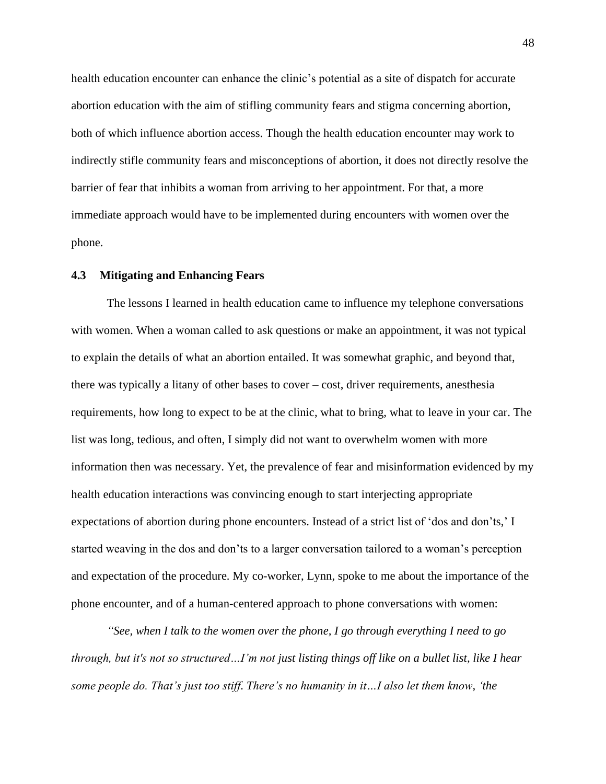health education encounter can enhance the clinic's potential as a site of dispatch for accurate abortion education with the aim of stifling community fears and stigma concerning abortion, both of which influence abortion access. Though the health education encounter may work to indirectly stifle community fears and misconceptions of abortion, it does not directly resolve the barrier of fear that inhibits a woman from arriving to her appointment. For that, a more immediate approach would have to be implemented during encounters with women over the phone.

#### **4.3 Mitigating and Enhancing Fears**

The lessons I learned in health education came to influence my telephone conversations with women. When a woman called to ask questions or make an appointment, it was not typical to explain the details of what an abortion entailed. It was somewhat graphic, and beyond that, there was typically a litany of other bases to cover – cost, driver requirements, anesthesia requirements, how long to expect to be at the clinic, what to bring, what to leave in your car. The list was long, tedious, and often, I simply did not want to overwhelm women with more information then was necessary. Yet, the prevalence of fear and misinformation evidenced by my health education interactions was convincing enough to start interjecting appropriate expectations of abortion during phone encounters. Instead of a strict list of 'dos and don'ts,' I started weaving in the dos and don'ts to a larger conversation tailored to a woman's perception and expectation of the procedure. My co-worker, Lynn, spoke to me about the importance of the phone encounter, and of a human-centered approach to phone conversations with women:

*"See, when I talk to the women over the phone, I go through everything I need to go through, but it's not so structured…I'm not just listing things off like on a bullet list, like I hear some people do. That's just too stiff. There's no humanity in it…I also let them know, 'the*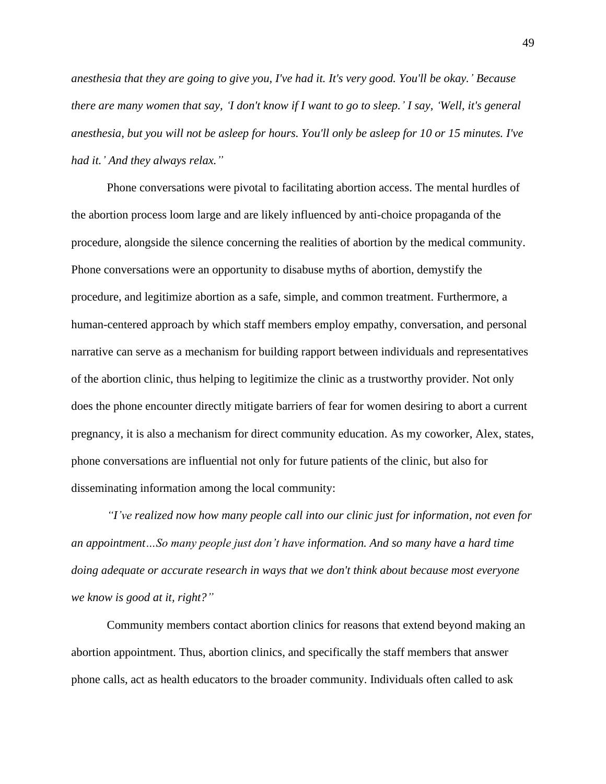*anesthesia that they are going to give you, I've had it. It's very good. You'll be okay.' Because there are many women that say, 'I don't know if I want to go to sleep.' I say, 'Well, it's general anesthesia, but you will not be asleep for hours. You'll only be asleep for 10 or 15 minutes. I've had it.' And they always relax."*

Phone conversations were pivotal to facilitating abortion access. The mental hurdles of the abortion process loom large and are likely influenced by anti-choice propaganda of the procedure, alongside the silence concerning the realities of abortion by the medical community. Phone conversations were an opportunity to disabuse myths of abortion, demystify the procedure, and legitimize abortion as a safe, simple, and common treatment. Furthermore, a human-centered approach by which staff members employ empathy, conversation, and personal narrative can serve as a mechanism for building rapport between individuals and representatives of the abortion clinic, thus helping to legitimize the clinic as a trustworthy provider. Not only does the phone encounter directly mitigate barriers of fear for women desiring to abort a current pregnancy, it is also a mechanism for direct community education. As my coworker, Alex, states, phone conversations are influential not only for future patients of the clinic, but also for disseminating information among the local community:

*"I've realized now how many people call into our clinic just for information, not even for an appointment…So many people just don't have information. And so many have a hard time doing adequate or accurate research in ways that we don't think about because most everyone we know is good at it, right?"*

Community members contact abortion clinics for reasons that extend beyond making an abortion appointment. Thus, abortion clinics, and specifically the staff members that answer phone calls, act as health educators to the broader community. Individuals often called to ask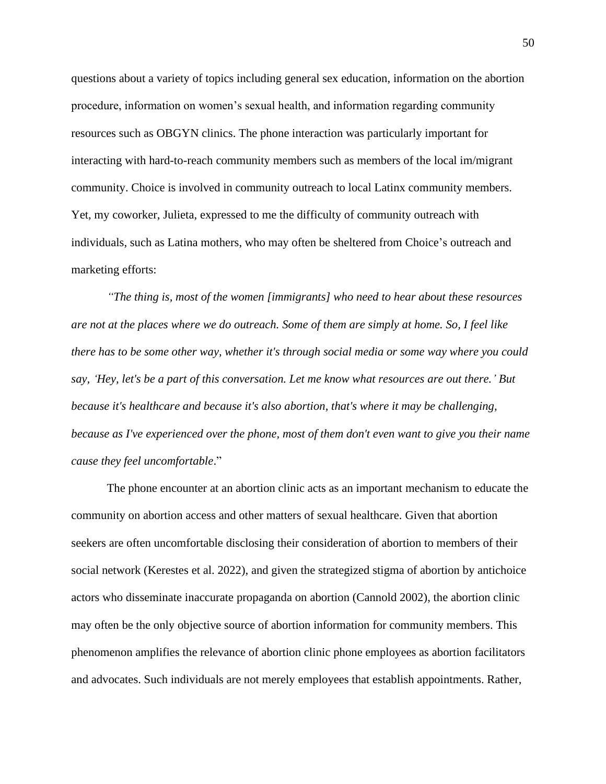questions about a variety of topics including general sex education, information on the abortion procedure, information on women's sexual health, and information regarding community resources such as OBGYN clinics. The phone interaction was particularly important for interacting with hard-to-reach community members such as members of the local im/migrant community. Choice is involved in community outreach to local Latinx community members. Yet, my coworker, Julieta, expressed to me the difficulty of community outreach with individuals, such as Latina mothers, who may often be sheltered from Choice's outreach and marketing efforts:

*"The thing is, most of the women [immigrants] who need to hear about these resources are not at the places where we do outreach. Some of them are simply at home. So, I feel like there has to be some other way, whether it's through social media or some way where you could say, 'Hey, let's be a part of this conversation. Let me know what resources are out there.' But because it's healthcare and because it's also abortion, that's where it may be challenging, because as I've experienced over the phone, most of them don't even want to give you their name cause they feel uncomfortable*."

The phone encounter at an abortion clinic acts as an important mechanism to educate the community on abortion access and other matters of sexual healthcare. Given that abortion seekers are often uncomfortable disclosing their consideration of abortion to members of their social network (Kerestes et al. 2022), and given the strategized stigma of abortion by antichoice actors who disseminate inaccurate propaganda on abortion (Cannold 2002), the abortion clinic may often be the only objective source of abortion information for community members. This phenomenon amplifies the relevance of abortion clinic phone employees as abortion facilitators and advocates. Such individuals are not merely employees that establish appointments. Rather,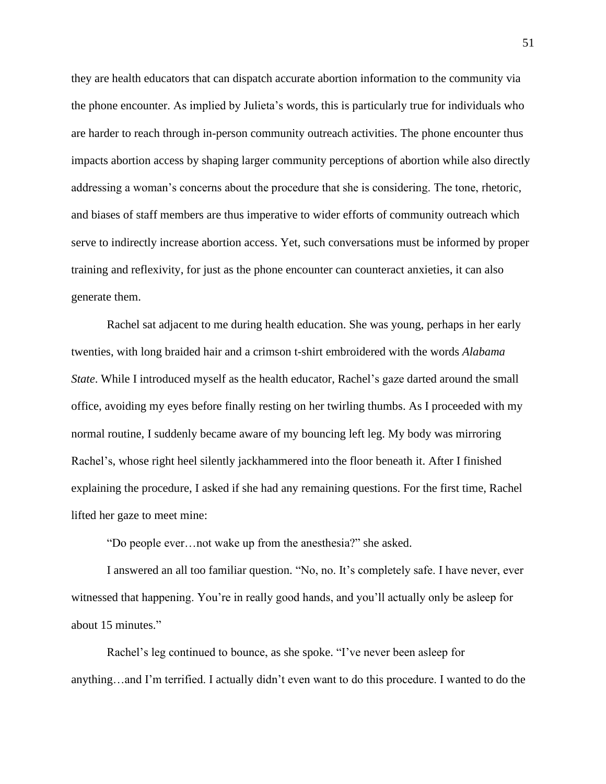they are health educators that can dispatch accurate abortion information to the community via the phone encounter. As implied by Julieta's words, this is particularly true for individuals who are harder to reach through in-person community outreach activities. The phone encounter thus impacts abortion access by shaping larger community perceptions of abortion while also directly addressing a woman's concerns about the procedure that she is considering. The tone, rhetoric, and biases of staff members are thus imperative to wider efforts of community outreach which serve to indirectly increase abortion access. Yet, such conversations must be informed by proper training and reflexivity, for just as the phone encounter can counteract anxieties, it can also generate them.

Rachel sat adjacent to me during health education. She was young, perhaps in her early twenties, with long braided hair and a crimson t-shirt embroidered with the words *Alabama State*. While I introduced myself as the health educator, Rachel's gaze darted around the small office, avoiding my eyes before finally resting on her twirling thumbs. As I proceeded with my normal routine, I suddenly became aware of my bouncing left leg. My body was mirroring Rachel's, whose right heel silently jackhammered into the floor beneath it. After I finished explaining the procedure, I asked if she had any remaining questions. For the first time, Rachel lifted her gaze to meet mine:

"Do people ever…not wake up from the anesthesia?" she asked.

I answered an all too familiar question. "No, no. It's completely safe. I have never, ever witnessed that happening. You're in really good hands, and you'll actually only be asleep for about 15 minutes."

Rachel's leg continued to bounce, as she spoke. "I've never been asleep for anything…and I'm terrified. I actually didn't even want to do this procedure. I wanted to do the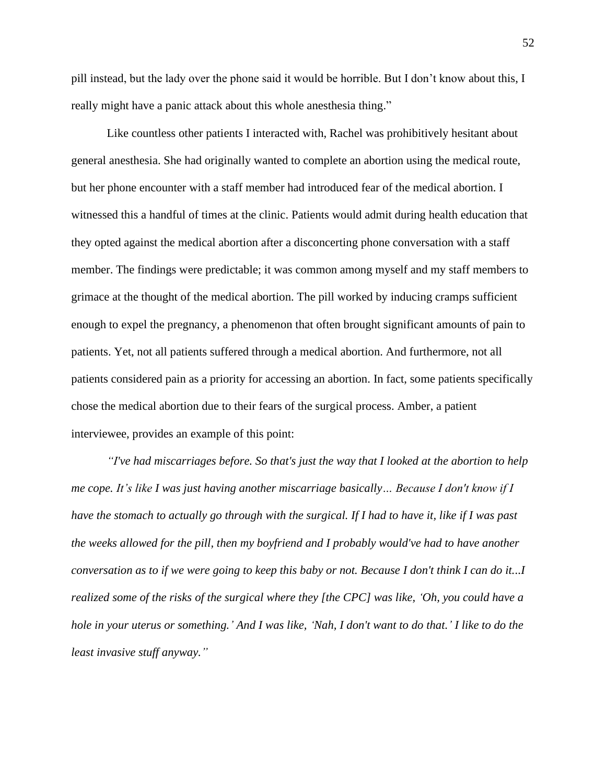pill instead, but the lady over the phone said it would be horrible. But I don't know about this, I really might have a panic attack about this whole anesthesia thing."

Like countless other patients I interacted with, Rachel was prohibitively hesitant about general anesthesia. She had originally wanted to complete an abortion using the medical route, but her phone encounter with a staff member had introduced fear of the medical abortion. I witnessed this a handful of times at the clinic. Patients would admit during health education that they opted against the medical abortion after a disconcerting phone conversation with a staff member. The findings were predictable; it was common among myself and my staff members to grimace at the thought of the medical abortion. The pill worked by inducing cramps sufficient enough to expel the pregnancy, a phenomenon that often brought significant amounts of pain to patients. Yet, not all patients suffered through a medical abortion. And furthermore, not all patients considered pain as a priority for accessing an abortion. In fact, some patients specifically chose the medical abortion due to their fears of the surgical process. Amber, a patient interviewee, provides an example of this point:

*"I've had miscarriages before. So that's just the way that I looked at the abortion to help me cope. It's like I was just having another miscarriage basically… Because I don't know if I have the stomach to actually go through with the surgical. If I had to have it, like if I was past the weeks allowed for the pill, then my boyfriend and I probably would've had to have another conversation as to if we were going to keep this baby or not. Because I don't think I can do it...I realized some of the risks of the surgical where they [the CPC] was like, 'Oh, you could have a hole in your uterus or something.' And I was like, 'Nah, I don't want to do that.' I like to do the least invasive stuff anyway."*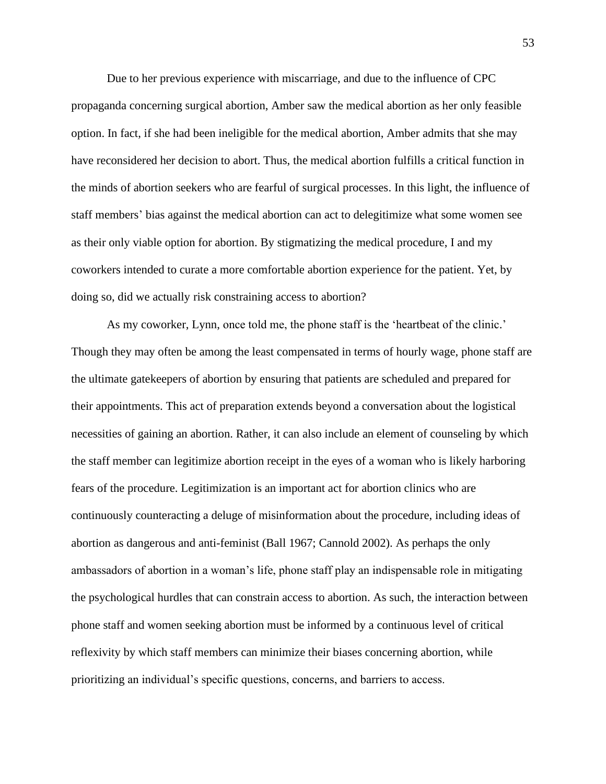Due to her previous experience with miscarriage, and due to the influence of CPC propaganda concerning surgical abortion, Amber saw the medical abortion as her only feasible option. In fact, if she had been ineligible for the medical abortion, Amber admits that she may have reconsidered her decision to abort. Thus, the medical abortion fulfills a critical function in the minds of abortion seekers who are fearful of surgical processes. In this light, the influence of staff members' bias against the medical abortion can act to delegitimize what some women see as their only viable option for abortion. By stigmatizing the medical procedure, I and my coworkers intended to curate a more comfortable abortion experience for the patient. Yet, by doing so, did we actually risk constraining access to abortion?

As my coworker, Lynn, once told me, the phone staff is the 'heartbeat of the clinic.' Though they may often be among the least compensated in terms of hourly wage, phone staff are the ultimate gatekeepers of abortion by ensuring that patients are scheduled and prepared for their appointments. This act of preparation extends beyond a conversation about the logistical necessities of gaining an abortion. Rather, it can also include an element of counseling by which the staff member can legitimize abortion receipt in the eyes of a woman who is likely harboring fears of the procedure. Legitimization is an important act for abortion clinics who are continuously counteracting a deluge of misinformation about the procedure, including ideas of abortion as dangerous and anti-feminist (Ball 1967; Cannold 2002). As perhaps the only ambassadors of abortion in a woman's life, phone staff play an indispensable role in mitigating the psychological hurdles that can constrain access to abortion. As such, the interaction between phone staff and women seeking abortion must be informed by a continuous level of critical reflexivity by which staff members can minimize their biases concerning abortion, while prioritizing an individual's specific questions, concerns, and barriers to access.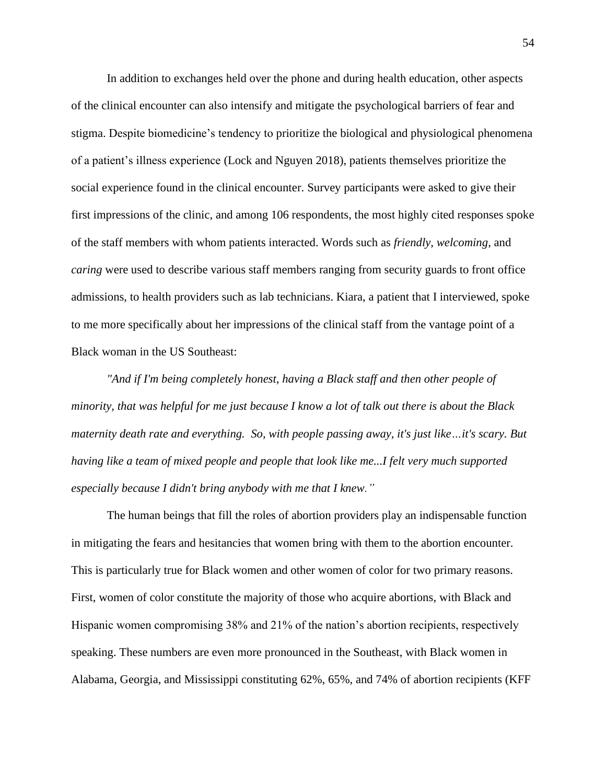In addition to exchanges held over the phone and during health education, other aspects of the clinical encounter can also intensify and mitigate the psychological barriers of fear and stigma. Despite biomedicine's tendency to prioritize the biological and physiological phenomena of a patient's illness experience (Lock and Nguyen 2018), patients themselves prioritize the social experience found in the clinical encounter. Survey participants were asked to give their first impressions of the clinic, and among 106 respondents, the most highly cited responses spoke of the staff members with whom patients interacted. Words such as *friendly, welcoming*, and *caring* were used to describe various staff members ranging from security guards to front office admissions, to health providers such as lab technicians. Kiara, a patient that I interviewed, spoke to me more specifically about her impressions of the clinical staff from the vantage point of a Black woman in the US Southeast:

*"And if I'm being completely honest, having a Black staff and then other people of minority, that was helpful for me just because I know a lot of talk out there is about the Black maternity death rate and everything. So, with people passing away, it's just like…it's scary. But having like a team of mixed people and people that look like me...I felt very much supported especially because I didn't bring anybody with me that I knew."*

The human beings that fill the roles of abortion providers play an indispensable function in mitigating the fears and hesitancies that women bring with them to the abortion encounter. This is particularly true for Black women and other women of color for two primary reasons. First, women of color constitute the majority of those who acquire abortions, with Black and Hispanic women compromising 38% and 21% of the nation's abortion recipients, respectively speaking. These numbers are even more pronounced in the Southeast, with Black women in Alabama, Georgia, and Mississippi constituting 62%, 65%, and 74% of abortion recipients (KFF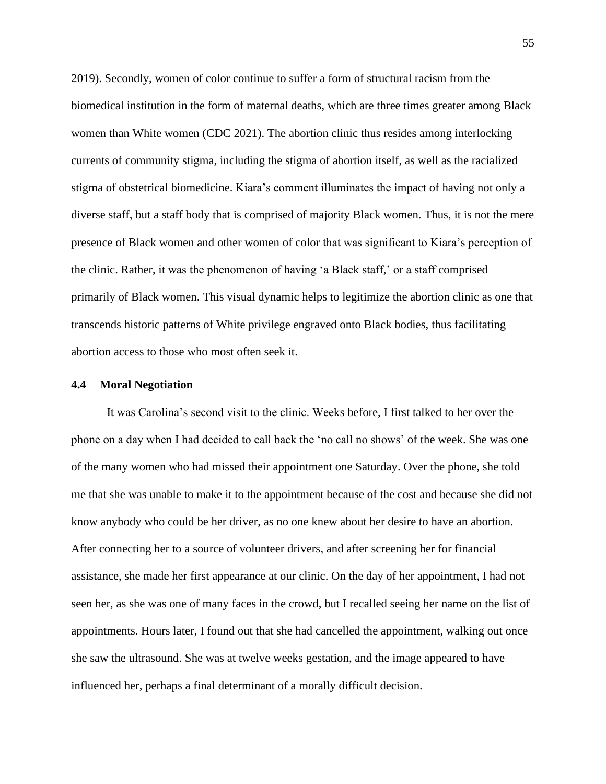2019). Secondly, women of color continue to suffer a form of structural racism from the biomedical institution in the form of maternal deaths, which are three times greater among Black women than White women (CDC 2021). The abortion clinic thus resides among interlocking currents of community stigma, including the stigma of abortion itself, as well as the racialized stigma of obstetrical biomedicine. Kiara's comment illuminates the impact of having not only a diverse staff, but a staff body that is comprised of majority Black women. Thus, it is not the mere presence of Black women and other women of color that was significant to Kiara's perception of the clinic. Rather, it was the phenomenon of having 'a Black staff,' or a staff comprised primarily of Black women. This visual dynamic helps to legitimize the abortion clinic as one that transcends historic patterns of White privilege engraved onto Black bodies, thus facilitating abortion access to those who most often seek it.

#### **4.4 Moral Negotiation**

It was Carolina's second visit to the clinic. Weeks before, I first talked to her over the phone on a day when I had decided to call back the 'no call no shows' of the week. She was one of the many women who had missed their appointment one Saturday. Over the phone, she told me that she was unable to make it to the appointment because of the cost and because she did not know anybody who could be her driver, as no one knew about her desire to have an abortion. After connecting her to a source of volunteer drivers, and after screening her for financial assistance, she made her first appearance at our clinic. On the day of her appointment, I had not seen her, as she was one of many faces in the crowd, but I recalled seeing her name on the list of appointments. Hours later, I found out that she had cancelled the appointment, walking out once she saw the ultrasound. She was at twelve weeks gestation, and the image appeared to have influenced her, perhaps a final determinant of a morally difficult decision.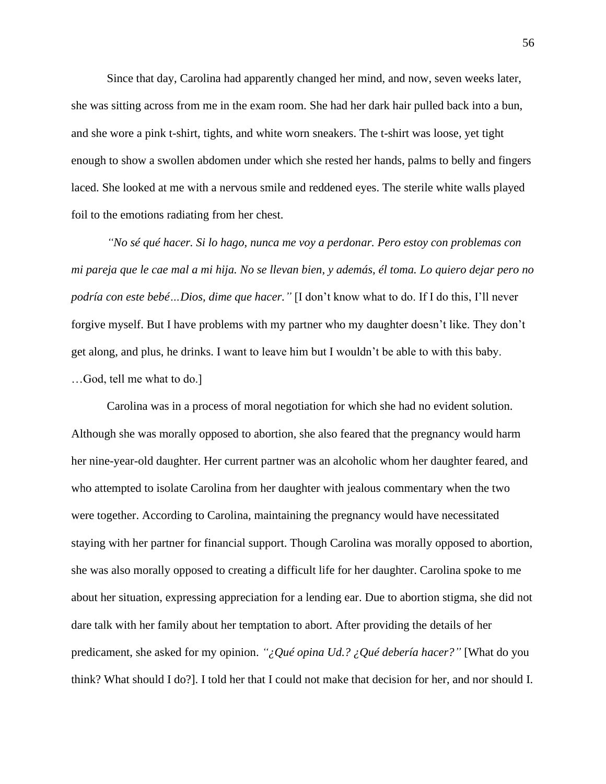Since that day, Carolina had apparently changed her mind, and now, seven weeks later, she was sitting across from me in the exam room. She had her dark hair pulled back into a bun, and she wore a pink t-shirt, tights, and white worn sneakers. The t-shirt was loose, yet tight enough to show a swollen abdomen under which she rested her hands, palms to belly and fingers laced. She looked at me with a nervous smile and reddened eyes. The sterile white walls played foil to the emotions radiating from her chest.

*"No sé qué hacer. Si lo hago, nunca me voy a perdonar. Pero estoy con problemas con mi pareja que le cae mal a mi hija. No se llevan bien, y además, él toma. Lo quiero dejar pero no podría con este bebé…Dios, dime que hacer."* [I don't know what to do. If I do this, I'll never forgive myself. But I have problems with my partner who my daughter doesn't like. They don't get along, and plus, he drinks. I want to leave him but I wouldn't be able to with this baby. …God, tell me what to do.]

Carolina was in a process of moral negotiation for which she had no evident solution. Although she was morally opposed to abortion, she also feared that the pregnancy would harm her nine-year-old daughter. Her current partner was an alcoholic whom her daughter feared, and who attempted to isolate Carolina from her daughter with jealous commentary when the two were together. According to Carolina, maintaining the pregnancy would have necessitated staying with her partner for financial support. Though Carolina was morally opposed to abortion, she was also morally opposed to creating a difficult life for her daughter. Carolina spoke to me about her situation, expressing appreciation for a lending ear. Due to abortion stigma, she did not dare talk with her family about her temptation to abort. After providing the details of her predicament, she asked for my opinion. *"¿Qué opina Ud.? ¿Qué debería hacer?"* [What do you think? What should I do?]. I told her that I could not make that decision for her, and nor should I.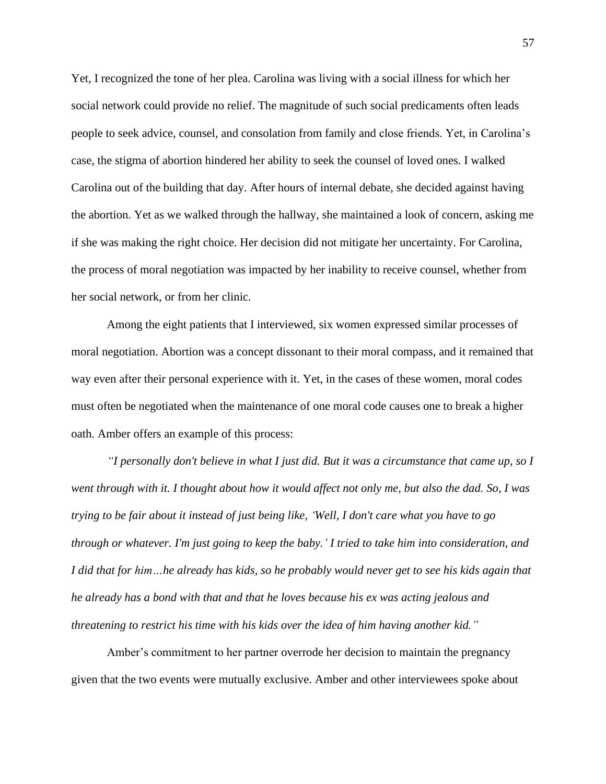Yet, I recognized the tone of her plea. Carolina was living with a social illness for which her social network could provide no relief. The magnitude of such social predicaments often leads people to seek advice, counsel, and consolation from family and close friends. Yet, in Carolina's case, the stigma of abortion hindered her ability to seek the counsel of loved ones. I walked Carolina out of the building that day. After hours of internal debate, she decided against having the abortion. Yet as we walked through the hallway, she maintained a look of concern, asking me if she was making the right choice. Her decision did not mitigate her uncertainty. For Carolina, the process of moral negotiation was impacted by her inability to receive counsel, whether from her social network, or from her clinic.

Among the eight patients that I interviewed, six women expressed similar processes of moral negotiation. Abortion was a concept dissonant to their moral compass, and it remained that way even after their personal experience with it. Yet, in the cases of these women, moral codes must often be negotiated when the maintenance of one moral code causes one to break a higher oath. Amber offers an example of this process:

*"I personally don't believe in what I just did. But it was a circumstance that came up, so I went through with it. I thought about how it would affect not only me, but also the dad. So, I was trying to be fair about it instead of just being like, 'Well, I don't care what you have to go through or whatever. I'm just going to keep the baby.' I tried to take him into consideration, and I did that for him…he already has kids, so he probably would never get to see his kids again that he already has a bond with that and that he loves because his ex was acting jealous and threatening to restrict his time with his kids over the idea of him having another kid."*

Amber's commitment to her partner overrode her decision to maintain the pregnancy given that the two events were mutually exclusive. Amber and other interviewees spoke about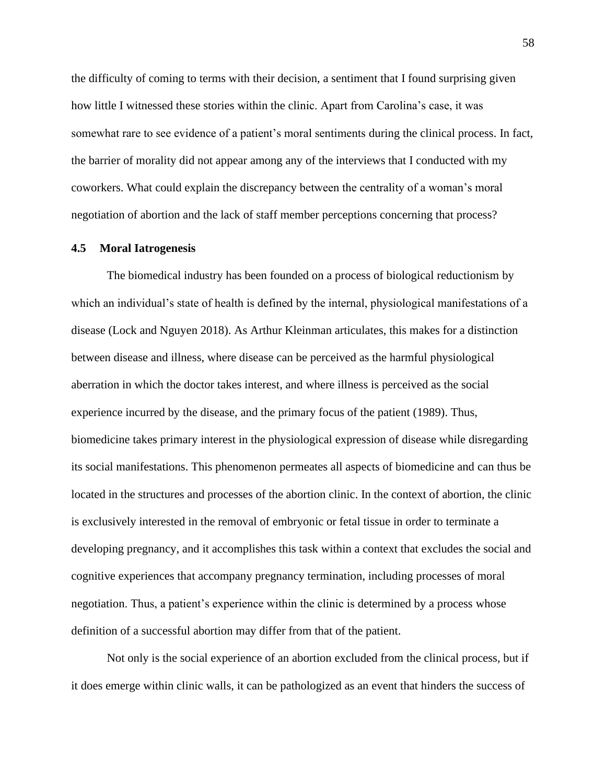the difficulty of coming to terms with their decision, a sentiment that I found surprising given how little I witnessed these stories within the clinic. Apart from Carolina's case, it was somewhat rare to see evidence of a patient's moral sentiments during the clinical process. In fact, the barrier of morality did not appear among any of the interviews that I conducted with my coworkers. What could explain the discrepancy between the centrality of a woman's moral negotiation of abortion and the lack of staff member perceptions concerning that process?

## **4.5 Moral Iatrogenesis**

The biomedical industry has been founded on a process of biological reductionism by which an individual's state of health is defined by the internal, physiological manifestations of a disease (Lock and Nguyen 2018). As Arthur Kleinman articulates, this makes for a distinction between disease and illness, where disease can be perceived as the harmful physiological aberration in which the doctor takes interest, and where illness is perceived as the social experience incurred by the disease, and the primary focus of the patient (1989). Thus, biomedicine takes primary interest in the physiological expression of disease while disregarding its social manifestations. This phenomenon permeates all aspects of biomedicine and can thus be located in the structures and processes of the abortion clinic. In the context of abortion, the clinic is exclusively interested in the removal of embryonic or fetal tissue in order to terminate a developing pregnancy, and it accomplishes this task within a context that excludes the social and cognitive experiences that accompany pregnancy termination, including processes of moral negotiation. Thus, a patient's experience within the clinic is determined by a process whose definition of a successful abortion may differ from that of the patient.

Not only is the social experience of an abortion excluded from the clinical process, but if it does emerge within clinic walls, it can be pathologized as an event that hinders the success of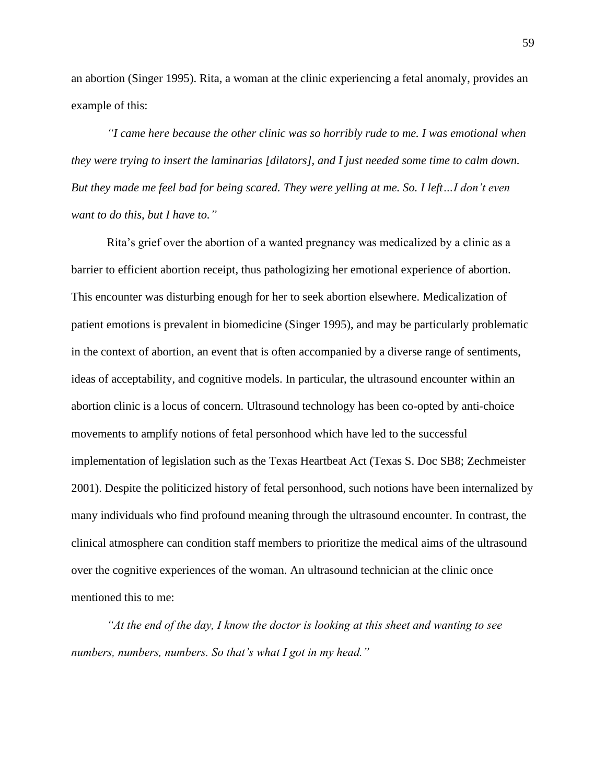an abortion (Singer 1995). Rita, a woman at the clinic experiencing a fetal anomaly, provides an example of this:

*"I came here because the other clinic was so horribly rude to me. I was emotional when they were trying to insert the laminarias [dilators], and I just needed some time to calm down. But they made me feel bad for being scared. They were yelling at me. So. I left…I don't even want to do this, but I have to."*

Rita's grief over the abortion of a wanted pregnancy was medicalized by a clinic as a barrier to efficient abortion receipt, thus pathologizing her emotional experience of abortion. This encounter was disturbing enough for her to seek abortion elsewhere. Medicalization of patient emotions is prevalent in biomedicine (Singer 1995), and may be particularly problematic in the context of abortion, an event that is often accompanied by a diverse range of sentiments, ideas of acceptability, and cognitive models. In particular, the ultrasound encounter within an abortion clinic is a locus of concern. Ultrasound technology has been co-opted by anti-choice movements to amplify notions of fetal personhood which have led to the successful implementation of legislation such as the Texas Heartbeat Act (Texas S. Doc SB8; Zechmeister 2001). Despite the politicized history of fetal personhood, such notions have been internalized by many individuals who find profound meaning through the ultrasound encounter. In contrast, the clinical atmosphere can condition staff members to prioritize the medical aims of the ultrasound over the cognitive experiences of the woman. An ultrasound technician at the clinic once mentioned this to me:

*"At the end of the day, I know the doctor is looking at this sheet and wanting to see numbers, numbers, numbers. So that's what I got in my head."*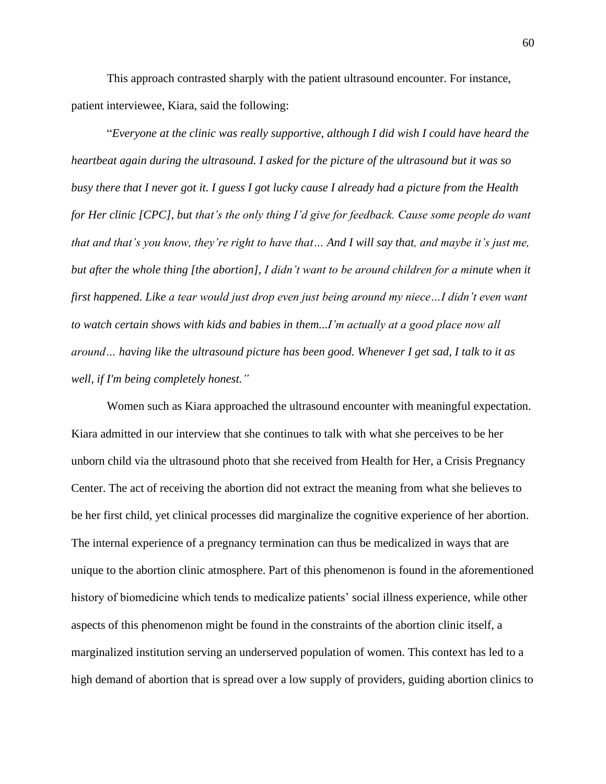This approach contrasted sharply with the patient ultrasound encounter. For instance, patient interviewee, Kiara, said the following:

"*Everyone at the clinic was really supportive, although I did wish I could have heard the heartbeat again during the ultrasound. I asked for the picture of the ultrasound but it was so busy there that I never got it. I guess I got lucky cause I already had a picture from the Health for Her clinic [CPC], but that's the only thing I'd give for feedback. Cause some people do want that and that's you know, they're right to have that… And I will say that, and maybe it's just me, but after the whole thing [the abortion], I didn't want to be around children for a minute when it first happened. Like a tear would just drop even just being around my niece…I didn't even want to watch certain shows with kids and babies in them...I'm actually at a good place now all around… having like the ultrasound picture has been good. Whenever I get sad, I talk to it as well, if I'm being completely honest."*

Women such as Kiara approached the ultrasound encounter with meaningful expectation. Kiara admitted in our interview that she continues to talk with what she perceives to be her unborn child via the ultrasound photo that she received from Health for Her, a Crisis Pregnancy Center. The act of receiving the abortion did not extract the meaning from what she believes to be her first child, yet clinical processes did marginalize the cognitive experience of her abortion. The internal experience of a pregnancy termination can thus be medicalized in ways that are unique to the abortion clinic atmosphere. Part of this phenomenon is found in the aforementioned history of biomedicine which tends to medicalize patients' social illness experience, while other aspects of this phenomenon might be found in the constraints of the abortion clinic itself, a marginalized institution serving an underserved population of women. This context has led to a high demand of abortion that is spread over a low supply of providers, guiding abortion clinics to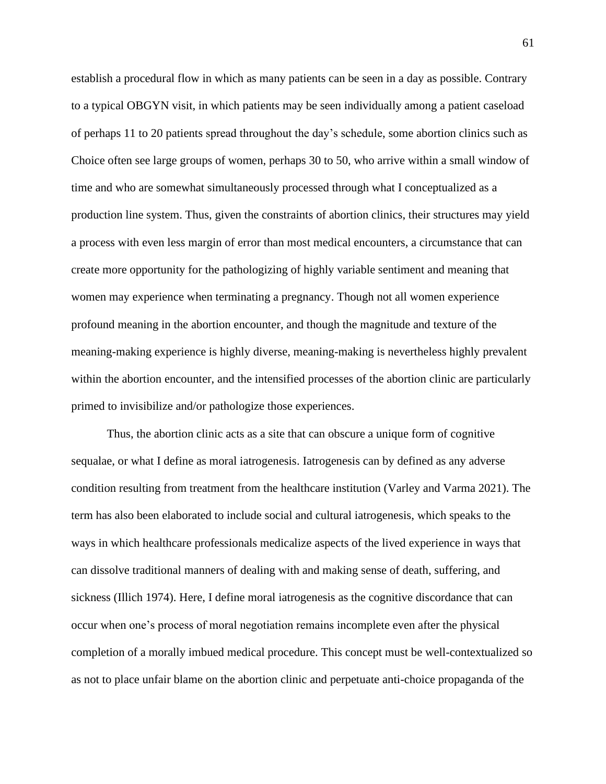establish a procedural flow in which as many patients can be seen in a day as possible. Contrary to a typical OBGYN visit, in which patients may be seen individually among a patient caseload of perhaps 11 to 20 patients spread throughout the day's schedule, some abortion clinics such as Choice often see large groups of women, perhaps 30 to 50, who arrive within a small window of time and who are somewhat simultaneously processed through what I conceptualized as a production line system. Thus, given the constraints of abortion clinics, their structures may yield a process with even less margin of error than most medical encounters, a circumstance that can create more opportunity for the pathologizing of highly variable sentiment and meaning that women may experience when terminating a pregnancy. Though not all women experience profound meaning in the abortion encounter, and though the magnitude and texture of the meaning-making experience is highly diverse, meaning-making is nevertheless highly prevalent within the abortion encounter, and the intensified processes of the abortion clinic are particularly primed to invisibilize and/or pathologize those experiences.

Thus, the abortion clinic acts as a site that can obscure a unique form of cognitive sequalae, or what I define as moral iatrogenesis. Iatrogenesis can by defined as any adverse condition resulting from treatment from the healthcare institution (Varley and Varma 2021). The term has also been elaborated to include social and cultural iatrogenesis, which speaks to the ways in which healthcare professionals medicalize aspects of the lived experience in ways that can dissolve traditional manners of dealing with and making sense of death, suffering, and sickness (Illich 1974). Here, I define moral iatrogenesis as the cognitive discordance that can occur when one's process of moral negotiation remains incomplete even after the physical completion of a morally imbued medical procedure. This concept must be well-contextualized so as not to place unfair blame on the abortion clinic and perpetuate anti-choice propaganda of the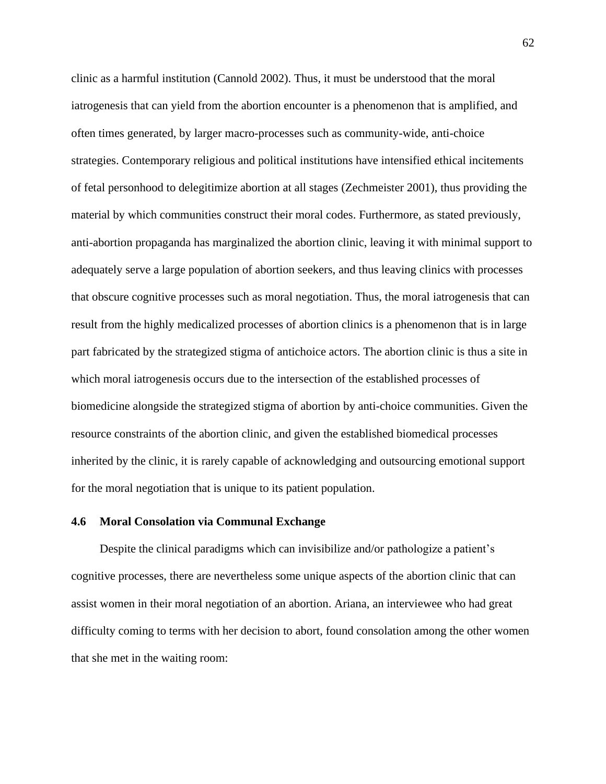clinic as a harmful institution (Cannold 2002). Thus, it must be understood that the moral iatrogenesis that can yield from the abortion encounter is a phenomenon that is amplified, and often times generated, by larger macro-processes such as community-wide, anti-choice strategies. Contemporary religious and political institutions have intensified ethical incitements of fetal personhood to delegitimize abortion at all stages (Zechmeister 2001), thus providing the material by which communities construct their moral codes. Furthermore, as stated previously, anti-abortion propaganda has marginalized the abortion clinic, leaving it with minimal support to adequately serve a large population of abortion seekers, and thus leaving clinics with processes that obscure cognitive processes such as moral negotiation. Thus, the moral iatrogenesis that can result from the highly medicalized processes of abortion clinics is a phenomenon that is in large part fabricated by the strategized stigma of antichoice actors. The abortion clinic is thus a site in which moral iatrogenesis occurs due to the intersection of the established processes of biomedicine alongside the strategized stigma of abortion by anti-choice communities. Given the resource constraints of the abortion clinic, and given the established biomedical processes inherited by the clinic, it is rarely capable of acknowledging and outsourcing emotional support for the moral negotiation that is unique to its patient population.

## **4.6 Moral Consolation via Communal Exchange**

Despite the clinical paradigms which can invisibilize and/or pathologize a patient's cognitive processes, there are nevertheless some unique aspects of the abortion clinic that can assist women in their moral negotiation of an abortion. Ariana, an interviewee who had great difficulty coming to terms with her decision to abort, found consolation among the other women that she met in the waiting room: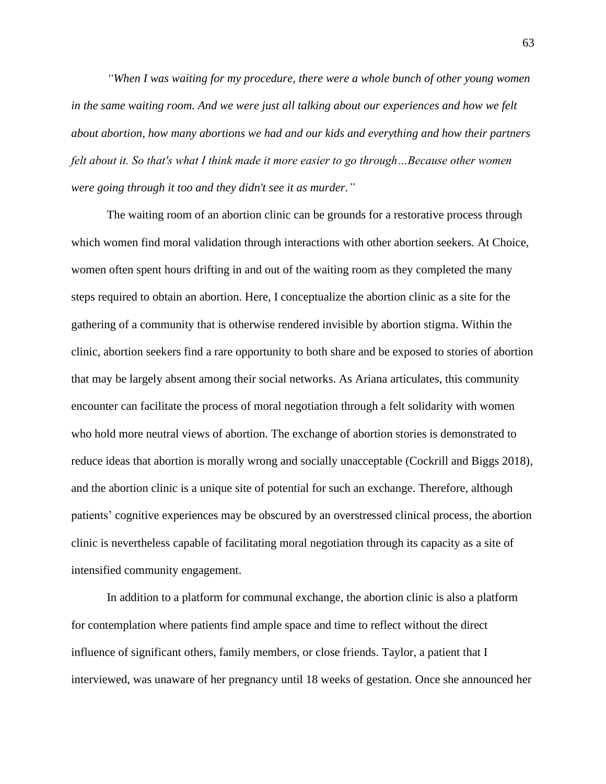*"When I was waiting for my procedure, there were a whole bunch of other young women in the same waiting room. And we were just all talking about our experiences and how we felt about abortion, how many abortions we had and our kids and everything and how their partners felt about it. So that's what I think made it more easier to go through…Because other women were going through it too and they didn't see it as murder."*

The waiting room of an abortion clinic can be grounds for a restorative process through which women find moral validation through interactions with other abortion seekers. At Choice, women often spent hours drifting in and out of the waiting room as they completed the many steps required to obtain an abortion. Here, I conceptualize the abortion clinic as a site for the gathering of a community that is otherwise rendered invisible by abortion stigma. Within the clinic, abortion seekers find a rare opportunity to both share and be exposed to stories of abortion that may be largely absent among their social networks. As Ariana articulates, this community encounter can facilitate the process of moral negotiation through a felt solidarity with women who hold more neutral views of abortion. The exchange of abortion stories is demonstrated to reduce ideas that abortion is morally wrong and socially unacceptable (Cockrill and Biggs 2018), and the abortion clinic is a unique site of potential for such an exchange. Therefore, although patients' cognitive experiences may be obscured by an overstressed clinical process, the abortion clinic is nevertheless capable of facilitating moral negotiation through its capacity as a site of intensified community engagement.

In addition to a platform for communal exchange, the abortion clinic is also a platform for contemplation where patients find ample space and time to reflect without the direct influence of significant others, family members, or close friends. Taylor, a patient that I interviewed, was unaware of her pregnancy until 18 weeks of gestation. Once she announced her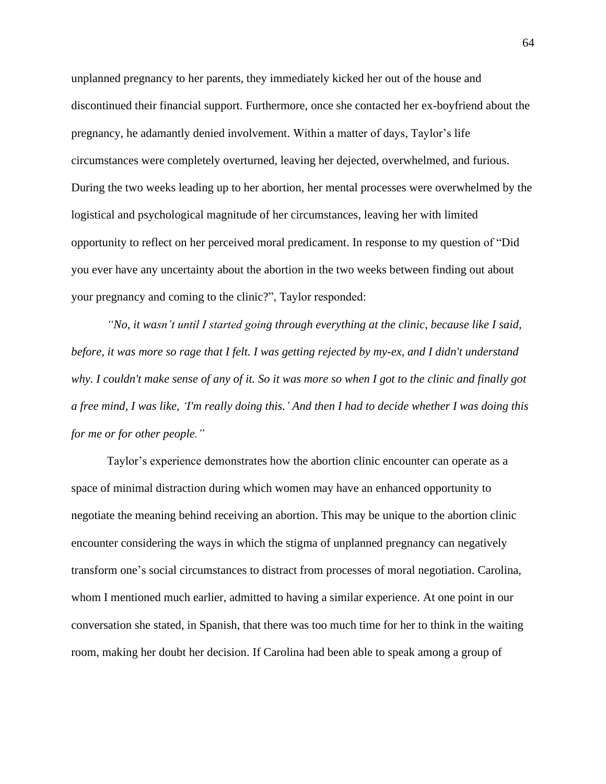unplanned pregnancy to her parents, they immediately kicked her out of the house and discontinued their financial support. Furthermore, once she contacted her ex-boyfriend about the pregnancy, he adamantly denied involvement. Within a matter of days, Taylor's life circumstances were completely overturned, leaving her dejected, overwhelmed, and furious. During the two weeks leading up to her abortion, her mental processes were overwhelmed by the logistical and psychological magnitude of her circumstances, leaving her with limited opportunity to reflect on her perceived moral predicament. In response to my question of "Did you ever have any uncertainty about the abortion in the two weeks between finding out about your pregnancy and coming to the clinic?", Taylor responded:

*"No, it wasn't until I started going through everything at the clinic, because like I said, before, it was more so rage that I felt. I was getting rejected by my-ex, and I didn't understand why. I couldn't make sense of any of it. So it was more so when I got to the clinic and finally got a free mind, I was like, 'I'm really doing this.' And then I had to decide whether I was doing this for me or for other people."*

Taylor's experience demonstrates how the abortion clinic encounter can operate as a space of minimal distraction during which women may have an enhanced opportunity to negotiate the meaning behind receiving an abortion. This may be unique to the abortion clinic encounter considering the ways in which the stigma of unplanned pregnancy can negatively transform one's social circumstances to distract from processes of moral negotiation. Carolina, whom I mentioned much earlier, admitted to having a similar experience. At one point in our conversation she stated, in Spanish, that there was too much time for her to think in the waiting room, making her doubt her decision. If Carolina had been able to speak among a group of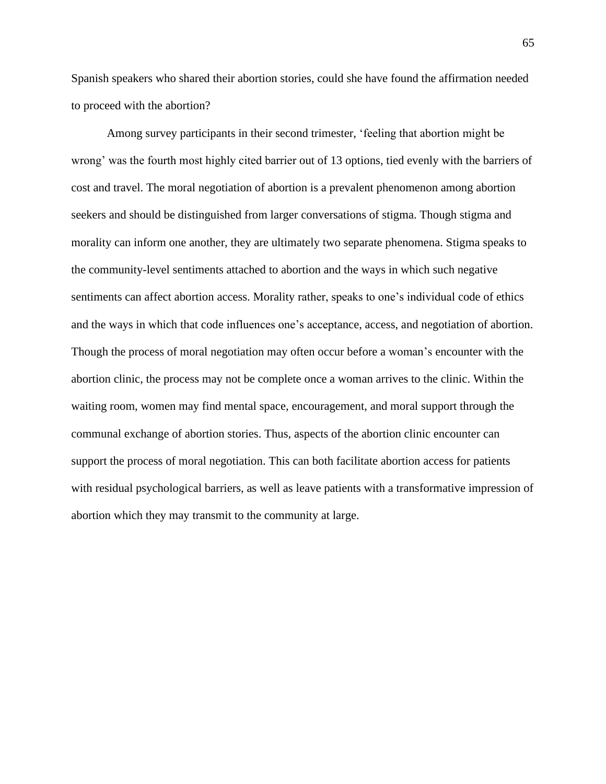Spanish speakers who shared their abortion stories, could she have found the affirmation needed to proceed with the abortion?

Among survey participants in their second trimester, 'feeling that abortion might be wrong' was the fourth most highly cited barrier out of 13 options, tied evenly with the barriers of cost and travel. The moral negotiation of abortion is a prevalent phenomenon among abortion seekers and should be distinguished from larger conversations of stigma. Though stigma and morality can inform one another, they are ultimately two separate phenomena. Stigma speaks to the community-level sentiments attached to abortion and the ways in which such negative sentiments can affect abortion access. Morality rather, speaks to one's individual code of ethics and the ways in which that code influences one's acceptance, access, and negotiation of abortion. Though the process of moral negotiation may often occur before a woman's encounter with the abortion clinic, the process may not be complete once a woman arrives to the clinic. Within the waiting room, women may find mental space, encouragement, and moral support through the communal exchange of abortion stories. Thus, aspects of the abortion clinic encounter can support the process of moral negotiation. This can both facilitate abortion access for patients with residual psychological barriers, as well as leave patients with a transformative impression of abortion which they may transmit to the community at large.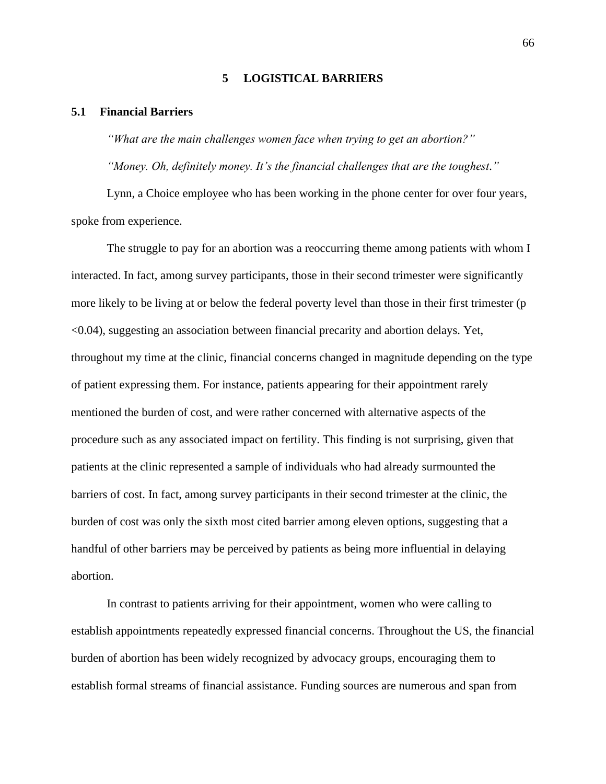### **5 LOGISTICAL BARRIERS**

## **5.1 Financial Barriers**

*"What are the main challenges women face when trying to get an abortion?" "Money. Oh, definitely money. It's the financial challenges that are the toughest."*

Lynn, a Choice employee who has been working in the phone center for over four years, spoke from experience.

The struggle to pay for an abortion was a reoccurring theme among patients with whom I interacted. In fact, among survey participants, those in their second trimester were significantly more likely to be living at or below the federal poverty level than those in their first trimester (p <0.04), suggesting an association between financial precarity and abortion delays. Yet, throughout my time at the clinic, financial concerns changed in magnitude depending on the type of patient expressing them. For instance, patients appearing for their appointment rarely mentioned the burden of cost, and were rather concerned with alternative aspects of the procedure such as any associated impact on fertility. This finding is not surprising, given that patients at the clinic represented a sample of individuals who had already surmounted the barriers of cost. In fact, among survey participants in their second trimester at the clinic, the burden of cost was only the sixth most cited barrier among eleven options, suggesting that a handful of other barriers may be perceived by patients as being more influential in delaying abortion.

In contrast to patients arriving for their appointment, women who were calling to establish appointments repeatedly expressed financial concerns. Throughout the US, the financial burden of abortion has been widely recognized by advocacy groups, encouraging them to establish formal streams of financial assistance. Funding sources are numerous and span from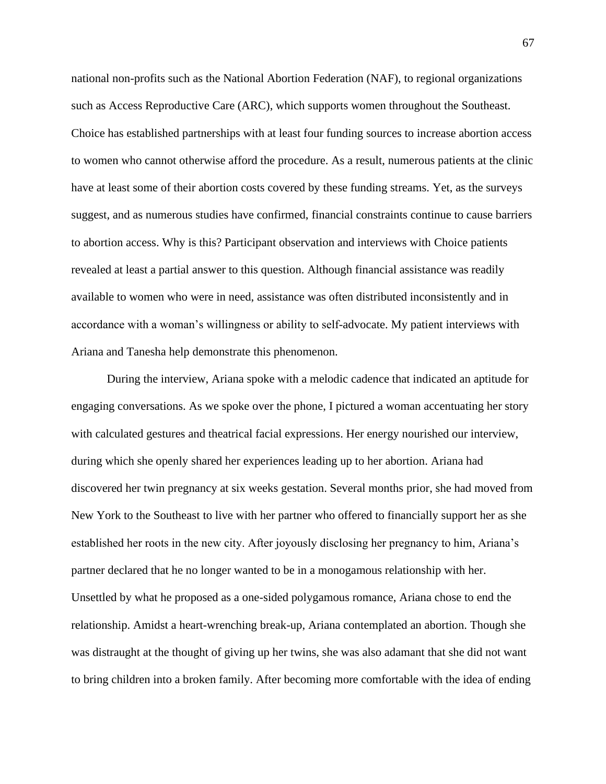national non-profits such as the National Abortion Federation (NAF), to regional organizations such as Access Reproductive Care (ARC), which supports women throughout the Southeast. Choice has established partnerships with at least four funding sources to increase abortion access to women who cannot otherwise afford the procedure. As a result, numerous patients at the clinic have at least some of their abortion costs covered by these funding streams. Yet, as the surveys suggest, and as numerous studies have confirmed, financial constraints continue to cause barriers to abortion access. Why is this? Participant observation and interviews with Choice patients revealed at least a partial answer to this question. Although financial assistance was readily available to women who were in need, assistance was often distributed inconsistently and in accordance with a woman's willingness or ability to self-advocate. My patient interviews with Ariana and Tanesha help demonstrate this phenomenon.

During the interview, Ariana spoke with a melodic cadence that indicated an aptitude for engaging conversations. As we spoke over the phone, I pictured a woman accentuating her story with calculated gestures and theatrical facial expressions. Her energy nourished our interview, during which she openly shared her experiences leading up to her abortion. Ariana had discovered her twin pregnancy at six weeks gestation. Several months prior, she had moved from New York to the Southeast to live with her partner who offered to financially support her as she established her roots in the new city. After joyously disclosing her pregnancy to him, Ariana's partner declared that he no longer wanted to be in a monogamous relationship with her. Unsettled by what he proposed as a one-sided polygamous romance, Ariana chose to end the relationship. Amidst a heart-wrenching break-up, Ariana contemplated an abortion. Though she was distraught at the thought of giving up her twins, she was also adamant that she did not want to bring children into a broken family. After becoming more comfortable with the idea of ending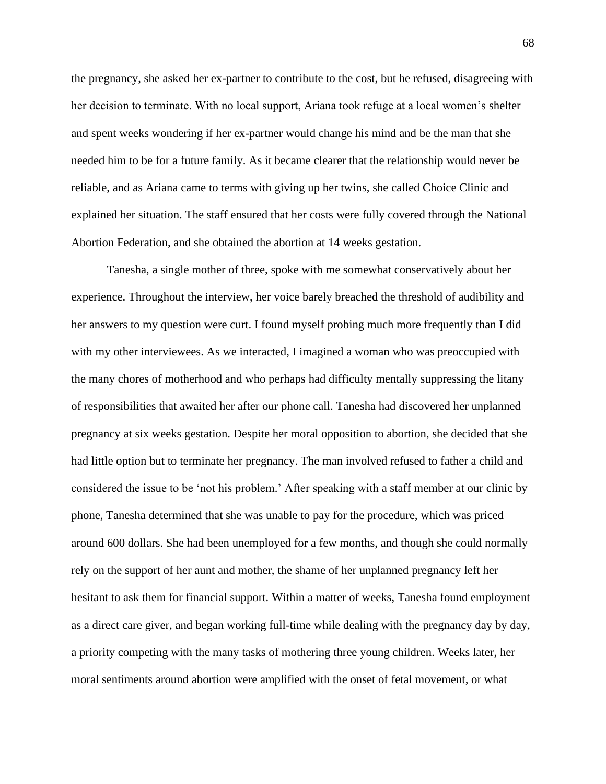the pregnancy, she asked her ex-partner to contribute to the cost, but he refused, disagreeing with her decision to terminate. With no local support, Ariana took refuge at a local women's shelter and spent weeks wondering if her ex-partner would change his mind and be the man that she needed him to be for a future family. As it became clearer that the relationship would never be reliable, and as Ariana came to terms with giving up her twins, she called Choice Clinic and explained her situation. The staff ensured that her costs were fully covered through the National Abortion Federation, and she obtained the abortion at 14 weeks gestation.

Tanesha, a single mother of three, spoke with me somewhat conservatively about her experience. Throughout the interview, her voice barely breached the threshold of audibility and her answers to my question were curt. I found myself probing much more frequently than I did with my other interviewees. As we interacted, I imagined a woman who was preoccupied with the many chores of motherhood and who perhaps had difficulty mentally suppressing the litany of responsibilities that awaited her after our phone call. Tanesha had discovered her unplanned pregnancy at six weeks gestation. Despite her moral opposition to abortion, she decided that she had little option but to terminate her pregnancy. The man involved refused to father a child and considered the issue to be 'not his problem.' After speaking with a staff member at our clinic by phone, Tanesha determined that she was unable to pay for the procedure, which was priced around 600 dollars. She had been unemployed for a few months, and though she could normally rely on the support of her aunt and mother, the shame of her unplanned pregnancy left her hesitant to ask them for financial support. Within a matter of weeks, Tanesha found employment as a direct care giver, and began working full-time while dealing with the pregnancy day by day, a priority competing with the many tasks of mothering three young children. Weeks later, her moral sentiments around abortion were amplified with the onset of fetal movement, or what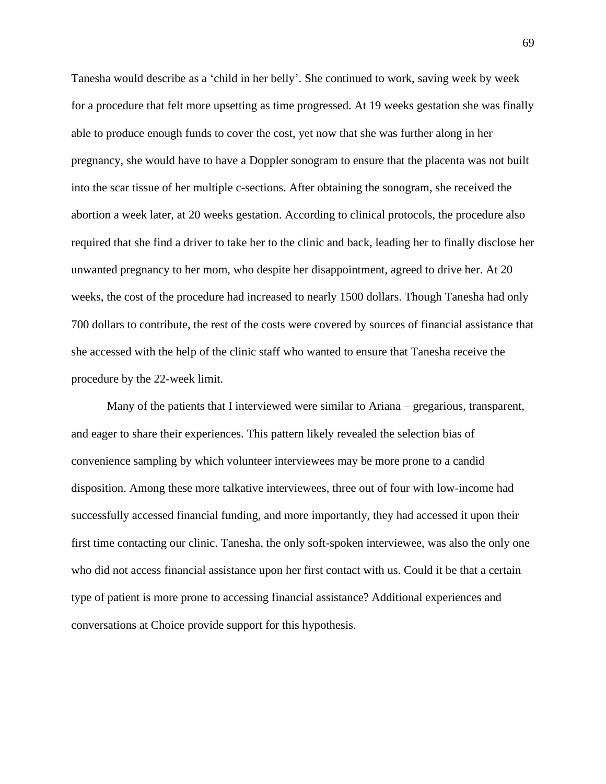Tanesha would describe as a 'child in her belly'. She continued to work, saving week by week for a procedure that felt more upsetting as time progressed. At 19 weeks gestation she was finally able to produce enough funds to cover the cost, yet now that she was further along in her pregnancy, she would have to have a Doppler sonogram to ensure that the placenta was not built into the scar tissue of her multiple c-sections. After obtaining the sonogram, she received the abortion a week later, at 20 weeks gestation. According to clinical protocols, the procedure also required that she find a driver to take her to the clinic and back, leading her to finally disclose her unwanted pregnancy to her mom, who despite her disappointment, agreed to drive her. At 20 weeks, the cost of the procedure had increased to nearly 1500 dollars. Though Tanesha had only 700 dollars to contribute, the rest of the costs were covered by sources of financial assistance that she accessed with the help of the clinic staff who wanted to ensure that Tanesha receive the procedure by the 22-week limit.

Many of the patients that I interviewed were similar to Ariana – gregarious, transparent, and eager to share their experiences. This pattern likely revealed the selection bias of convenience sampling by which volunteer interviewees may be more prone to a candid disposition. Among these more talkative interviewees, three out of four with low-income had successfully accessed financial funding, and more importantly, they had accessed it upon their first time contacting our clinic. Tanesha, the only soft-spoken interviewee, was also the only one who did not access financial assistance upon her first contact with us. Could it be that a certain type of patient is more prone to accessing financial assistance? Additional experiences and conversations at Choice provide support for this hypothesis.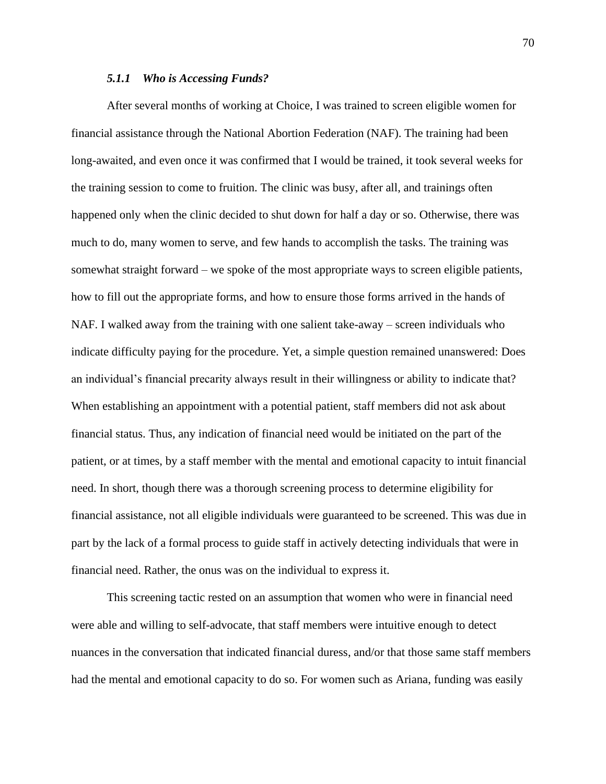## *5.1.1 Who is Accessing Funds?*

After several months of working at Choice, I was trained to screen eligible women for financial assistance through the National Abortion Federation (NAF). The training had been long-awaited, and even once it was confirmed that I would be trained, it took several weeks for the training session to come to fruition. The clinic was busy, after all, and trainings often happened only when the clinic decided to shut down for half a day or so. Otherwise, there was much to do, many women to serve, and few hands to accomplish the tasks. The training was somewhat straight forward – we spoke of the most appropriate ways to screen eligible patients, how to fill out the appropriate forms, and how to ensure those forms arrived in the hands of NAF. I walked away from the training with one salient take-away – screen individuals who indicate difficulty paying for the procedure. Yet, a simple question remained unanswered: Does an individual's financial precarity always result in their willingness or ability to indicate that? When establishing an appointment with a potential patient, staff members did not ask about financial status. Thus, any indication of financial need would be initiated on the part of the patient, or at times, by a staff member with the mental and emotional capacity to intuit financial need. In short, though there was a thorough screening process to determine eligibility for financial assistance, not all eligible individuals were guaranteed to be screened. This was due in part by the lack of a formal process to guide staff in actively detecting individuals that were in financial need. Rather, the onus was on the individual to express it.

This screening tactic rested on an assumption that women who were in financial need were able and willing to self-advocate, that staff members were intuitive enough to detect nuances in the conversation that indicated financial duress, and/or that those same staff members had the mental and emotional capacity to do so. For women such as Ariana, funding was easily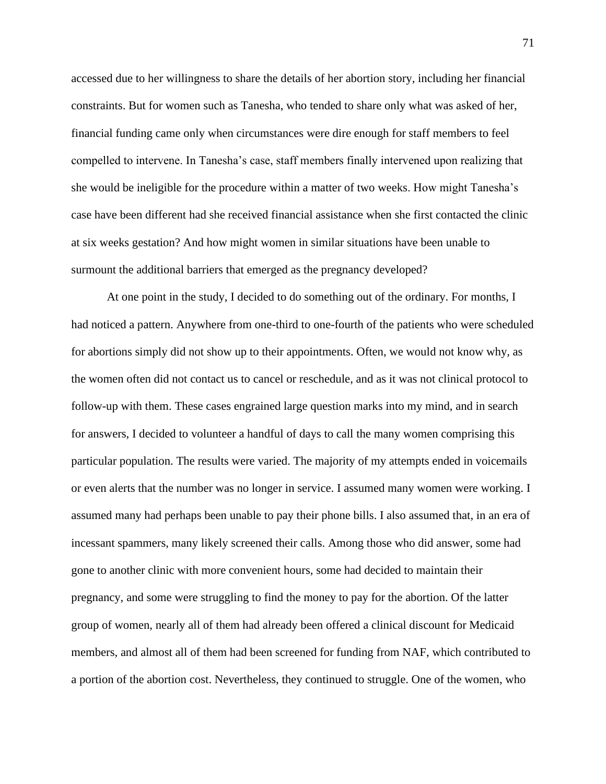accessed due to her willingness to share the details of her abortion story, including her financial constraints. But for women such as Tanesha, who tended to share only what was asked of her, financial funding came only when circumstances were dire enough for staff members to feel compelled to intervene. In Tanesha's case, staff members finally intervened upon realizing that she would be ineligible for the procedure within a matter of two weeks. How might Tanesha's case have been different had she received financial assistance when she first contacted the clinic at six weeks gestation? And how might women in similar situations have been unable to surmount the additional barriers that emerged as the pregnancy developed?

At one point in the study, I decided to do something out of the ordinary. For months, I had noticed a pattern. Anywhere from one-third to one-fourth of the patients who were scheduled for abortions simply did not show up to their appointments. Often, we would not know why, as the women often did not contact us to cancel or reschedule, and as it was not clinical protocol to follow-up with them. These cases engrained large question marks into my mind, and in search for answers, I decided to volunteer a handful of days to call the many women comprising this particular population. The results were varied. The majority of my attempts ended in voicemails or even alerts that the number was no longer in service. I assumed many women were working. I assumed many had perhaps been unable to pay their phone bills. I also assumed that, in an era of incessant spammers, many likely screened their calls. Among those who did answer, some had gone to another clinic with more convenient hours, some had decided to maintain their pregnancy, and some were struggling to find the money to pay for the abortion. Of the latter group of women, nearly all of them had already been offered a clinical discount for Medicaid members, and almost all of them had been screened for funding from NAF, which contributed to a portion of the abortion cost. Nevertheless, they continued to struggle. One of the women, who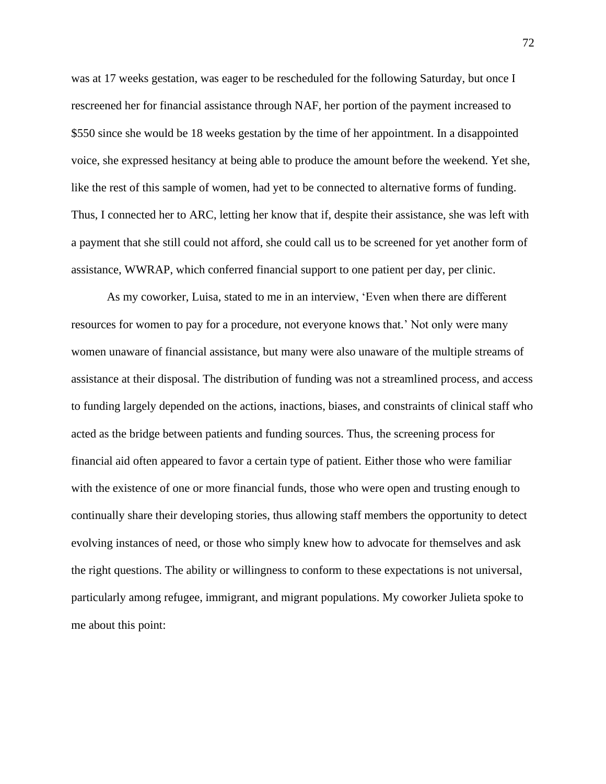was at 17 weeks gestation, was eager to be rescheduled for the following Saturday, but once I rescreened her for financial assistance through NAF, her portion of the payment increased to \$550 since she would be 18 weeks gestation by the time of her appointment. In a disappointed voice, she expressed hesitancy at being able to produce the amount before the weekend. Yet she, like the rest of this sample of women, had yet to be connected to alternative forms of funding. Thus, I connected her to ARC, letting her know that if, despite their assistance, she was left with a payment that she still could not afford, she could call us to be screened for yet another form of assistance, WWRAP, which conferred financial support to one patient per day, per clinic.

As my coworker, Luisa, stated to me in an interview, 'Even when there are different resources for women to pay for a procedure, not everyone knows that.' Not only were many women unaware of financial assistance, but many were also unaware of the multiple streams of assistance at their disposal. The distribution of funding was not a streamlined process, and access to funding largely depended on the actions, inactions, biases, and constraints of clinical staff who acted as the bridge between patients and funding sources. Thus, the screening process for financial aid often appeared to favor a certain type of patient. Either those who were familiar with the existence of one or more financial funds, those who were open and trusting enough to continually share their developing stories, thus allowing staff members the opportunity to detect evolving instances of need, or those who simply knew how to advocate for themselves and ask the right questions. The ability or willingness to conform to these expectations is not universal, particularly among refugee, immigrant, and migrant populations. My coworker Julieta spoke to me about this point: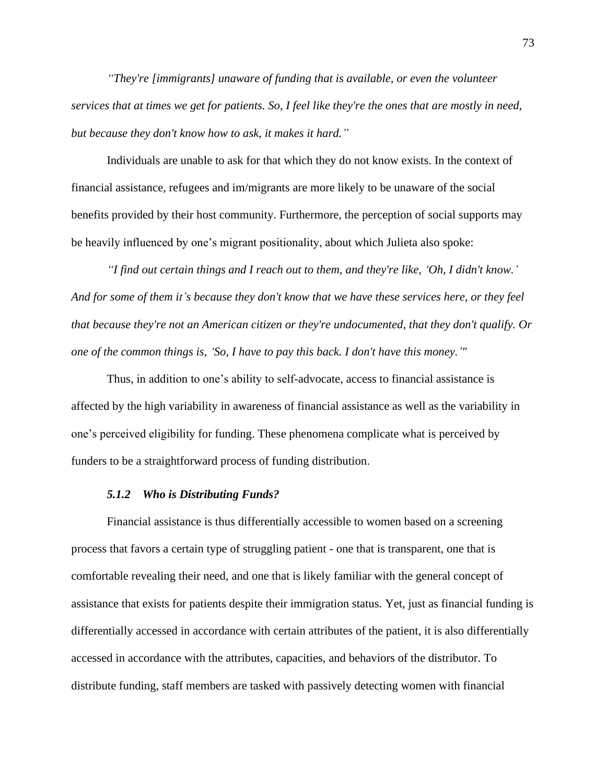*"They're [immigrants] unaware of funding that is available, or even the volunteer services that at times we get for patients. So, I feel like they're the ones that are mostly in need, but because they don't know how to ask, it makes it hard."*

Individuals are unable to ask for that which they do not know exists. In the context of financial assistance, refugees and im/migrants are more likely to be unaware of the social benefits provided by their host community. Furthermore, the perception of social supports may be heavily influenced by one's migrant positionality, about which Julieta also spoke:

*"I find out certain things and I reach out to them, and they're like, 'Oh, I didn't know.' And for some of them it's because they don't know that we have these services here, or they feel that because they're not an American citizen or they're undocumented, that they don't qualify. Or one of the common things is, 'So, I have to pay this back. I don't have this money.'"*

Thus, in addition to one's ability to self-advocate, access to financial assistance is affected by the high variability in awareness of financial assistance as well as the variability in one's perceived eligibility for funding. These phenomena complicate what is perceived by funders to be a straightforward process of funding distribution.

#### *5.1.2 Who is Distributing Funds?*

Financial assistance is thus differentially accessible to women based on a screening process that favors a certain type of struggling patient - one that is transparent, one that is comfortable revealing their need, and one that is likely familiar with the general concept of assistance that exists for patients despite their immigration status. Yet, just as financial funding is differentially accessed in accordance with certain attributes of the patient, it is also differentially accessed in accordance with the attributes, capacities, and behaviors of the distributor. To distribute funding, staff members are tasked with passively detecting women with financial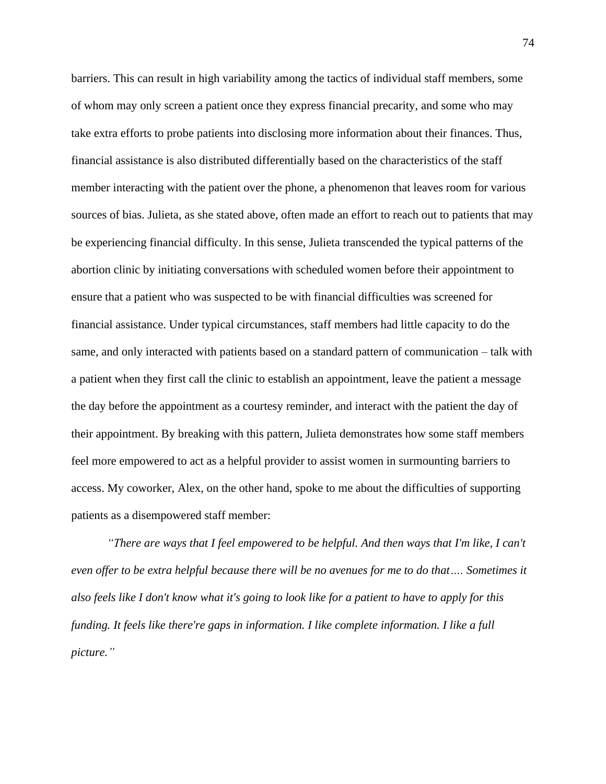barriers. This can result in high variability among the tactics of individual staff members, some of whom may only screen a patient once they express financial precarity, and some who may take extra efforts to probe patients into disclosing more information about their finances. Thus, financial assistance is also distributed differentially based on the characteristics of the staff member interacting with the patient over the phone, a phenomenon that leaves room for various sources of bias. Julieta, as she stated above, often made an effort to reach out to patients that may be experiencing financial difficulty. In this sense, Julieta transcended the typical patterns of the abortion clinic by initiating conversations with scheduled women before their appointment to ensure that a patient who was suspected to be with financial difficulties was screened for financial assistance. Under typical circumstances, staff members had little capacity to do the same, and only interacted with patients based on a standard pattern of communication – talk with a patient when they first call the clinic to establish an appointment, leave the patient a message the day before the appointment as a courtesy reminder, and interact with the patient the day of their appointment. By breaking with this pattern, Julieta demonstrates how some staff members feel more empowered to act as a helpful provider to assist women in surmounting barriers to access. My coworker, Alex, on the other hand, spoke to me about the difficulties of supporting patients as a disempowered staff member:

*"There are ways that I feel empowered to be helpful. And then ways that I'm like, I can't even offer to be extra helpful because there will be no avenues for me to do that…. Sometimes it also feels like I don't know what it's going to look like for a patient to have to apply for this funding. It feels like there're gaps in information. I like complete information. I like a full picture."*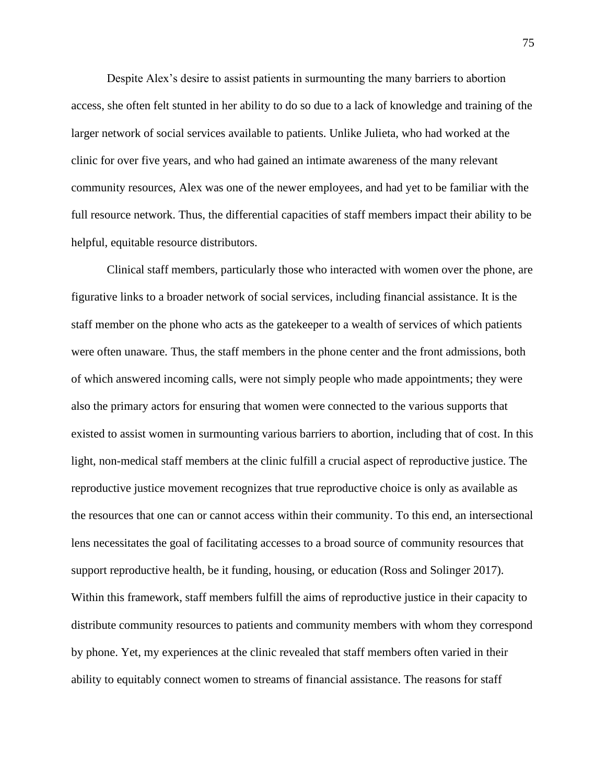Despite Alex's desire to assist patients in surmounting the many barriers to abortion access, she often felt stunted in her ability to do so due to a lack of knowledge and training of the larger network of social services available to patients. Unlike Julieta, who had worked at the clinic for over five years, and who had gained an intimate awareness of the many relevant community resources, Alex was one of the newer employees, and had yet to be familiar with the full resource network. Thus, the differential capacities of staff members impact their ability to be helpful, equitable resource distributors.

Clinical staff members, particularly those who interacted with women over the phone, are figurative links to a broader network of social services, including financial assistance. It is the staff member on the phone who acts as the gatekeeper to a wealth of services of which patients were often unaware. Thus, the staff members in the phone center and the front admissions, both of which answered incoming calls, were not simply people who made appointments; they were also the primary actors for ensuring that women were connected to the various supports that existed to assist women in surmounting various barriers to abortion, including that of cost. In this light, non-medical staff members at the clinic fulfill a crucial aspect of reproductive justice. The reproductive justice movement recognizes that true reproductive choice is only as available as the resources that one can or cannot access within their community. To this end, an intersectional lens necessitates the goal of facilitating accesses to a broad source of community resources that support reproductive health, be it funding, housing, or education (Ross and Solinger 2017). Within this framework, staff members fulfill the aims of reproductive justice in their capacity to distribute community resources to patients and community members with whom they correspond by phone. Yet, my experiences at the clinic revealed that staff members often varied in their ability to equitably connect women to streams of financial assistance. The reasons for staff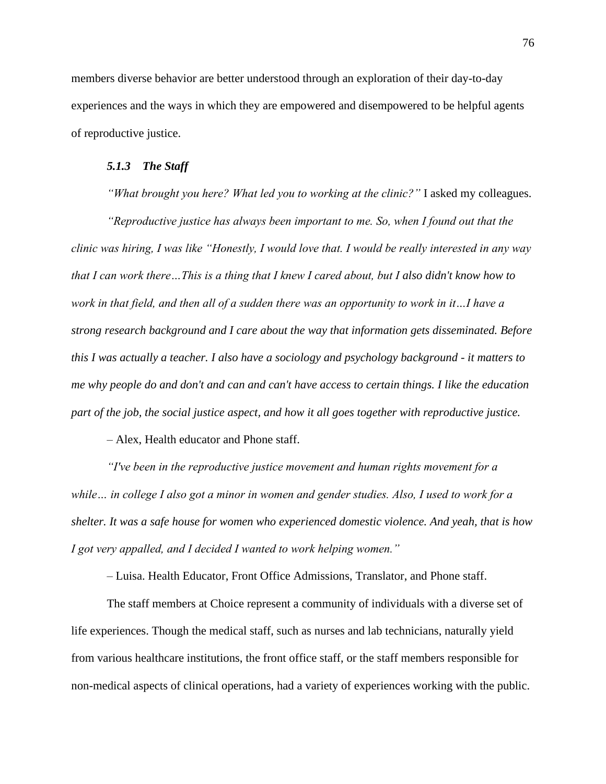members diverse behavior are better understood through an exploration of their day-to-day experiences and the ways in which they are empowered and disempowered to be helpful agents of reproductive justice.

## *5.1.3 The Staff*

*"What brought you here? What led you to working at the clinic?"* I asked my colleagues.

*"Reproductive justice has always been important to me. So, when I found out that the clinic was hiring, I was like "Honestly, I would love that. I would be really interested in any way that I can work there…This is a thing that I knew I cared about, but I also didn't know how to work in that field, and then all of a sudden there was an opportunity to work in it…I have a strong research background and I care about the way that information gets disseminated. Before this I was actually a teacher. I also have a sociology and psychology background - it matters to me why people do and don't and can and can't have access to certain things. I like the education part of the job, the social justice aspect, and how it all goes together with reproductive justice.* 

*–* Alex, Health educator and Phone staff.

*"I've been in the reproductive justice movement and human rights movement for a while… in college I also got a minor in women and gender studies. Also, I used to work for a shelter. It was a safe house for women who experienced domestic violence. And yeah, that is how I got very appalled, and I decided I wanted to work helping women."* 

– Luisa. Health Educator, Front Office Admissions, Translator, and Phone staff.

The staff members at Choice represent a community of individuals with a diverse set of life experiences. Though the medical staff, such as nurses and lab technicians, naturally yield from various healthcare institutions, the front office staff, or the staff members responsible for non-medical aspects of clinical operations, had a variety of experiences working with the public.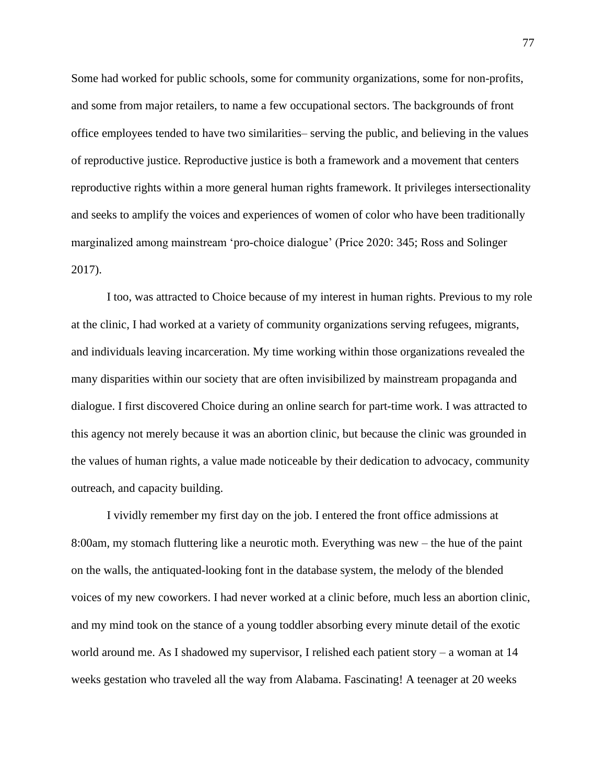Some had worked for public schools, some for community organizations, some for non-profits, and some from major retailers, to name a few occupational sectors. The backgrounds of front office employees tended to have two similarities– serving the public, and believing in the values of reproductive justice. Reproductive justice is both a framework and a movement that centers reproductive rights within a more general human rights framework. It privileges intersectionality and seeks to amplify the voices and experiences of women of color who have been traditionally marginalized among mainstream 'pro-choice dialogue' (Price 2020: 345; Ross and Solinger 2017).

I too, was attracted to Choice because of my interest in human rights. Previous to my role at the clinic, I had worked at a variety of community organizations serving refugees, migrants, and individuals leaving incarceration. My time working within those organizations revealed the many disparities within our society that are often invisibilized by mainstream propaganda and dialogue. I first discovered Choice during an online search for part-time work. I was attracted to this agency not merely because it was an abortion clinic, but because the clinic was grounded in the values of human rights, a value made noticeable by their dedication to advocacy, community outreach, and capacity building.

I vividly remember my first day on the job. I entered the front office admissions at 8:00am, my stomach fluttering like a neurotic moth. Everything was new – the hue of the paint on the walls, the antiquated-looking font in the database system, the melody of the blended voices of my new coworkers. I had never worked at a clinic before, much less an abortion clinic, and my mind took on the stance of a young toddler absorbing every minute detail of the exotic world around me. As I shadowed my supervisor, I relished each patient story – a woman at 14 weeks gestation who traveled all the way from Alabama. Fascinating! A teenager at 20 weeks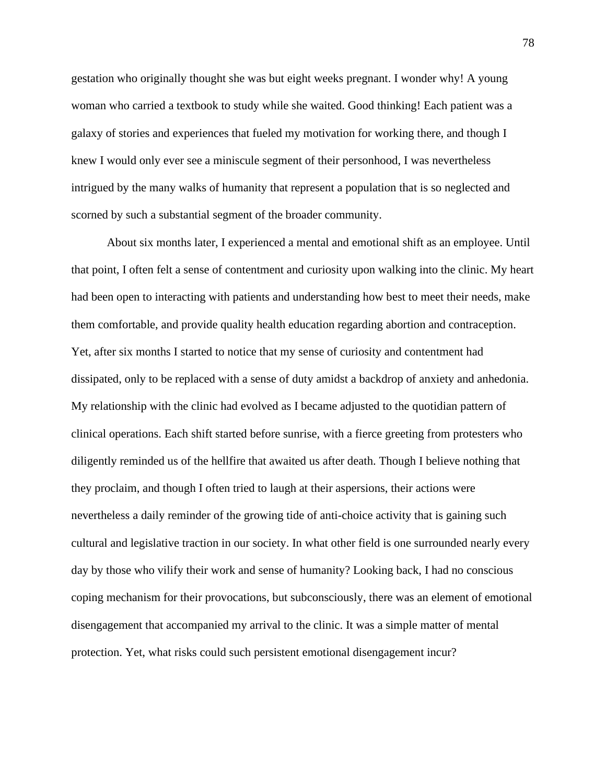gestation who originally thought she was but eight weeks pregnant. I wonder why! A young woman who carried a textbook to study while she waited. Good thinking! Each patient was a galaxy of stories and experiences that fueled my motivation for working there, and though I knew I would only ever see a miniscule segment of their personhood, I was nevertheless intrigued by the many walks of humanity that represent a population that is so neglected and scorned by such a substantial segment of the broader community.

About six months later, I experienced a mental and emotional shift as an employee. Until that point, I often felt a sense of contentment and curiosity upon walking into the clinic. My heart had been open to interacting with patients and understanding how best to meet their needs, make them comfortable, and provide quality health education regarding abortion and contraception. Yet, after six months I started to notice that my sense of curiosity and contentment had dissipated, only to be replaced with a sense of duty amidst a backdrop of anxiety and anhedonia. My relationship with the clinic had evolved as I became adjusted to the quotidian pattern of clinical operations. Each shift started before sunrise, with a fierce greeting from protesters who diligently reminded us of the hellfire that awaited us after death. Though I believe nothing that they proclaim, and though I often tried to laugh at their aspersions, their actions were nevertheless a daily reminder of the growing tide of anti-choice activity that is gaining such cultural and legislative traction in our society. In what other field is one surrounded nearly every day by those who vilify their work and sense of humanity? Looking back, I had no conscious coping mechanism for their provocations, but subconsciously, there was an element of emotional disengagement that accompanied my arrival to the clinic. It was a simple matter of mental protection. Yet, what risks could such persistent emotional disengagement incur?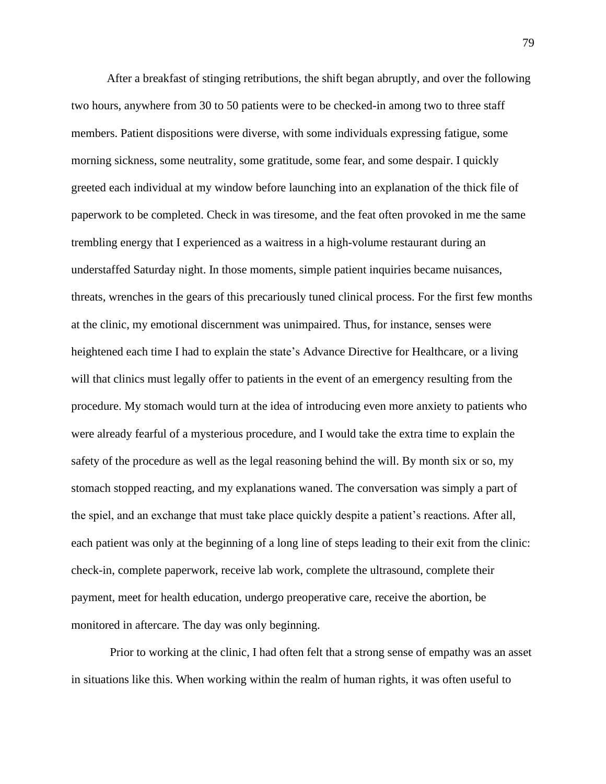After a breakfast of stinging retributions, the shift began abruptly, and over the following two hours, anywhere from 30 to 50 patients were to be checked-in among two to three staff members. Patient dispositions were diverse, with some individuals expressing fatigue, some morning sickness, some neutrality, some gratitude, some fear, and some despair. I quickly greeted each individual at my window before launching into an explanation of the thick file of paperwork to be completed. Check in was tiresome, and the feat often provoked in me the same trembling energy that I experienced as a waitress in a high-volume restaurant during an understaffed Saturday night. In those moments, simple patient inquiries became nuisances, threats, wrenches in the gears of this precariously tuned clinical process. For the first few months at the clinic, my emotional discernment was unimpaired. Thus, for instance, senses were heightened each time I had to explain the state's Advance Directive for Healthcare, or a living will that clinics must legally offer to patients in the event of an emergency resulting from the procedure. My stomach would turn at the idea of introducing even more anxiety to patients who were already fearful of a mysterious procedure, and I would take the extra time to explain the safety of the procedure as well as the legal reasoning behind the will. By month six or so, my stomach stopped reacting, and my explanations waned. The conversation was simply a part of the spiel, and an exchange that must take place quickly despite a patient's reactions. After all, each patient was only at the beginning of a long line of steps leading to their exit from the clinic: check-in, complete paperwork, receive lab work, complete the ultrasound, complete their payment, meet for health education, undergo preoperative care, receive the abortion, be monitored in aftercare. The day was only beginning.

Prior to working at the clinic, I had often felt that a strong sense of empathy was an asset in situations like this. When working within the realm of human rights, it was often useful to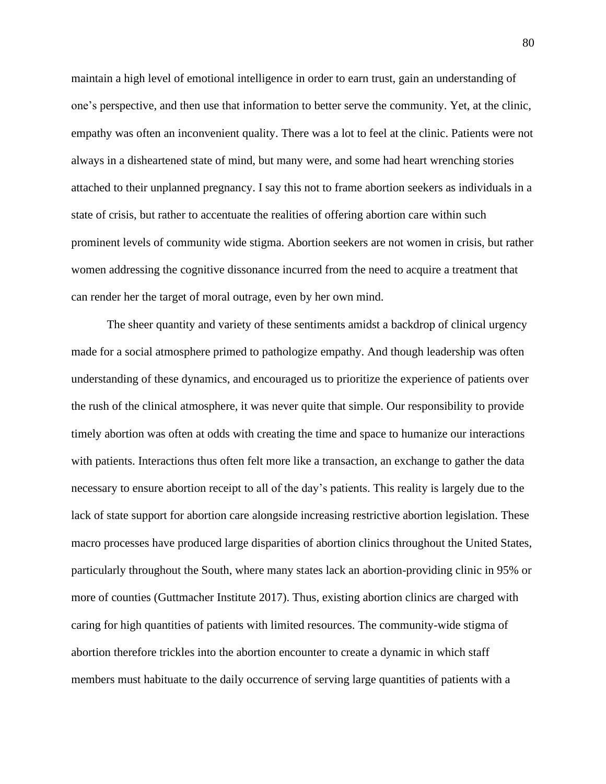maintain a high level of emotional intelligence in order to earn trust, gain an understanding of one's perspective, and then use that information to better serve the community. Yet, at the clinic, empathy was often an inconvenient quality. There was a lot to feel at the clinic. Patients were not always in a disheartened state of mind, but many were, and some had heart wrenching stories attached to their unplanned pregnancy. I say this not to frame abortion seekers as individuals in a state of crisis, but rather to accentuate the realities of offering abortion care within such prominent levels of community wide stigma. Abortion seekers are not women in crisis, but rather women addressing the cognitive dissonance incurred from the need to acquire a treatment that can render her the target of moral outrage, even by her own mind.

The sheer quantity and variety of these sentiments amidst a backdrop of clinical urgency made for a social atmosphere primed to pathologize empathy. And though leadership was often understanding of these dynamics, and encouraged us to prioritize the experience of patients over the rush of the clinical atmosphere, it was never quite that simple. Our responsibility to provide timely abortion was often at odds with creating the time and space to humanize our interactions with patients. Interactions thus often felt more like a transaction, an exchange to gather the data necessary to ensure abortion receipt to all of the day's patients. This reality is largely due to the lack of state support for abortion care alongside increasing restrictive abortion legislation. These macro processes have produced large disparities of abortion clinics throughout the United States, particularly throughout the South, where many states lack an abortion-providing clinic in 95% or more of counties (Guttmacher Institute 2017). Thus, existing abortion clinics are charged with caring for high quantities of patients with limited resources. The community-wide stigma of abortion therefore trickles into the abortion encounter to create a dynamic in which staff members must habituate to the daily occurrence of serving large quantities of patients with a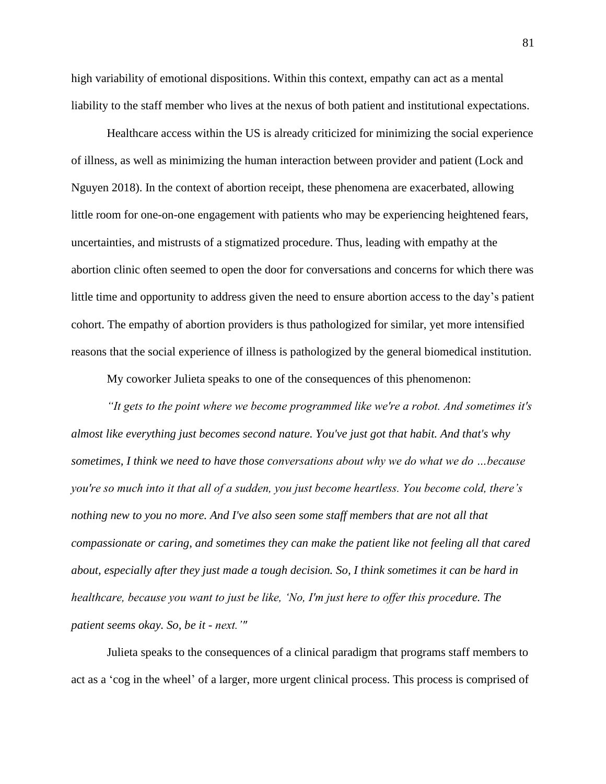high variability of emotional dispositions. Within this context, empathy can act as a mental liability to the staff member who lives at the nexus of both patient and institutional expectations.

Healthcare access within the US is already criticized for minimizing the social experience of illness, as well as minimizing the human interaction between provider and patient (Lock and Nguyen 2018). In the context of abortion receipt, these phenomena are exacerbated, allowing little room for one-on-one engagement with patients who may be experiencing heightened fears, uncertainties, and mistrusts of a stigmatized procedure. Thus, leading with empathy at the abortion clinic often seemed to open the door for conversations and concerns for which there was little time and opportunity to address given the need to ensure abortion access to the day's patient cohort. The empathy of abortion providers is thus pathologized for similar, yet more intensified reasons that the social experience of illness is pathologized by the general biomedical institution.

My coworker Julieta speaks to one of the consequences of this phenomenon:

*"It gets to the point where we become programmed like we're a robot. And sometimes it's almost like everything just becomes second nature. You've just got that habit. And that's why sometimes, I think we need to have those conversations about why we do what we do …because you're so much into it that all of a sudden, you just become heartless. You become cold, there's nothing new to you no more. And I've also seen some staff members that are not all that compassionate or caring, and sometimes they can make the patient like not feeling all that cared about, especially after they just made a tough decision. So, I think sometimes it can be hard in healthcare, because you want to just be like, 'No, I'm just here to offer this procedure. The patient seems okay. So, be it - next.'"*

Julieta speaks to the consequences of a clinical paradigm that programs staff members to act as a 'cog in the wheel' of a larger, more urgent clinical process. This process is comprised of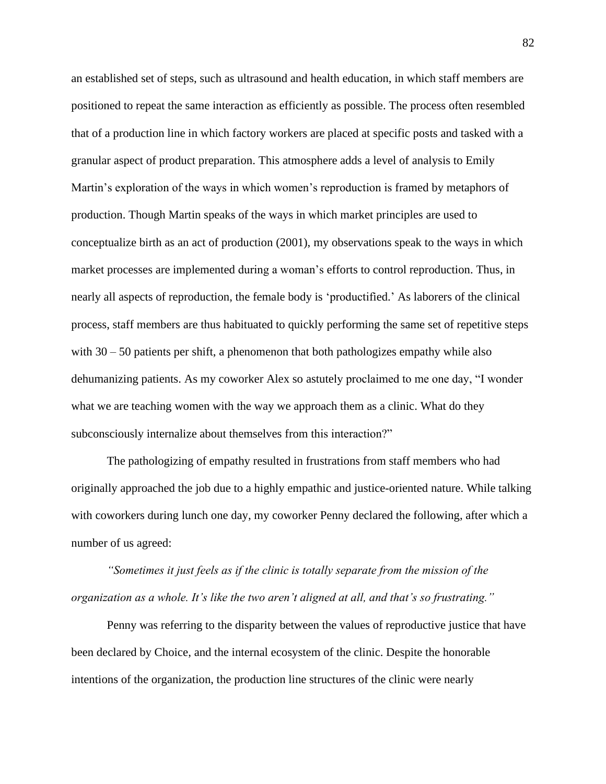an established set of steps, such as ultrasound and health education, in which staff members are positioned to repeat the same interaction as efficiently as possible. The process often resembled that of a production line in which factory workers are placed at specific posts and tasked with a granular aspect of product preparation. This atmosphere adds a level of analysis to Emily Martin's exploration of the ways in which women's reproduction is framed by metaphors of production. Though Martin speaks of the ways in which market principles are used to conceptualize birth as an act of production (2001), my observations speak to the ways in which market processes are implemented during a woman's efforts to control reproduction. Thus, in nearly all aspects of reproduction, the female body is 'productified.' As laborers of the clinical process, staff members are thus habituated to quickly performing the same set of repetitive steps with  $30 - 50$  patients per shift, a phenomenon that both pathologizes empathy while also dehumanizing patients. As my coworker Alex so astutely proclaimed to me one day, "I wonder what we are teaching women with the way we approach them as a clinic. What do they subconsciously internalize about themselves from this interaction?"

The pathologizing of empathy resulted in frustrations from staff members who had originally approached the job due to a highly empathic and justice-oriented nature. While talking with coworkers during lunch one day, my coworker Penny declared the following, after which a number of us agreed:

*"Sometimes it just feels as if the clinic is totally separate from the mission of the organization as a whole. It's like the two aren't aligned at all, and that's so frustrating."*

Penny was referring to the disparity between the values of reproductive justice that have been declared by Choice, and the internal ecosystem of the clinic. Despite the honorable intentions of the organization, the production line structures of the clinic were nearly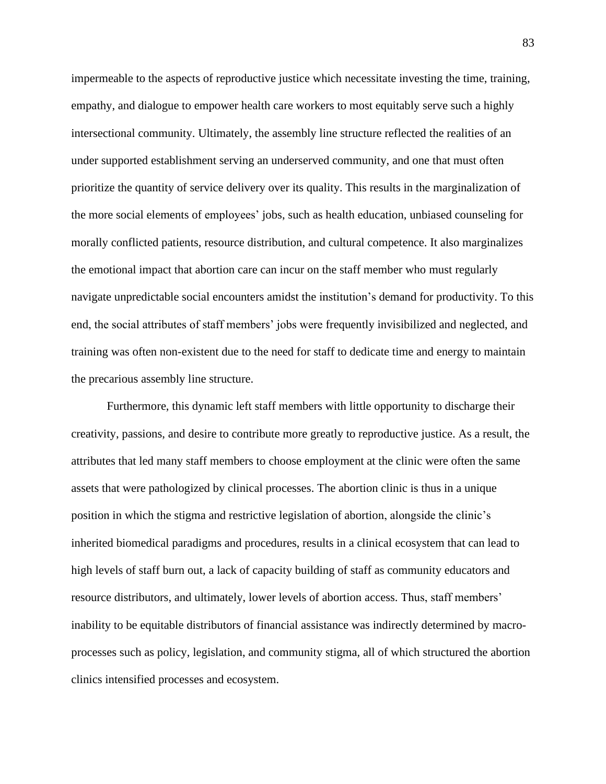impermeable to the aspects of reproductive justice which necessitate investing the time, training, empathy, and dialogue to empower health care workers to most equitably serve such a highly intersectional community. Ultimately, the assembly line structure reflected the realities of an under supported establishment serving an underserved community, and one that must often prioritize the quantity of service delivery over its quality. This results in the marginalization of the more social elements of employees' jobs, such as health education, unbiased counseling for morally conflicted patients, resource distribution, and cultural competence. It also marginalizes the emotional impact that abortion care can incur on the staff member who must regularly navigate unpredictable social encounters amidst the institution's demand for productivity. To this end, the social attributes of staff members' jobs were frequently invisibilized and neglected, and training was often non-existent due to the need for staff to dedicate time and energy to maintain the precarious assembly line structure.

Furthermore, this dynamic left staff members with little opportunity to discharge their creativity, passions, and desire to contribute more greatly to reproductive justice. As a result, the attributes that led many staff members to choose employment at the clinic were often the same assets that were pathologized by clinical processes. The abortion clinic is thus in a unique position in which the stigma and restrictive legislation of abortion, alongside the clinic's inherited biomedical paradigms and procedures, results in a clinical ecosystem that can lead to high levels of staff burn out, a lack of capacity building of staff as community educators and resource distributors, and ultimately, lower levels of abortion access. Thus, staff members' inability to be equitable distributors of financial assistance was indirectly determined by macroprocesses such as policy, legislation, and community stigma, all of which structured the abortion clinics intensified processes and ecosystem.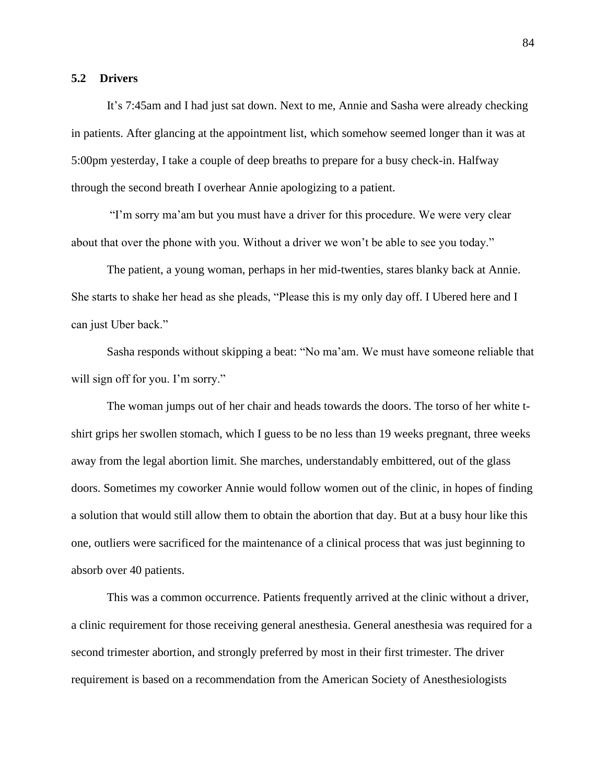# **5.2 Drivers**

It's 7:45am and I had just sat down. Next to me, Annie and Sasha were already checking in patients. After glancing at the appointment list, which somehow seemed longer than it was at 5:00pm yesterday, I take a couple of deep breaths to prepare for a busy check-in. Halfway through the second breath I overhear Annie apologizing to a patient.

"I'm sorry ma'am but you must have a driver for this procedure. We were very clear about that over the phone with you. Without a driver we won't be able to see you today."

The patient, a young woman, perhaps in her mid-twenties, stares blanky back at Annie. She starts to shake her head as she pleads, "Please this is my only day off. I Ubered here and I can just Uber back."

Sasha responds without skipping a beat: "No ma'am. We must have someone reliable that will sign off for you. I'm sorry."

The woman jumps out of her chair and heads towards the doors. The torso of her white tshirt grips her swollen stomach, which I guess to be no less than 19 weeks pregnant, three weeks away from the legal abortion limit. She marches, understandably embittered, out of the glass doors. Sometimes my coworker Annie would follow women out of the clinic, in hopes of finding a solution that would still allow them to obtain the abortion that day. But at a busy hour like this one, outliers were sacrificed for the maintenance of a clinical process that was just beginning to absorb over 40 patients.

This was a common occurrence. Patients frequently arrived at the clinic without a driver, a clinic requirement for those receiving general anesthesia. General anesthesia was required for a second trimester abortion, and strongly preferred by most in their first trimester. The driver requirement is based on a recommendation from the American Society of Anesthesiologists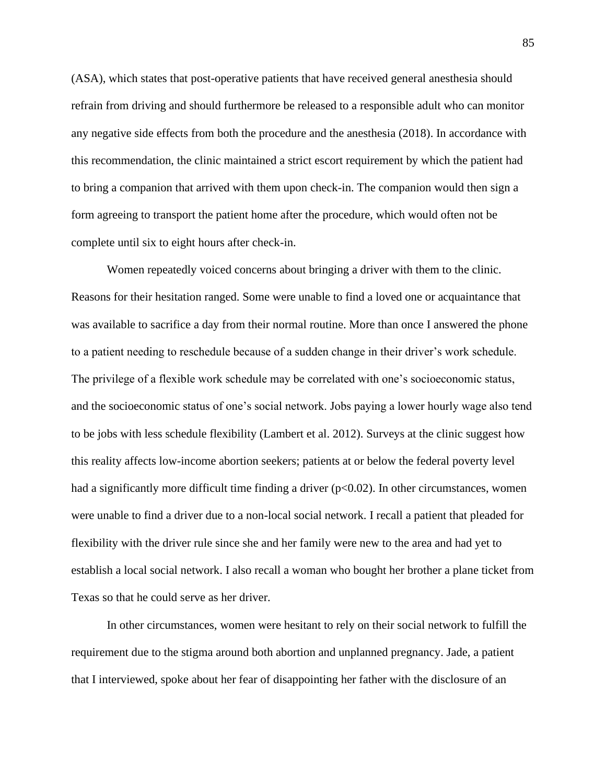(ASA), which states that post-operative patients that have received general anesthesia should refrain from driving and should furthermore be released to a responsible adult who can monitor any negative side effects from both the procedure and the anesthesia (2018). In accordance with this recommendation, the clinic maintained a strict escort requirement by which the patient had to bring a companion that arrived with them upon check-in. The companion would then sign a form agreeing to transport the patient home after the procedure, which would often not be complete until six to eight hours after check-in.

Women repeatedly voiced concerns about bringing a driver with them to the clinic. Reasons for their hesitation ranged. Some were unable to find a loved one or acquaintance that was available to sacrifice a day from their normal routine. More than once I answered the phone to a patient needing to reschedule because of a sudden change in their driver's work schedule. The privilege of a flexible work schedule may be correlated with one's socioeconomic status, and the socioeconomic status of one's social network. Jobs paying a lower hourly wage also tend to be jobs with less schedule flexibility (Lambert et al. 2012). Surveys at the clinic suggest how this reality affects low-income abortion seekers; patients at or below the federal poverty level had a significantly more difficult time finding a driver  $(p<0.02)$ . In other circumstances, women were unable to find a driver due to a non-local social network. I recall a patient that pleaded for flexibility with the driver rule since she and her family were new to the area and had yet to establish a local social network. I also recall a woman who bought her brother a plane ticket from Texas so that he could serve as her driver.

In other circumstances, women were hesitant to rely on their social network to fulfill the requirement due to the stigma around both abortion and unplanned pregnancy. Jade, a patient that I interviewed, spoke about her fear of disappointing her father with the disclosure of an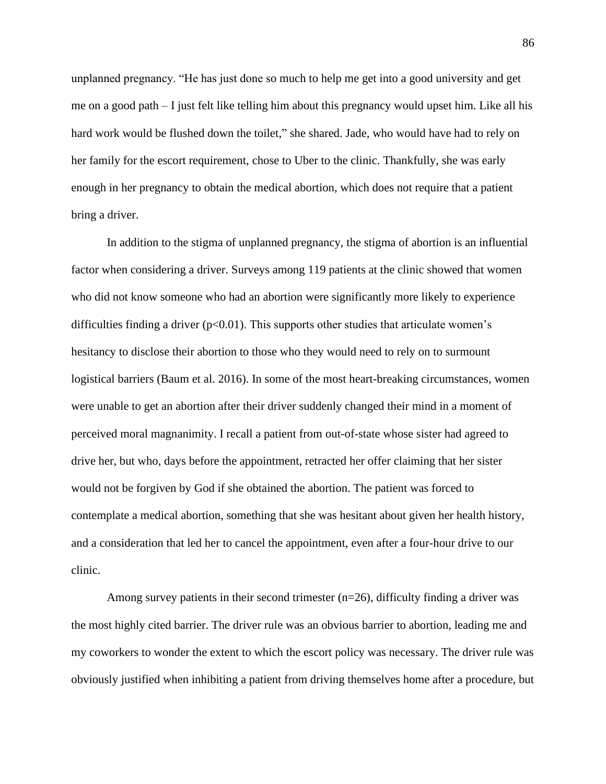unplanned pregnancy. "He has just done so much to help me get into a good university and get me on a good path – I just felt like telling him about this pregnancy would upset him. Like all his hard work would be flushed down the toilet," she shared. Jade, who would have had to rely on her family for the escort requirement, chose to Uber to the clinic. Thankfully, she was early enough in her pregnancy to obtain the medical abortion, which does not require that a patient bring a driver.

In addition to the stigma of unplanned pregnancy, the stigma of abortion is an influential factor when considering a driver. Surveys among 119 patients at the clinic showed that women who did not know someone who had an abortion were significantly more likely to experience difficulties finding a driver  $(p<0.01)$ . This supports other studies that articulate women's hesitancy to disclose their abortion to those who they would need to rely on to surmount logistical barriers (Baum et al. 2016). In some of the most heart-breaking circumstances, women were unable to get an abortion after their driver suddenly changed their mind in a moment of perceived moral magnanimity. I recall a patient from out-of-state whose sister had agreed to drive her, but who, days before the appointment, retracted her offer claiming that her sister would not be forgiven by God if she obtained the abortion. The patient was forced to contemplate a medical abortion, something that she was hesitant about given her health history, and a consideration that led her to cancel the appointment, even after a four-hour drive to our clinic.

Among survey patients in their second trimester  $(n=26)$ , difficulty finding a driver was the most highly cited barrier. The driver rule was an obvious barrier to abortion, leading me and my coworkers to wonder the extent to which the escort policy was necessary. The driver rule was obviously justified when inhibiting a patient from driving themselves home after a procedure, but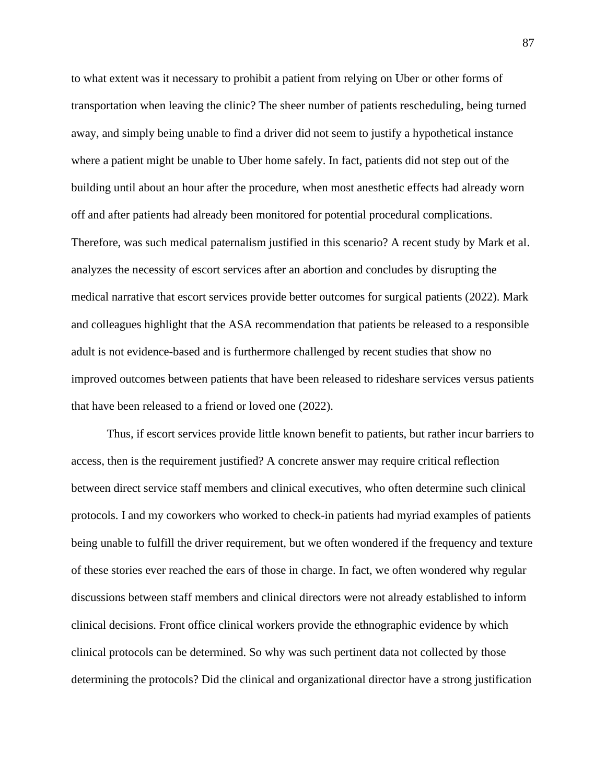to what extent was it necessary to prohibit a patient from relying on Uber or other forms of transportation when leaving the clinic? The sheer number of patients rescheduling, being turned away, and simply being unable to find a driver did not seem to justify a hypothetical instance where a patient might be unable to Uber home safely. In fact, patients did not step out of the building until about an hour after the procedure, when most anesthetic effects had already worn off and after patients had already been monitored for potential procedural complications. Therefore, was such medical paternalism justified in this scenario? A recent study by Mark et al. analyzes the necessity of escort services after an abortion and concludes by disrupting the medical narrative that escort services provide better outcomes for surgical patients (2022). Mark and colleagues highlight that the ASA recommendation that patients be released to a responsible adult is not evidence-based and is furthermore challenged by recent studies that show no improved outcomes between patients that have been released to rideshare services versus patients that have been released to a friend or loved one (2022).

Thus, if escort services provide little known benefit to patients, but rather incur barriers to access, then is the requirement justified? A concrete answer may require critical reflection between direct service staff members and clinical executives, who often determine such clinical protocols. I and my coworkers who worked to check-in patients had myriad examples of patients being unable to fulfill the driver requirement, but we often wondered if the frequency and texture of these stories ever reached the ears of those in charge. In fact, we often wondered why regular discussions between staff members and clinical directors were not already established to inform clinical decisions. Front office clinical workers provide the ethnographic evidence by which clinical protocols can be determined. So why was such pertinent data not collected by those determining the protocols? Did the clinical and organizational director have a strong justification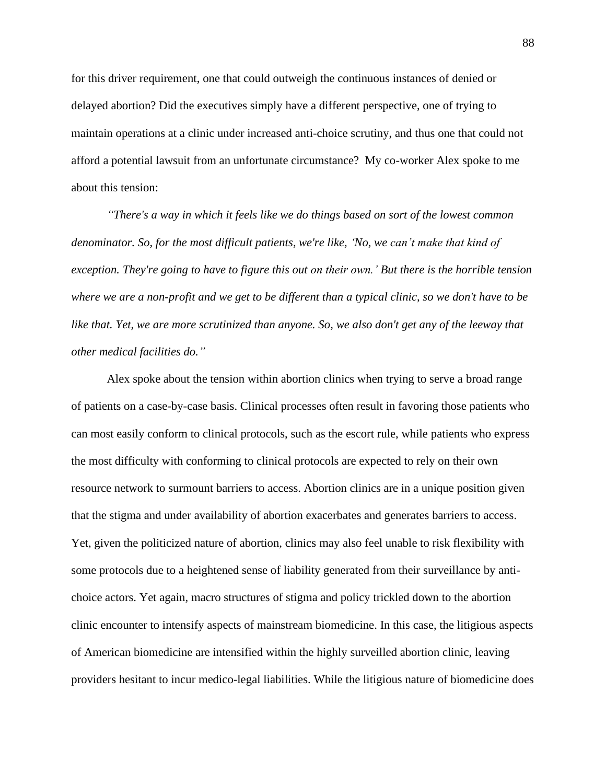for this driver requirement, one that could outweigh the continuous instances of denied or delayed abortion? Did the executives simply have a different perspective, one of trying to maintain operations at a clinic under increased anti-choice scrutiny, and thus one that could not afford a potential lawsuit from an unfortunate circumstance? My co-worker Alex spoke to me about this tension:

*"There's a way in which it feels like we do things based on sort of the lowest common denominator. So, for the most difficult patients, we're like, 'No, we can't make that kind of exception. They're going to have to figure this out on their own.' But there is the horrible tension where we are a non-profit and we get to be different than a typical clinic, so we don't have to be like that. Yet, we are more scrutinized than anyone. So, we also don't get any of the leeway that other medical facilities do."*

Alex spoke about the tension within abortion clinics when trying to serve a broad range of patients on a case-by-case basis. Clinical processes often result in favoring those patients who can most easily conform to clinical protocols, such as the escort rule, while patients who express the most difficulty with conforming to clinical protocols are expected to rely on their own resource network to surmount barriers to access. Abortion clinics are in a unique position given that the stigma and under availability of abortion exacerbates and generates barriers to access. Yet, given the politicized nature of abortion, clinics may also feel unable to risk flexibility with some protocols due to a heightened sense of liability generated from their surveillance by antichoice actors. Yet again, macro structures of stigma and policy trickled down to the abortion clinic encounter to intensify aspects of mainstream biomedicine. In this case, the litigious aspects of American biomedicine are intensified within the highly surveilled abortion clinic, leaving providers hesitant to incur medico-legal liabilities. While the litigious nature of biomedicine does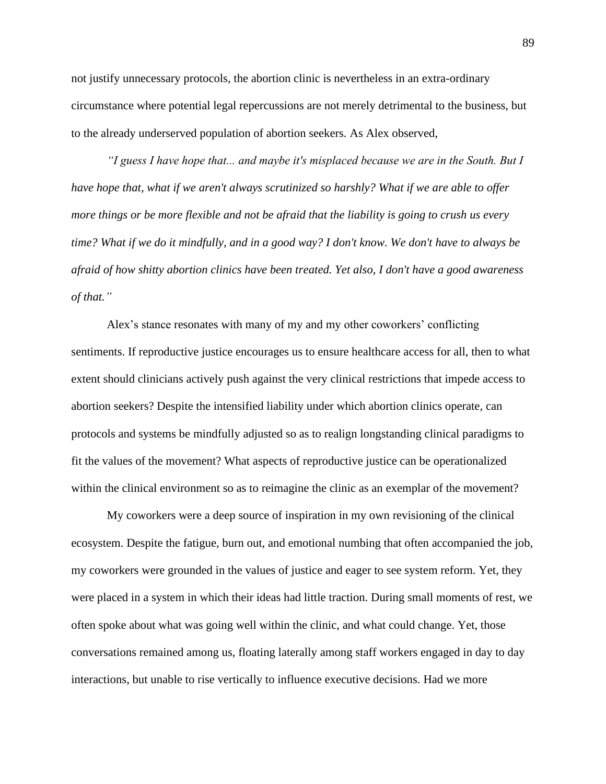not justify unnecessary protocols, the abortion clinic is nevertheless in an extra-ordinary circumstance where potential legal repercussions are not merely detrimental to the business, but to the already underserved population of abortion seekers. As Alex observed,

*"I guess I have hope that... and maybe it's misplaced because we are in the South. But I have hope that, what if we aren't always scrutinized so harshly? What if we are able to offer more things or be more flexible and not be afraid that the liability is going to crush us every time? What if we do it mindfully, and in a good way? I don't know. We don't have to always be afraid of how shitty abortion clinics have been treated. Yet also, I don't have a good awareness of that."*

Alex's stance resonates with many of my and my other coworkers' conflicting sentiments. If reproductive justice encourages us to ensure healthcare access for all, then to what extent should clinicians actively push against the very clinical restrictions that impede access to abortion seekers? Despite the intensified liability under which abortion clinics operate, can protocols and systems be mindfully adjusted so as to realign longstanding clinical paradigms to fit the values of the movement? What aspects of reproductive justice can be operationalized within the clinical environment so as to reimagine the clinic as an exemplar of the movement?

My coworkers were a deep source of inspiration in my own revisioning of the clinical ecosystem. Despite the fatigue, burn out, and emotional numbing that often accompanied the job, my coworkers were grounded in the values of justice and eager to see system reform. Yet, they were placed in a system in which their ideas had little traction. During small moments of rest, we often spoke about what was going well within the clinic, and what could change. Yet, those conversations remained among us, floating laterally among staff workers engaged in day to day interactions, but unable to rise vertically to influence executive decisions. Had we more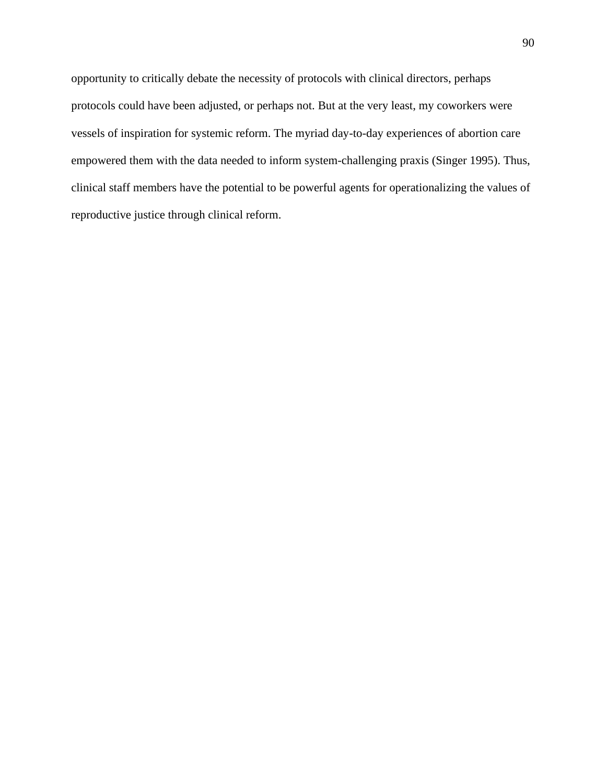opportunity to critically debate the necessity of protocols with clinical directors, perhaps protocols could have been adjusted, or perhaps not. But at the very least, my coworkers were vessels of inspiration for systemic reform. The myriad day-to-day experiences of abortion care empowered them with the data needed to inform system-challenging praxis (Singer 1995). Thus, clinical staff members have the potential to be powerful agents for operationalizing the values of reproductive justice through clinical reform.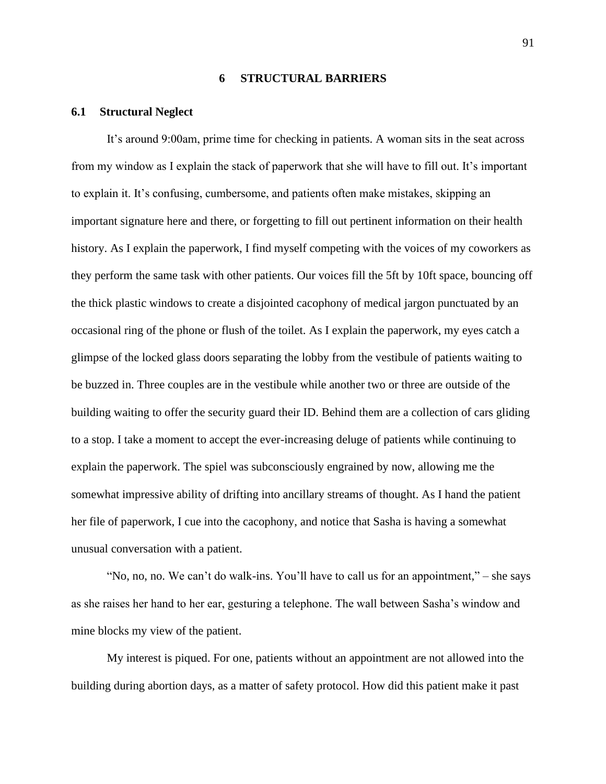### **6 STRUCTURAL BARRIERS**

### **6.1 Structural Neglect**

It's around 9:00am, prime time for checking in patients. A woman sits in the seat across from my window as I explain the stack of paperwork that she will have to fill out. It's important to explain it. It's confusing, cumbersome, and patients often make mistakes, skipping an important signature here and there, or forgetting to fill out pertinent information on their health history. As I explain the paperwork, I find myself competing with the voices of my coworkers as they perform the same task with other patients. Our voices fill the 5ft by 10ft space, bouncing off the thick plastic windows to create a disjointed cacophony of medical jargon punctuated by an occasional ring of the phone or flush of the toilet. As I explain the paperwork, my eyes catch a glimpse of the locked glass doors separating the lobby from the vestibule of patients waiting to be buzzed in. Three couples are in the vestibule while another two or three are outside of the building waiting to offer the security guard their ID. Behind them are a collection of cars gliding to a stop. I take a moment to accept the ever-increasing deluge of patients while continuing to explain the paperwork. The spiel was subconsciously engrained by now, allowing me the somewhat impressive ability of drifting into ancillary streams of thought. As I hand the patient her file of paperwork, I cue into the cacophony, and notice that Sasha is having a somewhat unusual conversation with a patient.

"No, no, no. We can't do walk-ins. You'll have to call us for an appointment," – she says as she raises her hand to her ear, gesturing a telephone. The wall between Sasha's window and mine blocks my view of the patient.

My interest is piqued. For one, patients without an appointment are not allowed into the building during abortion days, as a matter of safety protocol. How did this patient make it past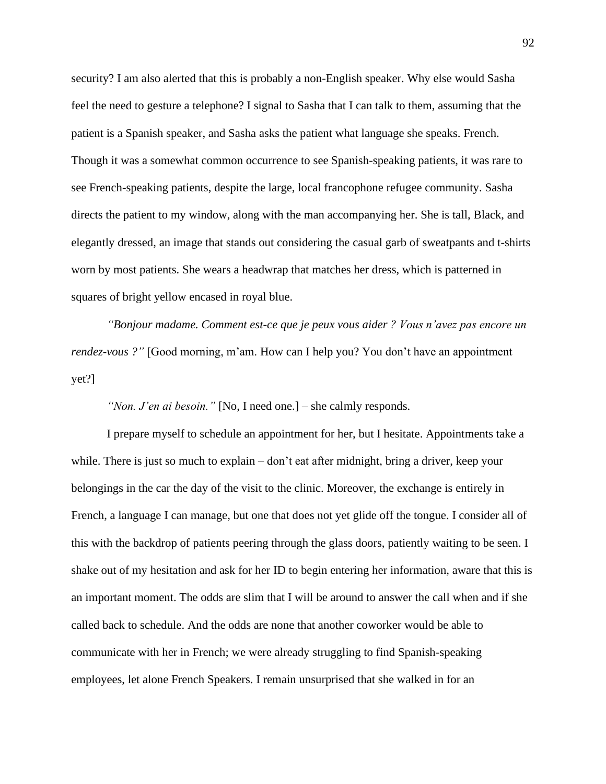security? I am also alerted that this is probably a non-English speaker. Why else would Sasha feel the need to gesture a telephone? I signal to Sasha that I can talk to them, assuming that the patient is a Spanish speaker, and Sasha asks the patient what language she speaks. French. Though it was a somewhat common occurrence to see Spanish-speaking patients, it was rare to see French-speaking patients, despite the large, local francophone refugee community. Sasha directs the patient to my window, along with the man accompanying her. She is tall, Black, and elegantly dressed, an image that stands out considering the casual garb of sweatpants and t-shirts worn by most patients. She wears a headwrap that matches her dress, which is patterned in squares of bright yellow encased in royal blue.

*"Bonjour madame. Comment est-ce que je peux vous aider ? Vous n'avez pas encore un rendez-vous ?"* [Good morning, m'am. How can I help you? You don't have an appointment yet?]

*"Non. J'en ai besoin."* [No, I need one.] – she calmly responds.

I prepare myself to schedule an appointment for her, but I hesitate. Appointments take a while. There is just so much to explain – don't eat after midnight, bring a driver, keep your belongings in the car the day of the visit to the clinic. Moreover, the exchange is entirely in French, a language I can manage, but one that does not yet glide off the tongue. I consider all of this with the backdrop of patients peering through the glass doors, patiently waiting to be seen. I shake out of my hesitation and ask for her ID to begin entering her information, aware that this is an important moment. The odds are slim that I will be around to answer the call when and if she called back to schedule. And the odds are none that another coworker would be able to communicate with her in French; we were already struggling to find Spanish-speaking employees, let alone French Speakers. I remain unsurprised that she walked in for an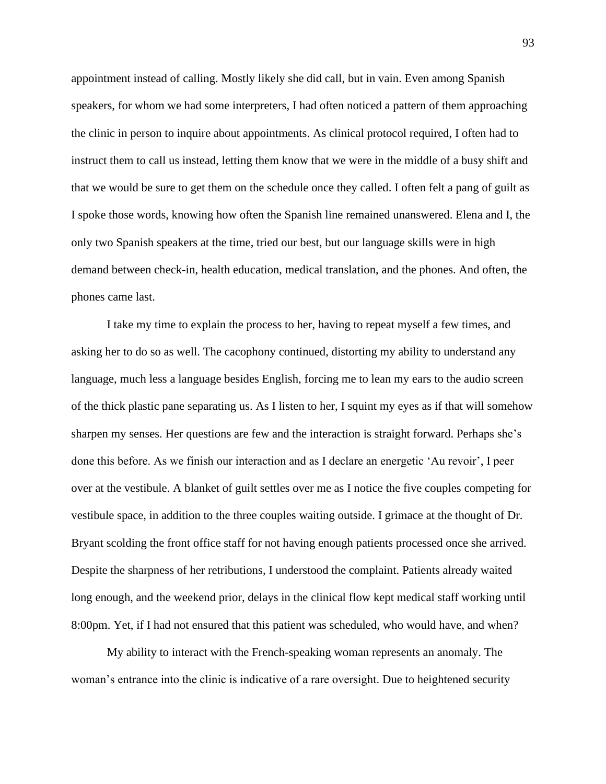appointment instead of calling. Mostly likely she did call, but in vain. Even among Spanish speakers, for whom we had some interpreters, I had often noticed a pattern of them approaching the clinic in person to inquire about appointments. As clinical protocol required, I often had to instruct them to call us instead, letting them know that we were in the middle of a busy shift and that we would be sure to get them on the schedule once they called. I often felt a pang of guilt as I spoke those words, knowing how often the Spanish line remained unanswered. Elena and I, the only two Spanish speakers at the time, tried our best, but our language skills were in high demand between check-in, health education, medical translation, and the phones. And often, the phones came last.

I take my time to explain the process to her, having to repeat myself a few times, and asking her to do so as well. The cacophony continued, distorting my ability to understand any language, much less a language besides English, forcing me to lean my ears to the audio screen of the thick plastic pane separating us. As I listen to her, I squint my eyes as if that will somehow sharpen my senses. Her questions are few and the interaction is straight forward. Perhaps she's done this before. As we finish our interaction and as I declare an energetic 'Au revoir', I peer over at the vestibule. A blanket of guilt settles over me as I notice the five couples competing for vestibule space, in addition to the three couples waiting outside. I grimace at the thought of Dr. Bryant scolding the front office staff for not having enough patients processed once she arrived. Despite the sharpness of her retributions, I understood the complaint. Patients already waited long enough, and the weekend prior, delays in the clinical flow kept medical staff working until 8:00pm. Yet, if I had not ensured that this patient was scheduled, who would have, and when?

My ability to interact with the French-speaking woman represents an anomaly. The woman's entrance into the clinic is indicative of a rare oversight. Due to heightened security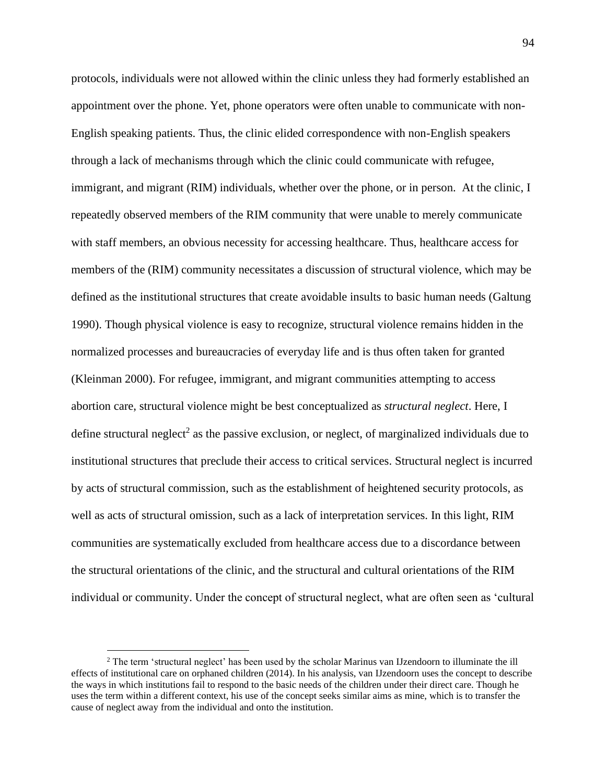protocols, individuals were not allowed within the clinic unless they had formerly established an appointment over the phone. Yet, phone operators were often unable to communicate with non-English speaking patients. Thus, the clinic elided correspondence with non-English speakers through a lack of mechanisms through which the clinic could communicate with refugee, immigrant, and migrant (RIM) individuals, whether over the phone, or in person. At the clinic, I repeatedly observed members of the RIM community that were unable to merely communicate with staff members, an obvious necessity for accessing healthcare. Thus, healthcare access for members of the (RIM) community necessitates a discussion of structural violence, which may be defined as the institutional structures that create avoidable insults to basic human needs (Galtung 1990). Though physical violence is easy to recognize, structural violence remains hidden in the normalized processes and bureaucracies of everyday life and is thus often taken for granted (Kleinman 2000). For refugee, immigrant, and migrant communities attempting to access abortion care, structural violence might be best conceptualized as *structural neglect*. Here, I define structural neglect<sup>2</sup> as the passive exclusion, or neglect, of marginalized individuals due to institutional structures that preclude their access to critical services. Structural neglect is incurred by acts of structural commission, such as the establishment of heightened security protocols, as well as acts of structural omission, such as a lack of interpretation services. In this light, RIM communities are systematically excluded from healthcare access due to a discordance between the structural orientations of the clinic, and the structural and cultural orientations of the RIM individual or community. Under the concept of structural neglect, what are often seen as 'cultural

<sup>&</sup>lt;sup>2</sup> The term 'structural neglect' has been used by the scholar Marinus van IJzendoorn to illuminate the ill effects of institutional care on orphaned children (2014). In his analysis, van IJzendoorn uses the concept to describe the ways in which institutions fail to respond to the basic needs of the children under their direct care. Though he uses the term within a different context, his use of the concept seeks similar aims as mine, which is to transfer the cause of neglect away from the individual and onto the institution.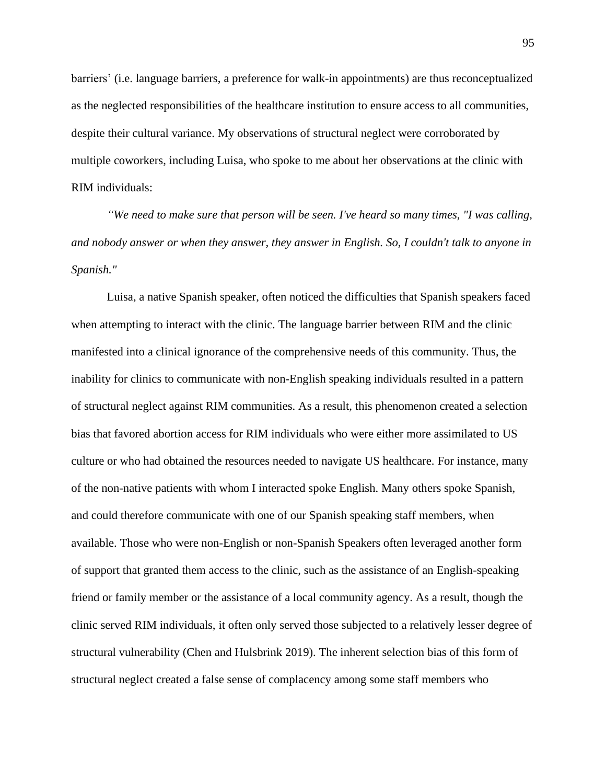barriers' (i.e. language barriers, a preference for walk-in appointments) are thus reconceptualized as the neglected responsibilities of the healthcare institution to ensure access to all communities, despite their cultural variance. My observations of structural neglect were corroborated by multiple coworkers, including Luisa, who spoke to me about her observations at the clinic with RIM individuals:

*"We need to make sure that person will be seen. I've heard so many times, "I was calling, and nobody answer or when they answer, they answer in English. So, I couldn't talk to anyone in Spanish."* 

Luisa, a native Spanish speaker, often noticed the difficulties that Spanish speakers faced when attempting to interact with the clinic. The language barrier between RIM and the clinic manifested into a clinical ignorance of the comprehensive needs of this community. Thus, the inability for clinics to communicate with non-English speaking individuals resulted in a pattern of structural neglect against RIM communities. As a result, this phenomenon created a selection bias that favored abortion access for RIM individuals who were either more assimilated to US culture or who had obtained the resources needed to navigate US healthcare. For instance, many of the non-native patients with whom I interacted spoke English. Many others spoke Spanish, and could therefore communicate with one of our Spanish speaking staff members, when available. Those who were non-English or non-Spanish Speakers often leveraged another form of support that granted them access to the clinic, such as the assistance of an English-speaking friend or family member or the assistance of a local community agency. As a result, though the clinic served RIM individuals, it often only served those subjected to a relatively lesser degree of structural vulnerability (Chen and Hulsbrink 2019). The inherent selection bias of this form of structural neglect created a false sense of complacency among some staff members who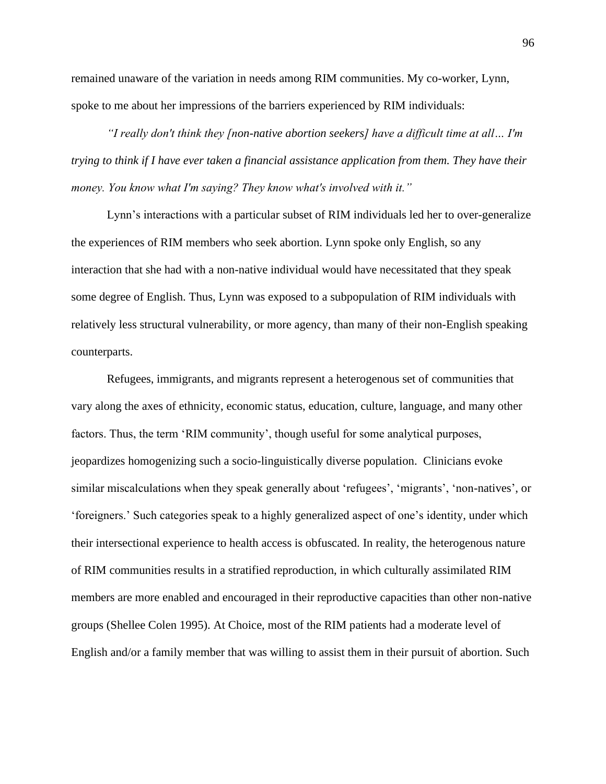remained unaware of the variation in needs among RIM communities. My co-worker, Lynn, spoke to me about her impressions of the barriers experienced by RIM individuals:

*"I really don't think they [non-native abortion seekers] have a difficult time at all… I'm trying to think if I have ever taken a financial assistance application from them. They have their money. You know what I'm saying? They know what's involved with it."*

Lynn's interactions with a particular subset of RIM individuals led her to over-generalize the experiences of RIM members who seek abortion. Lynn spoke only English, so any interaction that she had with a non-native individual would have necessitated that they speak some degree of English. Thus, Lynn was exposed to a subpopulation of RIM individuals with relatively less structural vulnerability, or more agency, than many of their non-English speaking counterparts.

Refugees, immigrants, and migrants represent a heterogenous set of communities that vary along the axes of ethnicity, economic status, education, culture, language, and many other factors. Thus, the term 'RIM community', though useful for some analytical purposes, jeopardizes homogenizing such a socio-linguistically diverse population. Clinicians evoke similar miscalculations when they speak generally about 'refugees', 'migrants', 'non-natives', or 'foreigners.' Such categories speak to a highly generalized aspect of one's identity, under which their intersectional experience to health access is obfuscated. In reality, the heterogenous nature of RIM communities results in a stratified reproduction, in which culturally assimilated RIM members are more enabled and encouraged in their reproductive capacities than other non-native groups (Shellee Colen 1995). At Choice, most of the RIM patients had a moderate level of English and/or a family member that was willing to assist them in their pursuit of abortion. Such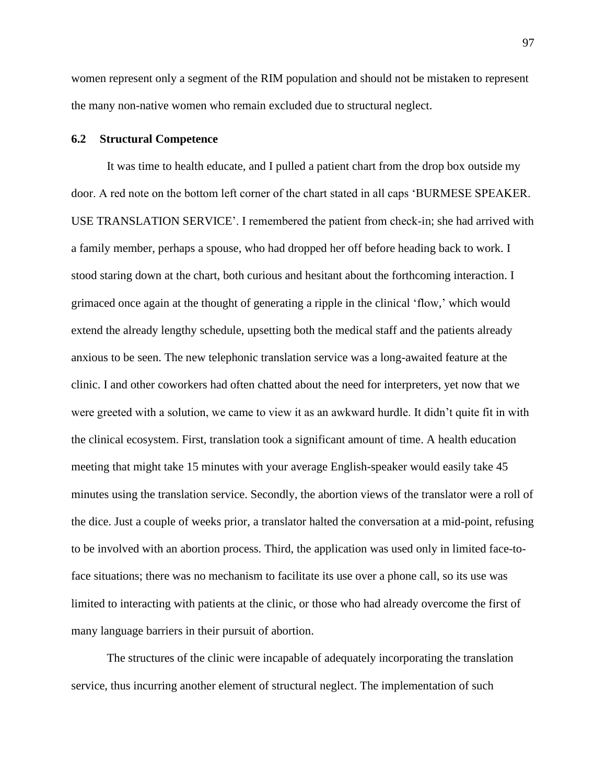women represent only a segment of the RIM population and should not be mistaken to represent the many non-native women who remain excluded due to structural neglect.

## **6.2 Structural Competence**

It was time to health educate, and I pulled a patient chart from the drop box outside my door. A red note on the bottom left corner of the chart stated in all caps 'BURMESE SPEAKER. USE TRANSLATION SERVICE'. I remembered the patient from check-in; she had arrived with a family member, perhaps a spouse, who had dropped her off before heading back to work. I stood staring down at the chart, both curious and hesitant about the forthcoming interaction. I grimaced once again at the thought of generating a ripple in the clinical 'flow,' which would extend the already lengthy schedule, upsetting both the medical staff and the patients already anxious to be seen. The new telephonic translation service was a long-awaited feature at the clinic. I and other coworkers had often chatted about the need for interpreters, yet now that we were greeted with a solution, we came to view it as an awkward hurdle. It didn't quite fit in with the clinical ecosystem. First, translation took a significant amount of time. A health education meeting that might take 15 minutes with your average English-speaker would easily take 45 minutes using the translation service. Secondly, the abortion views of the translator were a roll of the dice. Just a couple of weeks prior, a translator halted the conversation at a mid-point, refusing to be involved with an abortion process. Third, the application was used only in limited face-toface situations; there was no mechanism to facilitate its use over a phone call, so its use was limited to interacting with patients at the clinic, or those who had already overcome the first of many language barriers in their pursuit of abortion.

The structures of the clinic were incapable of adequately incorporating the translation service, thus incurring another element of structural neglect. The implementation of such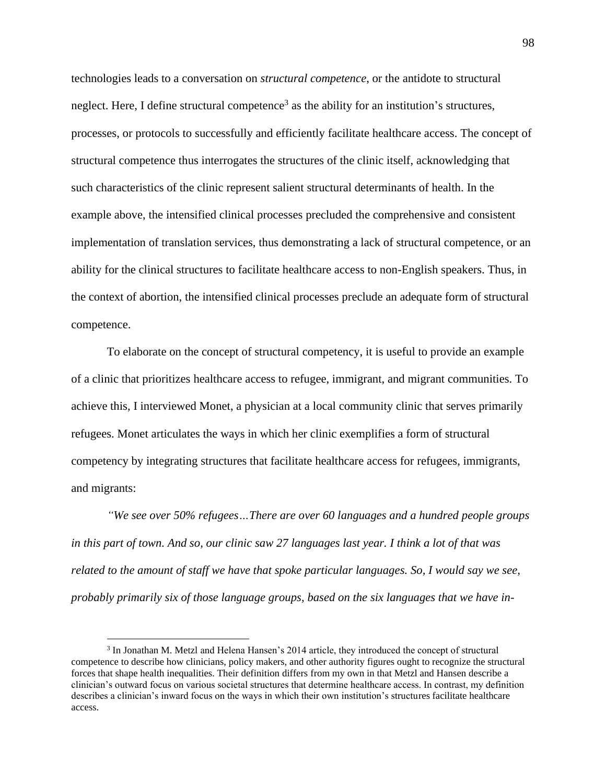technologies leads to a conversation on *structural competence*, or the antidote to structural neglect. Here, I define structural competence<sup>3</sup> as the ability for an institution's structures, processes, or protocols to successfully and efficiently facilitate healthcare access. The concept of structural competence thus interrogates the structures of the clinic itself, acknowledging that such characteristics of the clinic represent salient structural determinants of health. In the example above, the intensified clinical processes precluded the comprehensive and consistent implementation of translation services, thus demonstrating a lack of structural competence, or an ability for the clinical structures to facilitate healthcare access to non-English speakers. Thus, in the context of abortion, the intensified clinical processes preclude an adequate form of structural competence.

To elaborate on the concept of structural competency, it is useful to provide an example of a clinic that prioritizes healthcare access to refugee, immigrant, and migrant communities. To achieve this, I interviewed Monet, a physician at a local community clinic that serves primarily refugees. Monet articulates the ways in which her clinic exemplifies a form of structural competency by integrating structures that facilitate healthcare access for refugees, immigrants, and migrants:

*"We see over 50% refugees…There are over 60 languages and a hundred people groups in this part of town. And so, our clinic saw 27 languages last year. I think a lot of that was related to the amount of staff we have that spoke particular languages. So, I would say we see, probably primarily six of those language groups, based on the six languages that we have in-*

<sup>&</sup>lt;sup>3</sup> In Jonathan M. Metzl and Helena Hansen's 2014 article, they introduced the concept of structural competence to describe how clinicians, policy makers, and other authority figures ought to recognize the structural forces that shape health inequalities. Their definition differs from my own in that Metzl and Hansen describe a clinician's outward focus on various societal structures that determine healthcare access. In contrast, my definition describes a clinician's inward focus on the ways in which their own institution's structures facilitate healthcare access.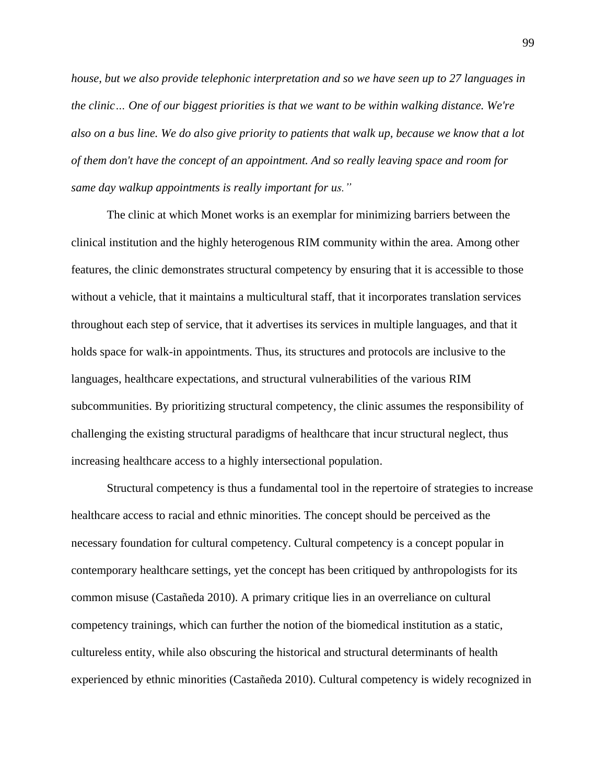*house, but we also provide telephonic interpretation and so we have seen up to 27 languages in the clinic… One of our biggest priorities is that we want to be within walking distance. We're also on a bus line. We do also give priority to patients that walk up, because we know that a lot of them don't have the concept of an appointment. And so really leaving space and room for same day walkup appointments is really important for us."*

The clinic at which Monet works is an exemplar for minimizing barriers between the clinical institution and the highly heterogenous RIM community within the area. Among other features, the clinic demonstrates structural competency by ensuring that it is accessible to those without a vehicle, that it maintains a multicultural staff, that it incorporates translation services throughout each step of service, that it advertises its services in multiple languages, and that it holds space for walk-in appointments. Thus, its structures and protocols are inclusive to the languages, healthcare expectations, and structural vulnerabilities of the various RIM subcommunities. By prioritizing structural competency, the clinic assumes the responsibility of challenging the existing structural paradigms of healthcare that incur structural neglect, thus increasing healthcare access to a highly intersectional population.

Structural competency is thus a fundamental tool in the repertoire of strategies to increase healthcare access to racial and ethnic minorities. The concept should be perceived as the necessary foundation for cultural competency. Cultural competency is a concept popular in contemporary healthcare settings, yet the concept has been critiqued by anthropologists for its common misuse (Castañeda 2010). A primary critique lies in an overreliance on cultural competency trainings, which can further the notion of the biomedical institution as a static, cultureless entity, while also obscuring the historical and structural determinants of health experienced by ethnic minorities (Castañeda 2010). Cultural competency is widely recognized in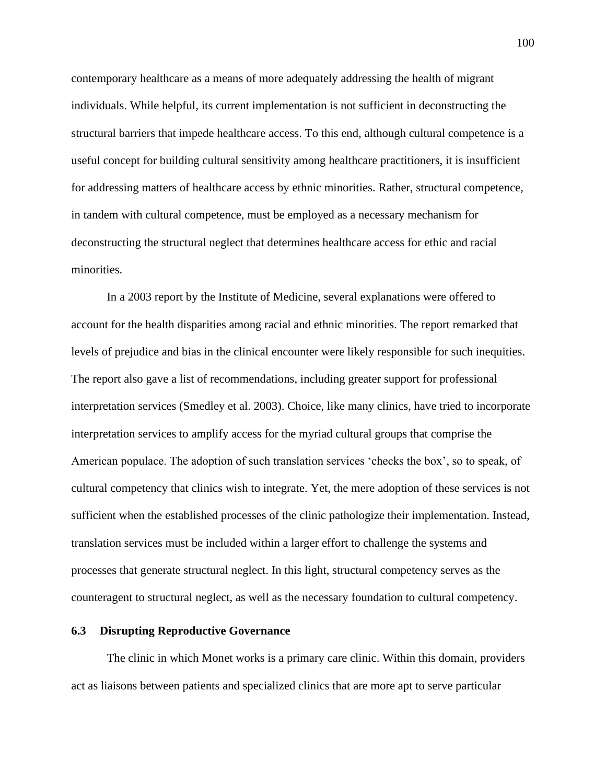contemporary healthcare as a means of more adequately addressing the health of migrant individuals. While helpful, its current implementation is not sufficient in deconstructing the structural barriers that impede healthcare access. To this end, although cultural competence is a useful concept for building cultural sensitivity among healthcare practitioners, it is insufficient for addressing matters of healthcare access by ethnic minorities. Rather, structural competence, in tandem with cultural competence, must be employed as a necessary mechanism for deconstructing the structural neglect that determines healthcare access for ethic and racial minorities.

In a 2003 report by the Institute of Medicine, several explanations were offered to account for the health disparities among racial and ethnic minorities. The report remarked that levels of prejudice and bias in the clinical encounter were likely responsible for such inequities. The report also gave a list of recommendations, including greater support for professional interpretation services (Smedley et al. 2003). Choice, like many clinics, have tried to incorporate interpretation services to amplify access for the myriad cultural groups that comprise the American populace. The adoption of such translation services 'checks the box', so to speak, of cultural competency that clinics wish to integrate. Yet, the mere adoption of these services is not sufficient when the established processes of the clinic pathologize their implementation. Instead, translation services must be included within a larger effort to challenge the systems and processes that generate structural neglect. In this light, structural competency serves as the counteragent to structural neglect, as well as the necessary foundation to cultural competency.

### **6.3 Disrupting Reproductive Governance**

The clinic in which Monet works is a primary care clinic. Within this domain, providers act as liaisons between patients and specialized clinics that are more apt to serve particular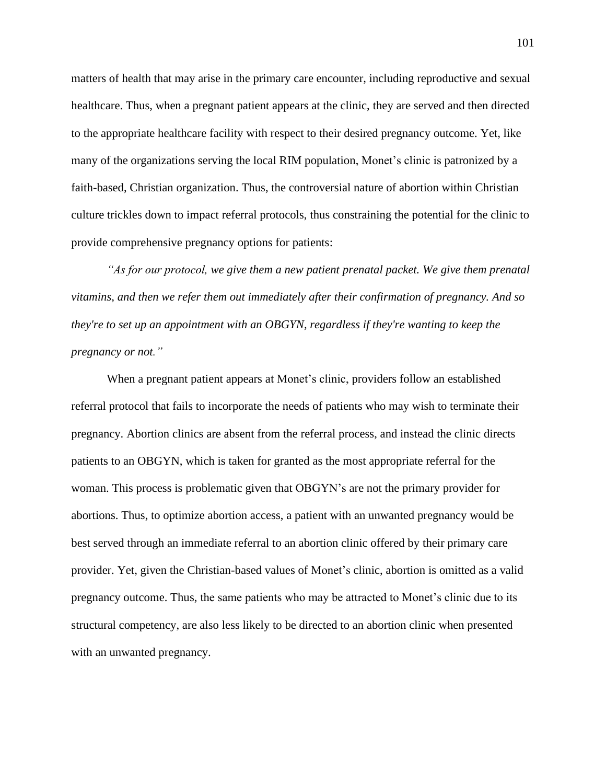matters of health that may arise in the primary care encounter, including reproductive and sexual healthcare. Thus, when a pregnant patient appears at the clinic, they are served and then directed to the appropriate healthcare facility with respect to their desired pregnancy outcome. Yet, like many of the organizations serving the local RIM population, Monet's clinic is patronized by a faith-based, Christian organization. Thus, the controversial nature of abortion within Christian culture trickles down to impact referral protocols, thus constraining the potential for the clinic to provide comprehensive pregnancy options for patients:

*"As for our protocol, we give them a new patient prenatal packet. We give them prenatal vitamins, and then we refer them out immediately after their confirmation of pregnancy. And so they're to set up an appointment with an OBGYN, regardless if they're wanting to keep the pregnancy or not."*

When a pregnant patient appears at Monet's clinic, providers follow an established referral protocol that fails to incorporate the needs of patients who may wish to terminate their pregnancy. Abortion clinics are absent from the referral process, and instead the clinic directs patients to an OBGYN, which is taken for granted as the most appropriate referral for the woman. This process is problematic given that OBGYN's are not the primary provider for abortions. Thus, to optimize abortion access, a patient with an unwanted pregnancy would be best served through an immediate referral to an abortion clinic offered by their primary care provider. Yet, given the Christian-based values of Monet's clinic, abortion is omitted as a valid pregnancy outcome. Thus, the same patients who may be attracted to Monet's clinic due to its structural competency, are also less likely to be directed to an abortion clinic when presented with an unwanted pregnancy.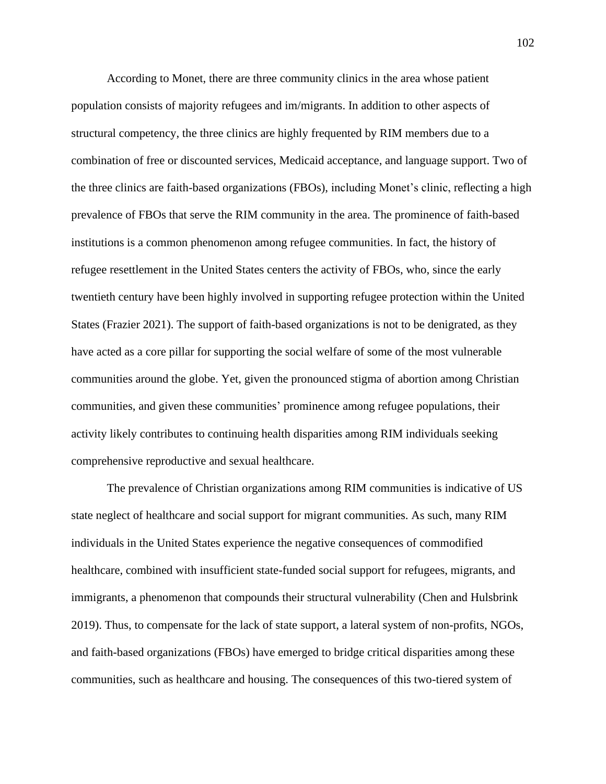According to Monet, there are three community clinics in the area whose patient population consists of majority refugees and im/migrants. In addition to other aspects of structural competency, the three clinics are highly frequented by RIM members due to a combination of free or discounted services, Medicaid acceptance, and language support. Two of the three clinics are faith-based organizations (FBOs), including Monet's clinic, reflecting a high prevalence of FBOs that serve the RIM community in the area. The prominence of faith-based institutions is a common phenomenon among refugee communities. In fact, the history of refugee resettlement in the United States centers the activity of FBOs, who, since the early twentieth century have been highly involved in supporting refugee protection within the United States (Frazier 2021). The support of faith-based organizations is not to be denigrated, as they have acted as a core pillar for supporting the social welfare of some of the most vulnerable communities around the globe. Yet, given the pronounced stigma of abortion among Christian communities, and given these communities' prominence among refugee populations, their activity likely contributes to continuing health disparities among RIM individuals seeking comprehensive reproductive and sexual healthcare.

The prevalence of Christian organizations among RIM communities is indicative of US state neglect of healthcare and social support for migrant communities. As such, many RIM individuals in the United States experience the negative consequences of commodified healthcare, combined with insufficient state-funded social support for refugees, migrants, and immigrants, a phenomenon that compounds their structural vulnerability (Chen and Hulsbrink 2019). Thus, to compensate for the lack of state support, a lateral system of non-profits, NGOs, and faith-based organizations (FBOs) have emerged to bridge critical disparities among these communities, such as healthcare and housing. The consequences of this two-tiered system of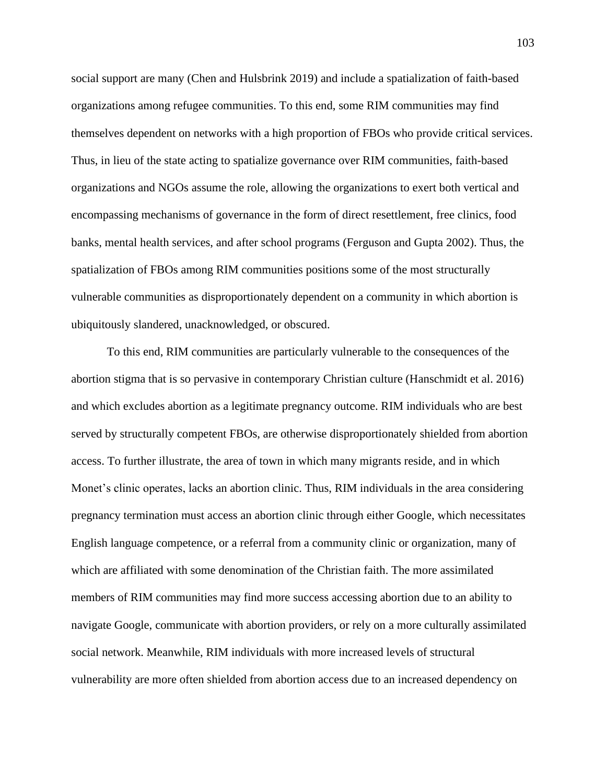social support are many (Chen and Hulsbrink 2019) and include a spatialization of faith-based organizations among refugee communities. To this end, some RIM communities may find themselves dependent on networks with a high proportion of FBOs who provide critical services. Thus, in lieu of the state acting to spatialize governance over RIM communities, faith-based organizations and NGOs assume the role, allowing the organizations to exert both vertical and encompassing mechanisms of governance in the form of direct resettlement, free clinics, food banks, mental health services, and after school programs (Ferguson and Gupta 2002). Thus, the spatialization of FBOs among RIM communities positions some of the most structurally vulnerable communities as disproportionately dependent on a community in which abortion is ubiquitously slandered, unacknowledged, or obscured.

To this end, RIM communities are particularly vulnerable to the consequences of the abortion stigma that is so pervasive in contemporary Christian culture (Hanschmidt et al. 2016) and which excludes abortion as a legitimate pregnancy outcome. RIM individuals who are best served by structurally competent FBOs, are otherwise disproportionately shielded from abortion access. To further illustrate, the area of town in which many migrants reside, and in which Monet's clinic operates, lacks an abortion clinic. Thus, RIM individuals in the area considering pregnancy termination must access an abortion clinic through either Google, which necessitates English language competence, or a referral from a community clinic or organization, many of which are affiliated with some denomination of the Christian faith. The more assimilated members of RIM communities may find more success accessing abortion due to an ability to navigate Google, communicate with abortion providers, or rely on a more culturally assimilated social network. Meanwhile, RIM individuals with more increased levels of structural vulnerability are more often shielded from abortion access due to an increased dependency on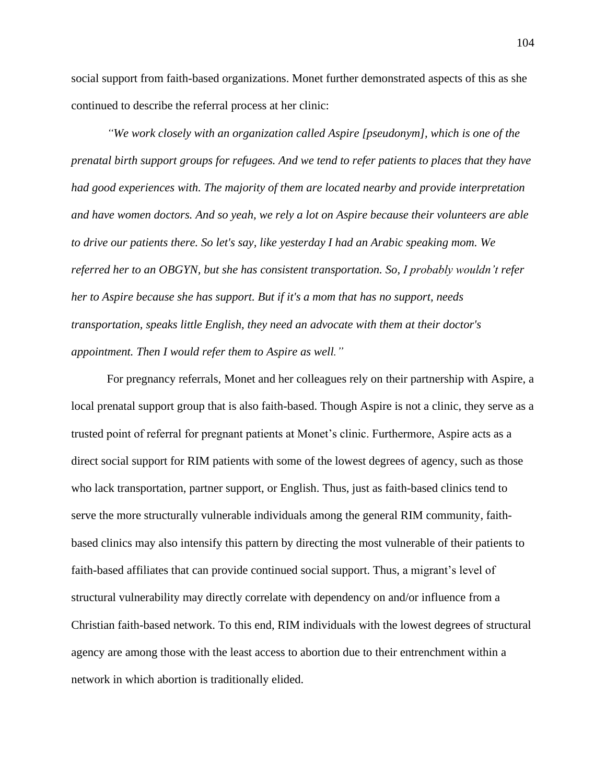social support from faith-based organizations. Monet further demonstrated aspects of this as she continued to describe the referral process at her clinic:

*"We work closely with an organization called Aspire [pseudonym], which is one of the prenatal birth support groups for refugees. And we tend to refer patients to places that they have had good experiences with. The majority of them are located nearby and provide interpretation and have women doctors. And so yeah, we rely a lot on Aspire because their volunteers are able to drive our patients there. So let's say, like yesterday I had an Arabic speaking mom. We referred her to an OBGYN, but she has consistent transportation. So, I probably wouldn't refer her to Aspire because she has support. But if it's a mom that has no support, needs transportation, speaks little English, they need an advocate with them at their doctor's appointment. Then I would refer them to Aspire as well."*

For pregnancy referrals, Monet and her colleagues rely on their partnership with Aspire, a local prenatal support group that is also faith-based. Though Aspire is not a clinic, they serve as a trusted point of referral for pregnant patients at Monet's clinic. Furthermore, Aspire acts as a direct social support for RIM patients with some of the lowest degrees of agency, such as those who lack transportation, partner support, or English. Thus, just as faith-based clinics tend to serve the more structurally vulnerable individuals among the general RIM community, faithbased clinics may also intensify this pattern by directing the most vulnerable of their patients to faith-based affiliates that can provide continued social support. Thus, a migrant's level of structural vulnerability may directly correlate with dependency on and/or influence from a Christian faith-based network. To this end, RIM individuals with the lowest degrees of structural agency are among those with the least access to abortion due to their entrenchment within a network in which abortion is traditionally elided.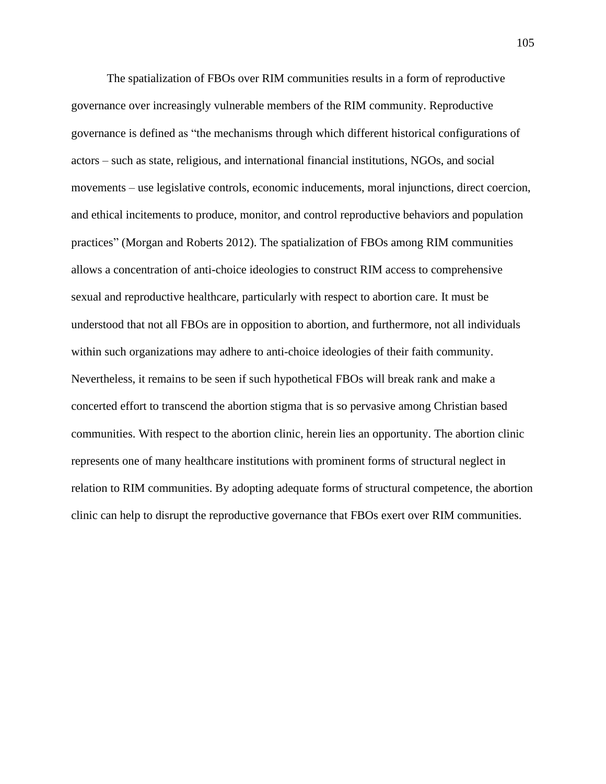The spatialization of FBOs over RIM communities results in a form of reproductive governance over increasingly vulnerable members of the RIM community. Reproductive governance is defined as "the mechanisms through which different historical configurations of actors – such as state, religious, and international financial institutions, NGOs, and social movements – use legislative controls, economic inducements, moral injunctions, direct coercion, and ethical incitements to produce, monitor, and control reproductive behaviors and population practices" (Morgan and Roberts 2012). The spatialization of FBOs among RIM communities allows a concentration of anti-choice ideologies to construct RIM access to comprehensive sexual and reproductive healthcare, particularly with respect to abortion care. It must be understood that not all FBOs are in opposition to abortion, and furthermore, not all individuals within such organizations may adhere to anti-choice ideologies of their faith community. Nevertheless, it remains to be seen if such hypothetical FBOs will break rank and make a concerted effort to transcend the abortion stigma that is so pervasive among Christian based communities. With respect to the abortion clinic, herein lies an opportunity. The abortion clinic represents one of many healthcare institutions with prominent forms of structural neglect in relation to RIM communities. By adopting adequate forms of structural competence, the abortion clinic can help to disrupt the reproductive governance that FBOs exert over RIM communities.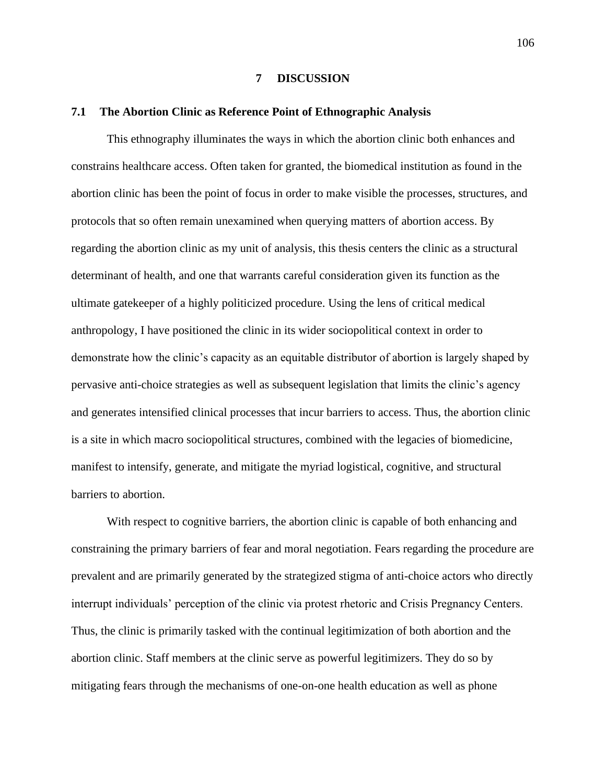#### **7 DISCUSSION**

#### **7.1 The Abortion Clinic as Reference Point of Ethnographic Analysis**

This ethnography illuminates the ways in which the abortion clinic both enhances and constrains healthcare access. Often taken for granted, the biomedical institution as found in the abortion clinic has been the point of focus in order to make visible the processes, structures, and protocols that so often remain unexamined when querying matters of abortion access. By regarding the abortion clinic as my unit of analysis, this thesis centers the clinic as a structural determinant of health, and one that warrants careful consideration given its function as the ultimate gatekeeper of a highly politicized procedure. Using the lens of critical medical anthropology, I have positioned the clinic in its wider sociopolitical context in order to demonstrate how the clinic's capacity as an equitable distributor of abortion is largely shaped by pervasive anti-choice strategies as well as subsequent legislation that limits the clinic's agency and generates intensified clinical processes that incur barriers to access. Thus, the abortion clinic is a site in which macro sociopolitical structures, combined with the legacies of biomedicine, manifest to intensify, generate, and mitigate the myriad logistical, cognitive, and structural barriers to abortion.

With respect to cognitive barriers, the abortion clinic is capable of both enhancing and constraining the primary barriers of fear and moral negotiation. Fears regarding the procedure are prevalent and are primarily generated by the strategized stigma of anti-choice actors who directly interrupt individuals' perception of the clinic via protest rhetoric and Crisis Pregnancy Centers. Thus, the clinic is primarily tasked with the continual legitimization of both abortion and the abortion clinic. Staff members at the clinic serve as powerful legitimizers. They do so by mitigating fears through the mechanisms of one-on-one health education as well as phone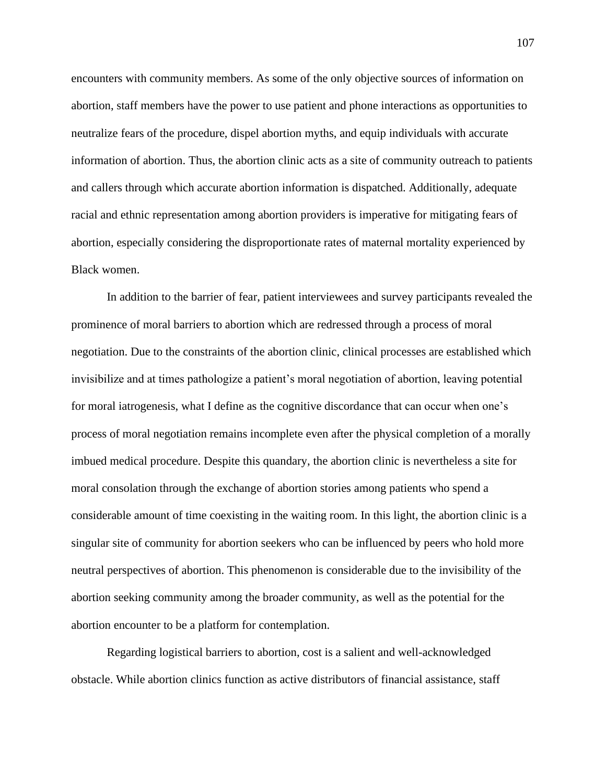encounters with community members. As some of the only objective sources of information on abortion, staff members have the power to use patient and phone interactions as opportunities to neutralize fears of the procedure, dispel abortion myths, and equip individuals with accurate information of abortion. Thus, the abortion clinic acts as a site of community outreach to patients and callers through which accurate abortion information is dispatched. Additionally, adequate racial and ethnic representation among abortion providers is imperative for mitigating fears of abortion, especially considering the disproportionate rates of maternal mortality experienced by Black women.

In addition to the barrier of fear, patient interviewees and survey participants revealed the prominence of moral barriers to abortion which are redressed through a process of moral negotiation. Due to the constraints of the abortion clinic, clinical processes are established which invisibilize and at times pathologize a patient's moral negotiation of abortion, leaving potential for moral iatrogenesis, what I define as the cognitive discordance that can occur when one's process of moral negotiation remains incomplete even after the physical completion of a morally imbued medical procedure. Despite this quandary, the abortion clinic is nevertheless a site for moral consolation through the exchange of abortion stories among patients who spend a considerable amount of time coexisting in the waiting room. In this light, the abortion clinic is a singular site of community for abortion seekers who can be influenced by peers who hold more neutral perspectives of abortion. This phenomenon is considerable due to the invisibility of the abortion seeking community among the broader community, as well as the potential for the abortion encounter to be a platform for contemplation.

Regarding logistical barriers to abortion, cost is a salient and well-acknowledged obstacle. While abortion clinics function as active distributors of financial assistance, staff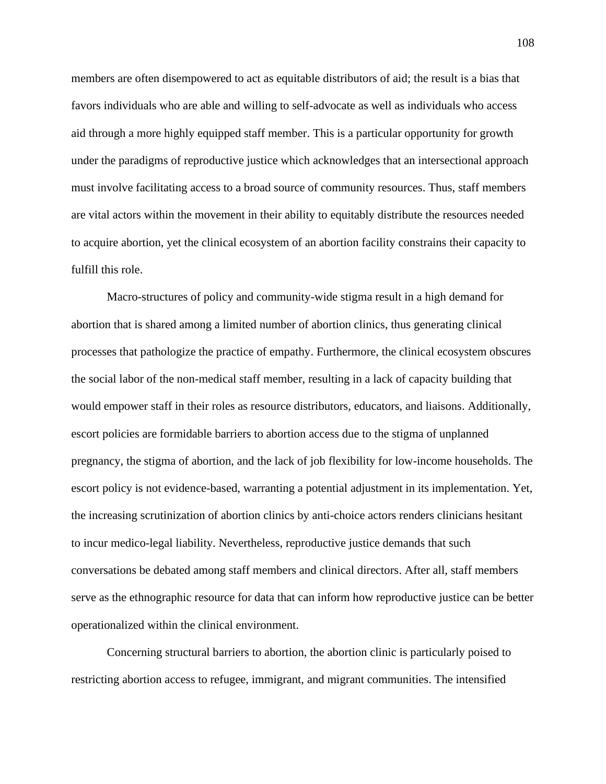members are often disempowered to act as equitable distributors of aid; the result is a bias that favors individuals who are able and willing to self-advocate as well as individuals who access aid through a more highly equipped staff member. This is a particular opportunity for growth under the paradigms of reproductive justice which acknowledges that an intersectional approach must involve facilitating access to a broad source of community resources. Thus, staff members are vital actors within the movement in their ability to equitably distribute the resources needed to acquire abortion, yet the clinical ecosystem of an abortion facility constrains their capacity to fulfill this role.

Macro-structures of policy and community-wide stigma result in a high demand for abortion that is shared among a limited number of abortion clinics, thus generating clinical processes that pathologize the practice of empathy. Furthermore, the clinical ecosystem obscures the social labor of the non-medical staff member, resulting in a lack of capacity building that would empower staff in their roles as resource distributors, educators, and liaisons. Additionally, escort policies are formidable barriers to abortion access due to the stigma of unplanned pregnancy, the stigma of abortion, and the lack of job flexibility for low-income households. The escort policy is not evidence-based, warranting a potential adjustment in its implementation. Yet, the increasing scrutinization of abortion clinics by anti-choice actors renders clinicians hesitant to incur medico-legal liability. Nevertheless, reproductive justice demands that such conversations be debated among staff members and clinical directors. After all, staff members serve as the ethnographic resource for data that can inform how reproductive justice can be better operationalized within the clinical environment.

Concerning structural barriers to abortion, the abortion clinic is particularly poised to restricting abortion access to refugee, immigrant, and migrant communities. The intensified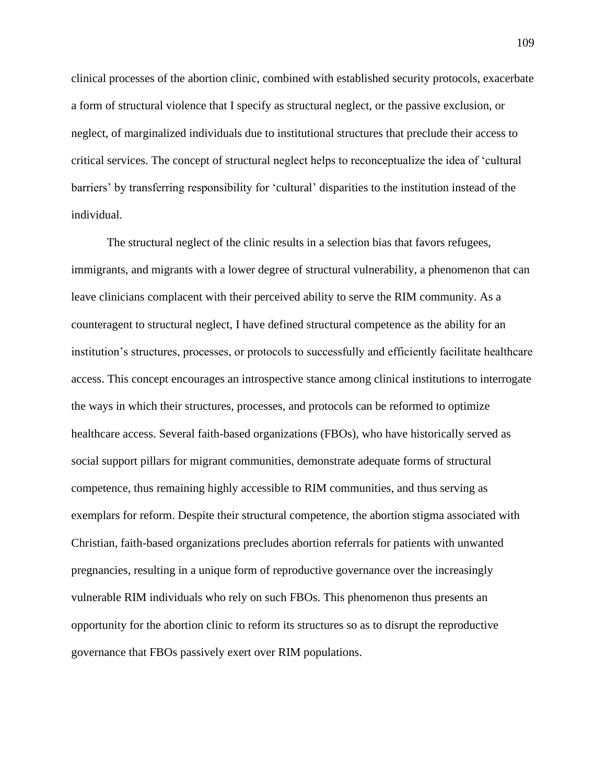clinical processes of the abortion clinic, combined with established security protocols, exacerbate a form of structural violence that I specify as structural neglect, or the passive exclusion, or neglect, of marginalized individuals due to institutional structures that preclude their access to critical services. The concept of structural neglect helps to reconceptualize the idea of 'cultural barriers' by transferring responsibility for 'cultural' disparities to the institution instead of the individual.

The structural neglect of the clinic results in a selection bias that favors refugees, immigrants, and migrants with a lower degree of structural vulnerability, a phenomenon that can leave clinicians complacent with their perceived ability to serve the RIM community. As a counteragent to structural neglect, I have defined structural competence as the ability for an institution's structures, processes, or protocols to successfully and efficiently facilitate healthcare access. This concept encourages an introspective stance among clinical institutions to interrogate the ways in which their structures, processes, and protocols can be reformed to optimize healthcare access. Several faith-based organizations (FBOs), who have historically served as social support pillars for migrant communities, demonstrate adequate forms of structural competence, thus remaining highly accessible to RIM communities, and thus serving as exemplars for reform. Despite their structural competence, the abortion stigma associated with Christian, faith-based organizations precludes abortion referrals for patients with unwanted pregnancies, resulting in a unique form of reproductive governance over the increasingly vulnerable RIM individuals who rely on such FBOs. This phenomenon thus presents an opportunity for the abortion clinic to reform its structures so as to disrupt the reproductive governance that FBOs passively exert over RIM populations.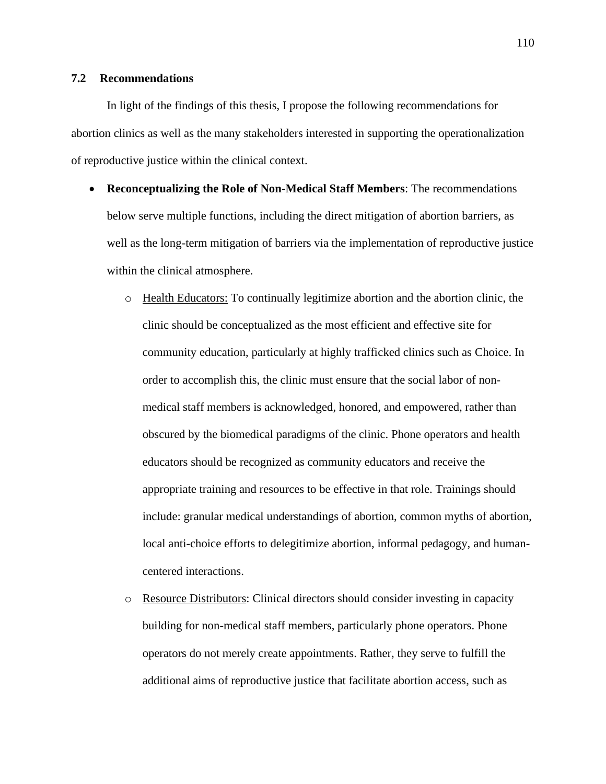# **7.2 Recommendations**

In light of the findings of this thesis, I propose the following recommendations for abortion clinics as well as the many stakeholders interested in supporting the operationalization of reproductive justice within the clinical context.

- **Reconceptualizing the Role of Non-Medical Staff Members**: The recommendations below serve multiple functions, including the direct mitigation of abortion barriers, as well as the long-term mitigation of barriers via the implementation of reproductive justice within the clinical atmosphere.
	- o Health Educators: To continually legitimize abortion and the abortion clinic, the clinic should be conceptualized as the most efficient and effective site for community education, particularly at highly trafficked clinics such as Choice. In order to accomplish this, the clinic must ensure that the social labor of nonmedical staff members is acknowledged, honored, and empowered, rather than obscured by the biomedical paradigms of the clinic. Phone operators and health educators should be recognized as community educators and receive the appropriate training and resources to be effective in that role. Trainings should include: granular medical understandings of abortion, common myths of abortion, local anti-choice efforts to delegitimize abortion, informal pedagogy, and humancentered interactions.
	- o Resource Distributors: Clinical directors should consider investing in capacity building for non-medical staff members, particularly phone operators. Phone operators do not merely create appointments. Rather, they serve to fulfill the additional aims of reproductive justice that facilitate abortion access, such as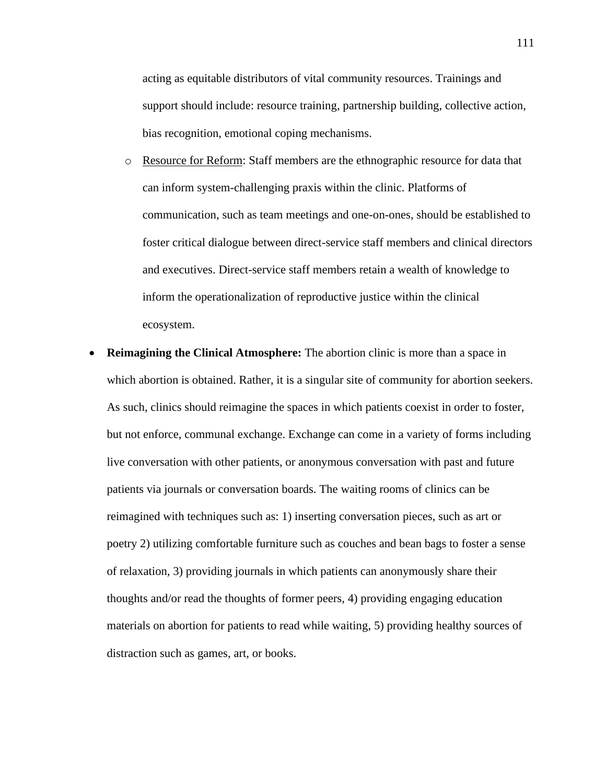acting as equitable distributors of vital community resources. Trainings and support should include: resource training, partnership building, collective action, bias recognition, emotional coping mechanisms.

- o Resource for Reform: Staff members are the ethnographic resource for data that can inform system-challenging praxis within the clinic. Platforms of communication, such as team meetings and one-on-ones, should be established to foster critical dialogue between direct-service staff members and clinical directors and executives. Direct-service staff members retain a wealth of knowledge to inform the operationalization of reproductive justice within the clinical ecosystem.
- **Reimagining the Clinical Atmosphere:** The abortion clinic is more than a space in which abortion is obtained. Rather, it is a singular site of community for abortion seekers. As such, clinics should reimagine the spaces in which patients coexist in order to foster, but not enforce, communal exchange. Exchange can come in a variety of forms including live conversation with other patients, or anonymous conversation with past and future patients via journals or conversation boards. The waiting rooms of clinics can be reimagined with techniques such as: 1) inserting conversation pieces, such as art or poetry 2) utilizing comfortable furniture such as couches and bean bags to foster a sense of relaxation, 3) providing journals in which patients can anonymously share their thoughts and/or read the thoughts of former peers, 4) providing engaging education materials on abortion for patients to read while waiting, 5) providing healthy sources of distraction such as games, art, or books.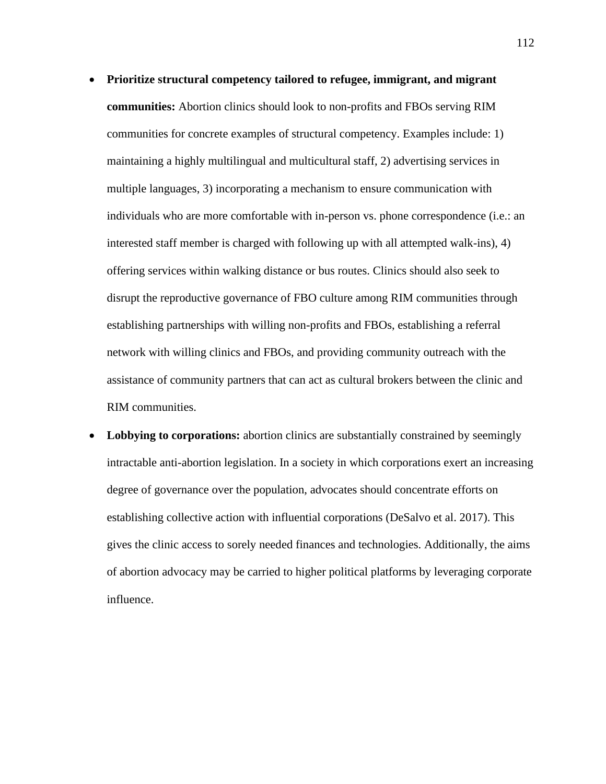- **Prioritize structural competency tailored to refugee, immigrant, and migrant communities:** Abortion clinics should look to non-profits and FBOs serving RIM communities for concrete examples of structural competency. Examples include: 1) maintaining a highly multilingual and multicultural staff, 2) advertising services in multiple languages, 3) incorporating a mechanism to ensure communication with individuals who are more comfortable with in-person vs. phone correspondence (i.e.: an interested staff member is charged with following up with all attempted walk-ins), 4) offering services within walking distance or bus routes. Clinics should also seek to disrupt the reproductive governance of FBO culture among RIM communities through establishing partnerships with willing non-profits and FBOs, establishing a referral network with willing clinics and FBOs, and providing community outreach with the assistance of community partners that can act as cultural brokers between the clinic and RIM communities.
- Lobbying to corporations: abortion clinics are substantially constrained by seemingly intractable anti-abortion legislation. In a society in which corporations exert an increasing degree of governance over the population, advocates should concentrate efforts on establishing collective action with influential corporations (DeSalvo et al. 2017). This gives the clinic access to sorely needed finances and technologies. Additionally, the aims of abortion advocacy may be carried to higher political platforms by leveraging corporate influence.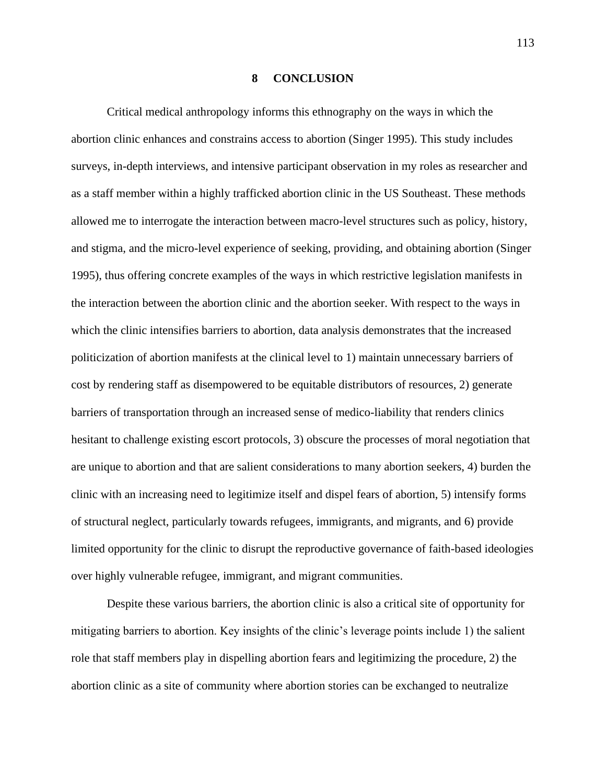#### **8 CONCLUSION**

Critical medical anthropology informs this ethnography on the ways in which the abortion clinic enhances and constrains access to abortion (Singer 1995). This study includes surveys, in-depth interviews, and intensive participant observation in my roles as researcher and as a staff member within a highly trafficked abortion clinic in the US Southeast. These methods allowed me to interrogate the interaction between macro-level structures such as policy, history, and stigma, and the micro-level experience of seeking, providing, and obtaining abortion (Singer 1995), thus offering concrete examples of the ways in which restrictive legislation manifests in the interaction between the abortion clinic and the abortion seeker. With respect to the ways in which the clinic intensifies barriers to abortion, data analysis demonstrates that the increased politicization of abortion manifests at the clinical level to 1) maintain unnecessary barriers of cost by rendering staff as disempowered to be equitable distributors of resources, 2) generate barriers of transportation through an increased sense of medico-liability that renders clinics hesitant to challenge existing escort protocols, 3) obscure the processes of moral negotiation that are unique to abortion and that are salient considerations to many abortion seekers, 4) burden the clinic with an increasing need to legitimize itself and dispel fears of abortion, 5) intensify forms of structural neglect, particularly towards refugees, immigrants, and migrants, and 6) provide limited opportunity for the clinic to disrupt the reproductive governance of faith-based ideologies over highly vulnerable refugee, immigrant, and migrant communities.

Despite these various barriers, the abortion clinic is also a critical site of opportunity for mitigating barriers to abortion. Key insights of the clinic's leverage points include 1) the salient role that staff members play in dispelling abortion fears and legitimizing the procedure, 2) the abortion clinic as a site of community where abortion stories can be exchanged to neutralize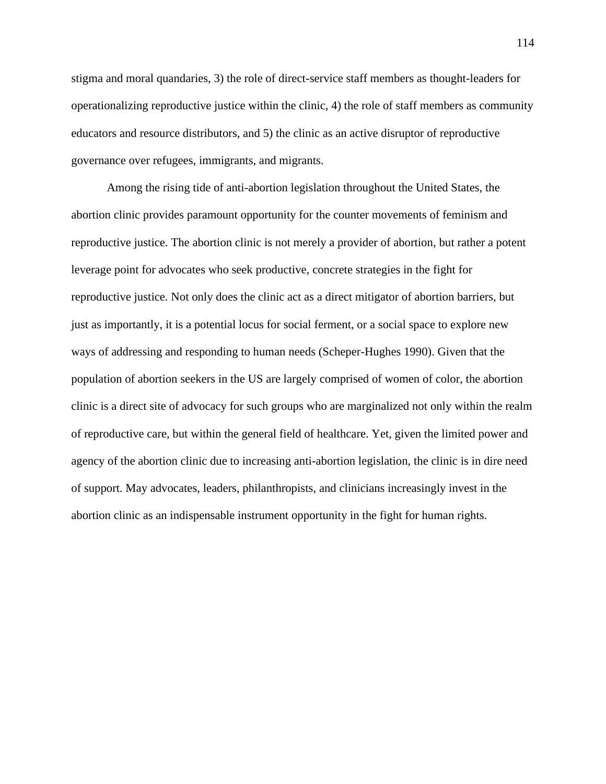stigma and moral quandaries, 3) the role of direct-service staff members as thought-leaders for operationalizing reproductive justice within the clinic, 4) the role of staff members as community educators and resource distributors, and 5) the clinic as an active disruptor of reproductive governance over refugees, immigrants, and migrants.

Among the rising tide of anti-abortion legislation throughout the United States, the abortion clinic provides paramount opportunity for the counter movements of feminism and reproductive justice. The abortion clinic is not merely a provider of abortion, but rather a potent leverage point for advocates who seek productive, concrete strategies in the fight for reproductive justice. Not only does the clinic act as a direct mitigator of abortion barriers, but just as importantly, it is a potential locus for social ferment, or a social space to explore new ways of addressing and responding to human needs (Scheper-Hughes 1990). Given that the population of abortion seekers in the US are largely comprised of women of color, the abortion clinic is a direct site of advocacy for such groups who are marginalized not only within the realm of reproductive care, but within the general field of healthcare. Yet, given the limited power and agency of the abortion clinic due to increasing anti-abortion legislation, the clinic is in dire need of support. May advocates, leaders, philanthropists, and clinicians increasingly invest in the abortion clinic as an indispensable instrument opportunity in the fight for human rights.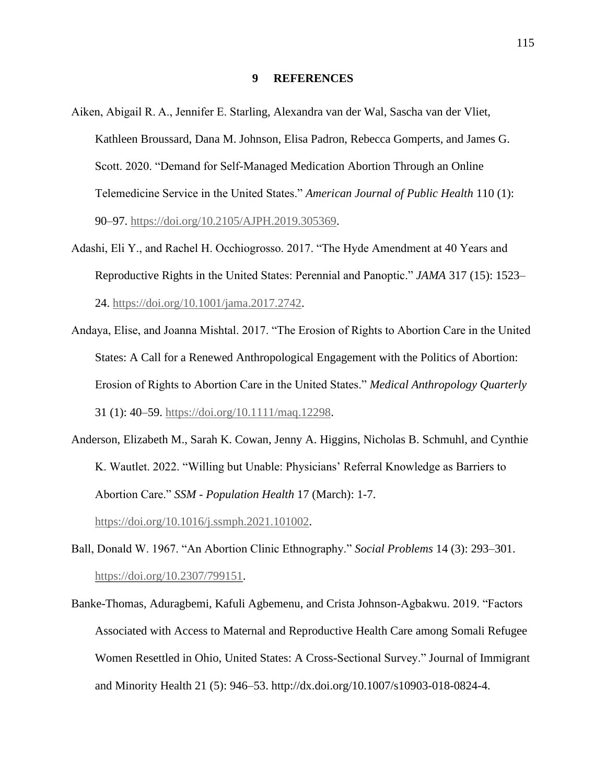### **9 REFERENCES**

- Aiken, Abigail R. A., Jennifer E. Starling, Alexandra van der Wal, Sascha van der Vliet, Kathleen Broussard, Dana M. Johnson, Elisa Padron, Rebecca Gomperts, and James G. Scott. 2020. "Demand for Self-Managed Medication Abortion Through an Online Telemedicine Service in the United States." *American Journal of Public Health* 110 (1): 90–97. [https://doi.org/10.2105/AJPH.2019.305369.](https://doi.org/10.2105/AJPH.2019.305369)
- Adashi, Eli Y., and Rachel H. Occhiogrosso. 2017. "The Hyde Amendment at 40 Years and Reproductive Rights in the United States: Perennial and Panoptic." *JAMA* 317 (15): 1523– 24. [https://doi.org/10.1001/jama.2017.2742.](https://doi.org/10.1001/jama.2017.2742)
- Andaya, Elise, and Joanna Mishtal. 2017. "The Erosion of Rights to Abortion Care in the United States: A Call for a Renewed Anthropological Engagement with the Politics of Abortion: Erosion of Rights to Abortion Care in the United States." *Medical Anthropology Quarterly* 31 (1): 40–59. [https://doi.org/10.1111/maq.12298.](https://doi.org/10.1111/maq.12298)
- Anderson, Elizabeth M., Sarah K. Cowan, Jenny A. Higgins, Nicholas B. Schmuhl, and Cynthie K. Wautlet. 2022. "Willing but Unable: Physicians' Referral Knowledge as Barriers to Abortion Care." *SSM - Population Health* 17 (March): 1-7. [https://doi.org/10.1016/j.ssmph.2021.101002.](https://doi.org/10.1016/j.ssmph.2021.101002)
- Ball, Donald W. 1967. "An Abortion Clinic Ethnography." *Social Problems* 14 (3): 293–301. [https://doi.org/10.2307/799151.](https://doi.org/10.2307/799151)
- Banke-Thomas, Aduragbemi, Kafuli Agbemenu, and Crista Johnson-Agbakwu. 2019. "Factors Associated with Access to Maternal and Reproductive Health Care among Somali Refugee Women Resettled in Ohio, United States: A Cross-Sectional Survey." Journal of Immigrant and Minority Health 21 (5): 946–53. http://dx.doi.org/10.1007/s10903-018-0824-4.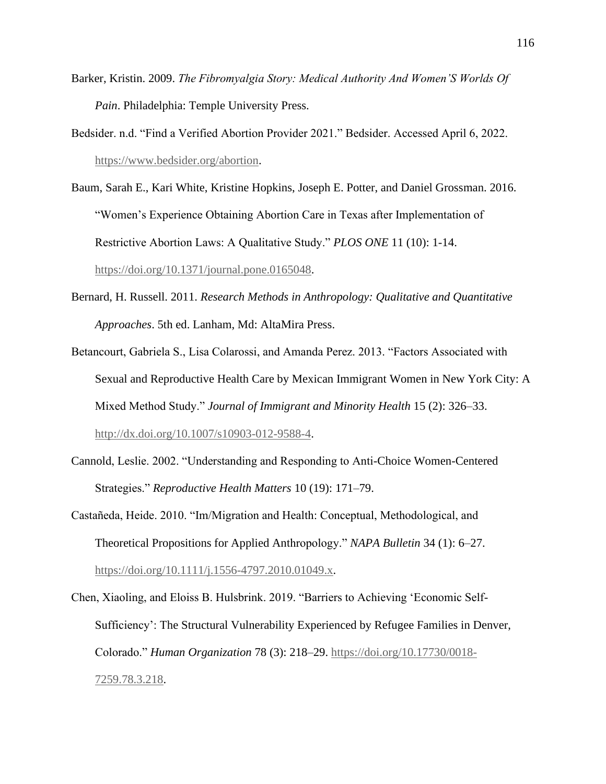- Barker, Kristin. 2009. *The Fibromyalgia Story: Medical Authority And Women'S Worlds Of Pain*. Philadelphia: Temple University Press.
- Bedsider. n.d. "Find a Verified Abortion Provider 2021." Bedsider. Accessed April 6, 2022. [https://www.bedsider.org/abortion.](https://www.bedsider.org/abortion)
- Baum, Sarah E., Kari White, Kristine Hopkins, Joseph E. Potter, and Daniel Grossman. 2016. "Women's Experience Obtaining Abortion Care in Texas after Implementation of Restrictive Abortion Laws: A Qualitative Study." *PLOS ONE* 11 (10): 1-14. [https://doi.org/10.1371/journal.pone.0165048.](https://doi.org/10.1371/journal.pone.0165048)
- Bernard, H. Russell. 2011. *Research Methods in Anthropology: Qualitative and Quantitative Approaches*. 5th ed. Lanham, Md: AltaMira Press.
- Betancourt, Gabriela S., Lisa Colarossi, and Amanda Perez. 2013. "Factors Associated with Sexual and Reproductive Health Care by Mexican Immigrant Women in New York City: A Mixed Method Study." *Journal of Immigrant and Minority Health* 15 (2): 326–33. [http://dx.doi.org/10.1007/s10903-012-9588-4.](http://dx.doi.org/10.1007/s10903-012-9588-4)
- Cannold, Leslie. 2002. "Understanding and Responding to Anti-Choice Women-Centered Strategies." *Reproductive Health Matters* 10 (19): 171–79.
- Castañeda, Heide. 2010. "Im/Migration and Health: Conceptual, Methodological, and Theoretical Propositions for Applied Anthropology." *NAPA Bulletin* 34 (1): 6–27. [https://doi.org/10.1111/j.1556-4797.2010.01049.x.](https://doi.org/10.1111/j.1556-4797.2010.01049.x)

Chen, Xiaoling, and Eloiss B. Hulsbrink. 2019. "Barriers to Achieving 'Economic Self-Sufficiency': The Structural Vulnerability Experienced by Refugee Families in Denver, Colorado." *Human Organization* 78 (3): 218–29. [https://doi.org/10.17730/0018-](https://doi.org/10.17730/0018-7259.78.3.218) [7259.78.3.218.](https://doi.org/10.17730/0018-7259.78.3.218)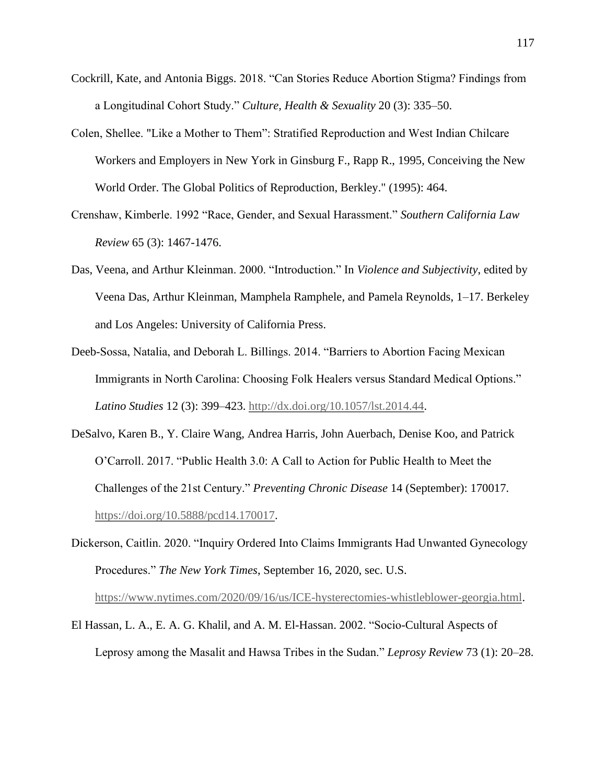- Cockrill, Kate, and Antonia Biggs. 2018. "Can Stories Reduce Abortion Stigma? Findings from a Longitudinal Cohort Study." *Culture, Health & Sexuality* 20 (3): 335–50.
- Colen, Shellee. "Like a Mother to Them": Stratified Reproduction and West Indian Chilcare Workers and Employers in New York in Ginsburg F., Rapp R., 1995, Conceiving the New World Order. The Global Politics of Reproduction, Berkley." (1995): 464.
- Crenshaw, Kimberle. 1992 "Race, Gender, and Sexual Harassment." *Southern California Law Review* 65 (3): 1467-1476.
- Das, Veena, and Arthur Kleinman. 2000. "Introduction." In *Violence and Subjectivity*, edited by Veena Das, Arthur Kleinman, Mamphela Ramphele, and Pamela Reynolds, 1–17. Berkeley and Los Angeles: University of California Press.
- Deeb-Sossa, Natalia, and Deborah L. Billings. 2014. "Barriers to Abortion Facing Mexican Immigrants in North Carolina: Choosing Folk Healers versus Standard Medical Options." *Latino Studies* 12 (3): 399–423. [http://dx.doi.org/10.1057/lst.2014.44.](http://dx.doi.org/10.1057/lst.2014.44)
- DeSalvo, Karen B., Y. Claire Wang, Andrea Harris, John Auerbach, Denise Koo, and Patrick O'Carroll. 2017. "Public Health 3.0: A Call to Action for Public Health to Meet the Challenges of the 21st Century." *Preventing Chronic Disease* 14 (September): 170017. [https://doi.org/10.5888/pcd14.170017.](https://doi.org/10.5888/pcd14.170017)
- Dickerson, Caitlin. 2020. "Inquiry Ordered Into Claims Immigrants Had Unwanted Gynecology Procedures." *The New York Times*, September 16, 2020, sec. U.S. [https://www.nytimes.com/2020/09/16/us/ICE-hysterectomies-whistleblower-georgia.html.](https://www.nytimes.com/2020/09/16/us/ICE-hysterectomies-whistleblower-georgia.html)
- El Hassan, L. A., E. A. G. Khalil, and A. M. El-Hassan. 2002. "Socio-Cultural Aspects of Leprosy among the Masalit and Hawsa Tribes in the Sudan." *Leprosy Review* 73 (1): 20–28.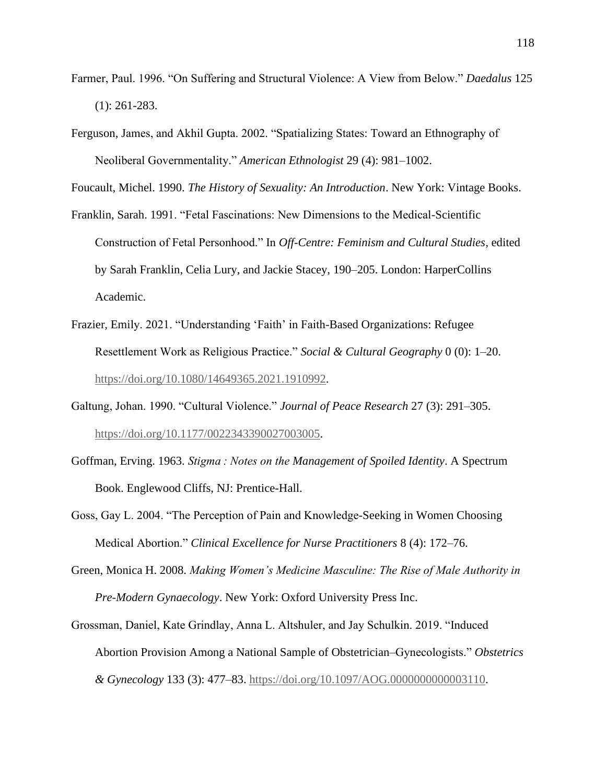- Farmer, Paul. 1996. "On Suffering and Structural Violence: A View from Below." *Daedalus* 125 (1): 261-283.
- Ferguson, James, and Akhil Gupta. 2002. "Spatializing States: Toward an Ethnography of Neoliberal Governmentality." *American Ethnologist* 29 (4): 981–1002.

Foucault, Michel. 1990. *The History of Sexuality: An Introduction*. New York: Vintage Books.

- Franklin, Sarah. 1991. "Fetal Fascinations: New Dimensions to the Medical-Scientific Construction of Fetal Personhood." In *Off-Centre: Feminism and Cultural Studies*, edited by Sarah Franklin, Celia Lury, and Jackie Stacey, 190–205. London: HarperCollins Academic.
- Frazier, Emily. 2021. "Understanding 'Faith' in Faith-Based Organizations: Refugee Resettlement Work as Religious Practice." *Social & Cultural Geography* 0 (0): 1–20. [https://doi.org/10.1080/14649365.2021.1910992.](https://doi.org/10.1080/14649365.2021.1910992)
- Galtung, Johan. 1990. "Cultural Violence." *Journal of Peace Research* 27 (3): 291–305. [https://doi.org/10.1177/0022343390027003005.](https://doi.org/10.1177/0022343390027003005)
- Goffman, Erving. 1963. *Stigma : Notes on the Management of Spoiled Identity*. A Spectrum Book. Englewood Cliffs, NJ: Prentice-Hall.
- Goss, Gay L. 2004. "The Perception of Pain and Knowledge-Seeking in Women Choosing Medical Abortion." *Clinical Excellence for Nurse Practitioners* 8 (4): 172–76.
- Green, Monica H. 2008. *Making Women's Medicine Masculine: The Rise of Male Authority in Pre-Modern Gynaecology*. New York: Oxford University Press Inc.
- Grossman, Daniel, Kate Grindlay, Anna L. Altshuler, and Jay Schulkin. 2019. "Induced Abortion Provision Among a National Sample of Obstetrician–Gynecologists." *Obstetrics & Gynecology* 133 (3): 477–83. [https://doi.org/10.1097/AOG.0000000000003110.](https://doi.org/10.1097/AOG.0000000000003110)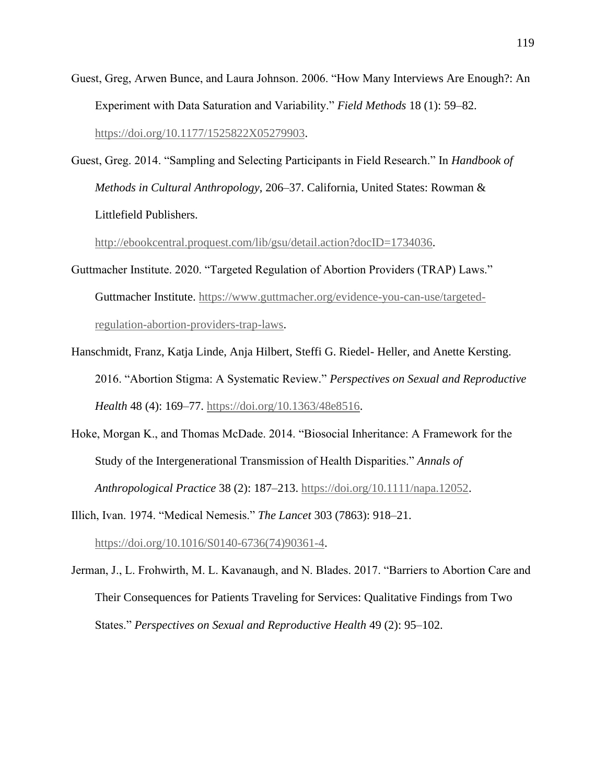- Guest, Greg, Arwen Bunce, and Laura Johnson. 2006. "How Many Interviews Are Enough?: An Experiment with Data Saturation and Variability." *Field Methods* 18 (1): 59–82. [https://doi.org/10.1177/1525822X05279903.](https://doi.org/10.1177/1525822X05279903)
- Guest, Greg. 2014. "Sampling and Selecting Participants in Field Research." In *Handbook of Methods in Cultural Anthropology*, 206–37. California, United States: Rowman & Littlefield Publishers.

[http://ebookcentral.proquest.com/lib/gsu/detail.action?docID=1734036.](http://ebookcentral.proquest.com/lib/gsu/detail.action?docID=1734036)

- Guttmacher Institute. 2020. "Targeted Regulation of Abortion Providers (TRAP) Laws." Guttmacher Institute. [https://www.guttmacher.org/evidence-you-can-use/targeted](https://www.guttmacher.org/evidence-you-can-use/targeted-regulation-abortion-providers-trap-laws)[regulation-abortion-providers-trap-laws.](https://www.guttmacher.org/evidence-you-can-use/targeted-regulation-abortion-providers-trap-laws)
- Hanschmidt, Franz, Katja Linde, Anja Hilbert, Steffi G. Riedel- Heller, and Anette Kersting. 2016. "Abortion Stigma: A Systematic Review." *Perspectives on Sexual and Reproductive Health* 48 (4): 169–77. [https://doi.org/10.1363/48e8516.](https://doi.org/10.1363/48e8516)
- Hoke, Morgan K., and Thomas McDade. 2014. "Biosocial Inheritance: A Framework for the Study of the Intergenerational Transmission of Health Disparities." *Annals of Anthropological Practice* 38 (2): 187–213. [https://doi.org/10.1111/napa.12052.](https://doi.org/10.1111/napa.12052)
- Illich, Ivan. 1974. "Medical Nemesis." *The Lancet* 303 (7863): 918–21. [https://doi.org/10.1016/S0140-6736\(74\)90361-4.](https://doi.org/10.1016/S0140-6736(74)90361-4)
- Jerman, J., L. Frohwirth, M. L. Kavanaugh, and N. Blades. 2017. "Barriers to Abortion Care and Their Consequences for Patients Traveling for Services: Qualitative Findings from Two States." *Perspectives on Sexual and Reproductive Health* 49 (2): 95–102.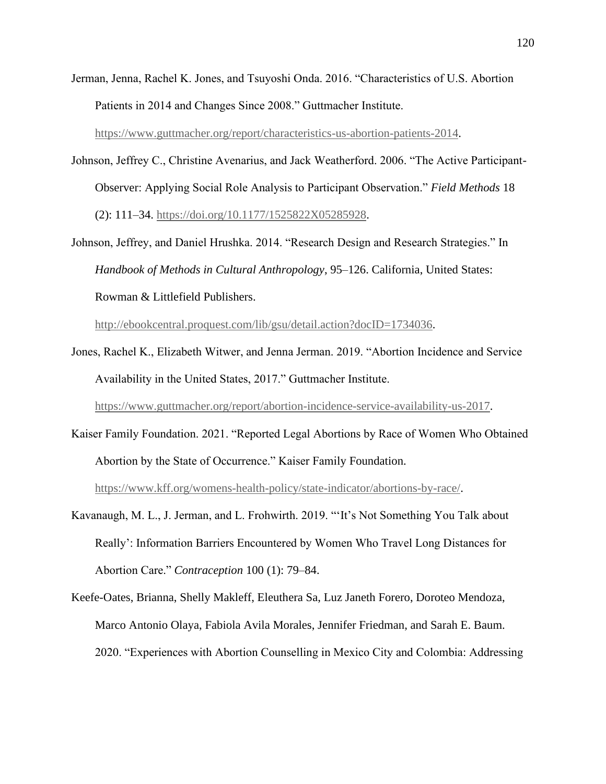Jerman, Jenna, Rachel K. Jones, and Tsuyoshi Onda. 2016. "Characteristics of U.S. Abortion Patients in 2014 and Changes Since 2008." Guttmacher Institute. [https://www.guttmacher.org/report/characteristics-us-abortion-patients-2014.](https://www.guttmacher.org/report/characteristics-us-abortion-patients-2014)

Johnson, Jeffrey C., Christine Avenarius, and Jack Weatherford. 2006. "The Active Participant-Observer: Applying Social Role Analysis to Participant Observation." *Field Methods* 18 (2): 111–34. [https://doi.org/10.1177/1525822X05285928.](https://doi.org/10.1177/1525822X05285928)

Johnson, Jeffrey, and Daniel Hrushka. 2014. "Research Design and Research Strategies." In *Handbook of Methods in Cultural Anthropology*, 95–126. California, United States: Rowman & Littlefield Publishers.

[http://ebookcentral.proquest.com/lib/gsu/detail.action?docID=1734036.](http://ebookcentral.proquest.com/lib/gsu/detail.action?docID=1734036)

Jones, Rachel K., Elizabeth Witwer, and Jenna Jerman. 2019. "Abortion Incidence and Service Availability in the United States, 2017." Guttmacher Institute.

[https://www.guttmacher.org/report/abortion-incidence-service-availability-us-2017.](https://www.guttmacher.org/report/abortion-incidence-service-availability-us-2017)

- Kaiser Family Foundation. 2021. "Reported Legal Abortions by Race of Women Who Obtained Abortion by the State of Occurrence." Kaiser Family Foundation. [https://www.kff.org/womens-health-policy/state-indicator/abortions-by-race/.](https://www.kff.org/womens-health-policy/state-indicator/abortions-by-race/)
- Kavanaugh, M. L., J. Jerman, and L. Frohwirth. 2019. "'It's Not Something You Talk about Really': Information Barriers Encountered by Women Who Travel Long Distances for Abortion Care." *Contraception* 100 (1): 79–84.
- Keefe-Oates, Brianna, Shelly Makleff, Eleuthera Sa, Luz Janeth Forero, Doroteo Mendoza, Marco Antonio Olaya, Fabiola Avila Morales, Jennifer Friedman, and Sarah E. Baum. 2020. "Experiences with Abortion Counselling in Mexico City and Colombia: Addressing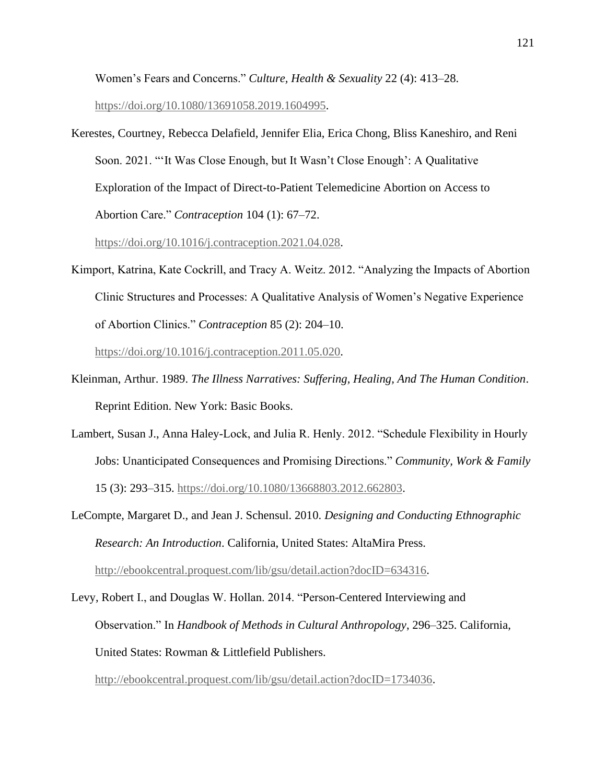Women's Fears and Concerns." *Culture, Health & Sexuality* 22 (4): 413–28.

[https://doi.org/10.1080/13691058.2019.1604995.](https://doi.org/10.1080/13691058.2019.1604995)

Kerestes, Courtney, Rebecca Delafield, Jennifer Elia, Erica Chong, Bliss Kaneshiro, and Reni Soon. 2021. "'It Was Close Enough, but It Wasn't Close Enough': A Qualitative Exploration of the Impact of Direct-to-Patient Telemedicine Abortion on Access to Abortion Care." *Contraception* 104 (1): 67–72.

[https://doi.org/10.1016/j.contraception.2021.04.028.](https://doi.org/10.1016/j.contraception.2021.04.028)

Kimport, Katrina, Kate Cockrill, and Tracy A. Weitz. 2012. "Analyzing the Impacts of Abortion Clinic Structures and Processes: A Qualitative Analysis of Women's Negative Experience of Abortion Clinics." *Contraception* 85 (2): 204–10.

[https://doi.org/10.1016/j.contraception.2011.05.020.](https://doi.org/10.1016/j.contraception.2011.05.020)

- Kleinman, Arthur. 1989. *The Illness Narratives: Suffering, Healing, And The Human Condition*. Reprint Edition. New York: Basic Books.
- Lambert, Susan J., Anna Haley-Lock, and Julia R. Henly. 2012. "Schedule Flexibility in Hourly Jobs: Unanticipated Consequences and Promising Directions." *Community, Work & Family* 15 (3): 293–315. [https://doi.org/10.1080/13668803.2012.662803.](https://doi.org/10.1080/13668803.2012.662803)
- LeCompte, Margaret D., and Jean J. Schensul. 2010. *Designing and Conducting Ethnographic Research: An Introduction*. California, United States: AltaMira Press. [http://ebookcentral.proquest.com/lib/gsu/detail.action?docID=634316.](http://ebookcentral.proquest.com/lib/gsu/detail.action?docID=634316)
- Levy, Robert I., and Douglas W. Hollan. 2014. "Person-Centered Interviewing and Observation." In *Handbook of Methods in Cultural Anthropology*, 296–325. California, United States: Rowman & Littlefield Publishers.

[http://ebookcentral.proquest.com/lib/gsu/detail.action?docID=1734036.](http://ebookcentral.proquest.com/lib/gsu/detail.action?docID=1734036)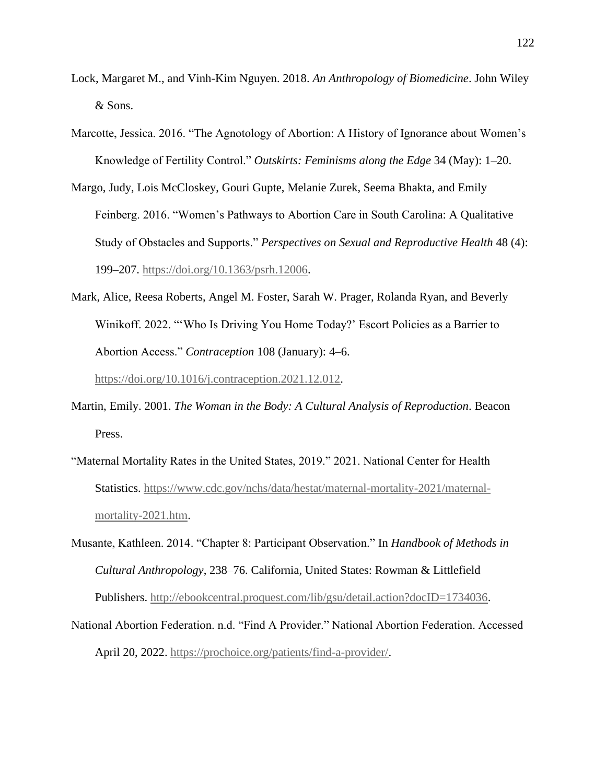- Lock, Margaret M., and Vinh-Kim Nguyen. 2018. *An Anthropology of Biomedicine*. John Wiley & Sons.
- Marcotte, Jessica. 2016. "The Agnotology of Abortion: A History of Ignorance about Women's Knowledge of Fertility Control." *Outskirts: Feminisms along the Edge* 34 (May): 1–20.
- Margo, Judy, Lois McCloskey, Gouri Gupte, Melanie Zurek, Seema Bhakta, and Emily Feinberg. 2016. "Women's Pathways to Abortion Care in South Carolina: A Qualitative Study of Obstacles and Supports." *Perspectives on Sexual and Reproductive Health* 48 (4): 199–207. [https://doi.org/10.1363/psrh.12006.](https://doi.org/10.1363/psrh.12006)
- Mark, Alice, Reesa Roberts, Angel M. Foster, Sarah W. Prager, Rolanda Ryan, and Beverly Winikoff. 2022. "'Who Is Driving You Home Today?' Escort Policies as a Barrier to Abortion Access." *Contraception* 108 (January): 4–6.

[https://doi.org/10.1016/j.contraception.2021.12.012.](https://doi.org/10.1016/j.contraception.2021.12.012)

- Martin, Emily. 2001. *The Woman in the Body: A Cultural Analysis of Reproduction*. Beacon Press.
- "Maternal Mortality Rates in the United States, 2019." 2021. National Center for Health Statistics. [https://www.cdc.gov/nchs/data/hestat/maternal-mortality-2021/maternal](https://www.cdc.gov/nchs/data/hestat/maternal-mortality-2021/maternal-mortality-2021.htm)[mortality-2021.htm.](https://www.cdc.gov/nchs/data/hestat/maternal-mortality-2021/maternal-mortality-2021.htm)
- Musante, Kathleen. 2014. "Chapter 8: Participant Observation." In *Handbook of Methods in Cultural Anthropology*, 238–76. California, United States: Rowman & Littlefield Publishers. [http://ebookcentral.proquest.com/lib/gsu/detail.action?docID=1734036.](http://ebookcentral.proquest.com/lib/gsu/detail.action?docID=1734036)
- National Abortion Federation. n.d. "Find A Provider." National Abortion Federation. Accessed April 20, 2022. [https://prochoice.org/patients/find-a-provider/.](https://prochoice.org/patients/find-a-provider/)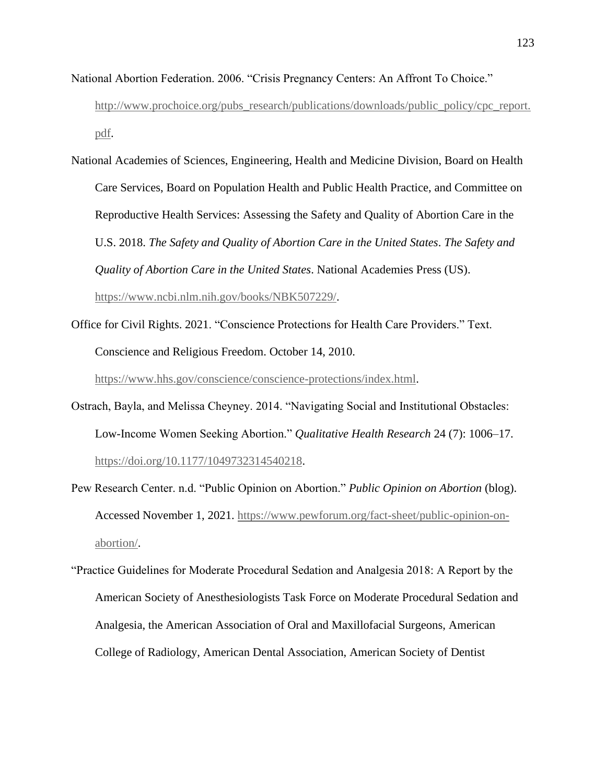- National Abortion Federation. 2006. "Crisis Pregnancy Centers: An Affront To Choice." [http://www.prochoice.org/pubs\\_research/publications/downloads/public\\_policy/cpc\\_report.](http://www.prochoice.org/pubs_research/publications/downloads/public_policy/cpc_report.pdf) [pdf.](http://www.prochoice.org/pubs_research/publications/downloads/public_policy/cpc_report.pdf)
- National Academies of Sciences, Engineering, Health and Medicine Division, Board on Health Care Services, Board on Population Health and Public Health Practice, and Committee on Reproductive Health Services: Assessing the Safety and Quality of Abortion Care in the U.S. 2018. *The Safety and Quality of Abortion Care in the United States*. *The Safety and Quality of Abortion Care in the United States*. National Academies Press (US). [https://www.ncbi.nlm.nih.gov/books/NBK507229/.](https://www.ncbi.nlm.nih.gov/books/NBK507229/)
- Office for Civil Rights. 2021. "Conscience Protections for Health Care Providers." Text. Conscience and Religious Freedom. October 14, 2010.

[https://www.hhs.gov/conscience/conscience-protections/index.html.](https://www.hhs.gov/conscience/conscience-protections/index.html)

- Ostrach, Bayla, and Melissa Cheyney. 2014. "Navigating Social and Institutional Obstacles: Low-Income Women Seeking Abortion." *Qualitative Health Research* 24 (7): 1006–17. [https://doi.org/10.1177/1049732314540218.](https://doi.org/10.1177/1049732314540218)
- Pew Research Center. n.d. "Public Opinion on Abortion." *Public Opinion on Abortion* (blog). Accessed November 1, 2021. [https://www.pewforum.org/fact-sheet/public-opinion-on](https://www.pewforum.org/fact-sheet/public-opinion-on-abortion/)[abortion/.](https://www.pewforum.org/fact-sheet/public-opinion-on-abortion/)
- "Practice Guidelines for Moderate Procedural Sedation and Analgesia 2018: A Report by the American Society of Anesthesiologists Task Force on Moderate Procedural Sedation and Analgesia, the American Association of Oral and Maxillofacial Surgeons, American College of Radiology, American Dental Association, American Society of Dentist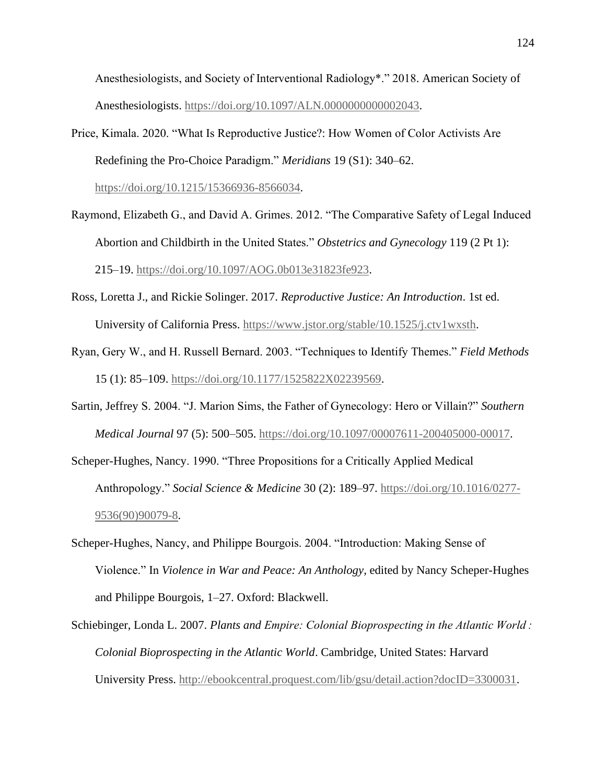Anesthesiologists, and Society of Interventional Radiology\*." 2018. American Society of Anesthesiologists. [https://doi.org/10.1097/ALN.0000000000002043.](https://doi.org/10.1097/ALN.0000000000002043)

Price, Kimala. 2020. "What Is Reproductive Justice?: How Women of Color Activists Are Redefining the Pro-Choice Paradigm." *Meridians* 19 (S1): 340–62.

[https://doi.org/10.1215/15366936-8566034.](https://doi.org/10.1215/15366936-8566034)

- Raymond, Elizabeth G., and David A. Grimes. 2012. "The Comparative Safety of Legal Induced Abortion and Childbirth in the United States." *Obstetrics and Gynecology* 119 (2 Pt 1): 215–19. [https://doi.org/10.1097/AOG.0b013e31823fe923.](https://doi.org/10.1097/AOG.0b013e31823fe923)
- Ross, Loretta J., and Rickie Solinger. 2017. *Reproductive Justice: An Introduction*. 1st ed. University of California Press. [https://www.jstor.org/stable/10.1525/j.ctv1wxsth.](https://www.jstor.org/stable/10.1525/j.ctv1wxsth)
- Ryan, Gery W., and H. Russell Bernard. 2003. "Techniques to Identify Themes." *Field Methods* 15 (1): 85–109. [https://doi.org/10.1177/1525822X02239569.](https://doi.org/10.1177/1525822X02239569)
- Sartin, Jeffrey S. 2004. "J. Marion Sims, the Father of Gynecology: Hero or Villain?" *Southern Medical Journal* 97 (5): 500–505. [https://doi.org/10.1097/00007611-200405000-00017.](https://doi.org/10.1097/00007611-200405000-00017)
- Scheper-Hughes, Nancy. 1990. "Three Propositions for a Critically Applied Medical Anthropology." *Social Science & Medicine* 30 (2): 189–97. [https://doi.org/10.1016/0277-](https://doi.org/10.1016/0277-9536(90)90079-8) [9536\(90\)90079-8.](https://doi.org/10.1016/0277-9536(90)90079-8)
- Scheper-Hughes, Nancy, and Philippe Bourgois. 2004. "Introduction: Making Sense of Violence." In *Violence in War and Peace: An Anthology*, edited by Nancy Scheper-Hughes and Philippe Bourgois, 1–27. Oxford: Blackwell.
- Schiebinger, Londa L. 2007. *Plants and Empire: Colonial Bioprospecting in the Atlantic World : Colonial Bioprospecting in the Atlantic World*. Cambridge, United States: Harvard University Press. [http://ebookcentral.proquest.com/lib/gsu/detail.action?docID=3300031.](http://ebookcentral.proquest.com/lib/gsu/detail.action?docID=3300031)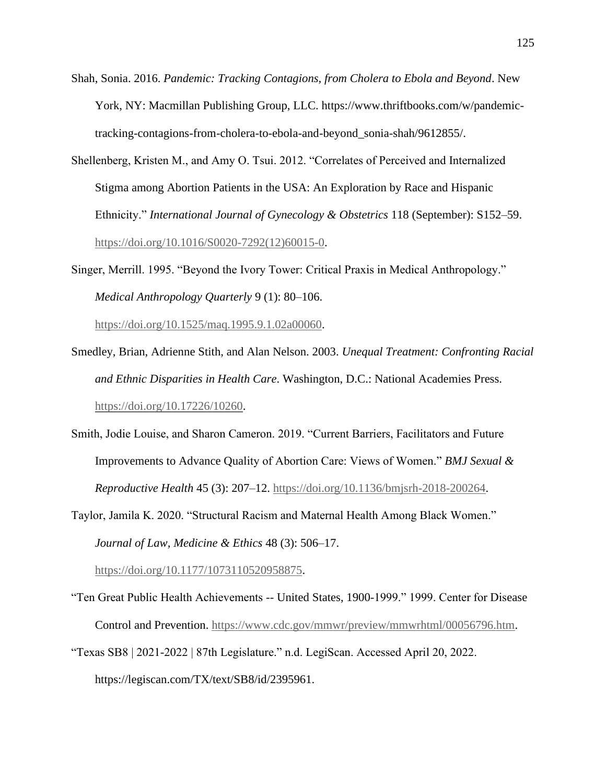- Shah, Sonia. 2016. *Pandemic: Tracking Contagions, from Cholera to Ebola and Beyond*. New York, NY: Macmillan Publishing Group, LLC. https://www.thriftbooks.com/w/pandemictracking-contagions-from-cholera-to-ebola-and-beyond\_sonia-shah/9612855/.
- Shellenberg, Kristen M., and Amy O. Tsui. 2012. "Correlates of Perceived and Internalized Stigma among Abortion Patients in the USA: An Exploration by Race and Hispanic Ethnicity." *International Journal of Gynecology & Obstetrics* 118 (September): S152–59. [https://doi.org/10.1016/S0020-7292\(12\)60015-0.](https://doi.org/10.1016/S0020-7292(12)60015-0)
- Singer, Merrill. 1995. "Beyond the Ivory Tower: Critical Praxis in Medical Anthropology." *Medical Anthropology Quarterly* 9 (1): 80–106.

[https://doi.org/10.1525/maq.1995.9.1.02a00060.](https://doi.org/10.1525/maq.1995.9.1.02a00060)

- Smedley, Brian, Adrienne Stith, and Alan Nelson. 2003. *Unequal Treatment: Confronting Racial and Ethnic Disparities in Health Care*. Washington, D.C.: National Academies Press. [https://doi.org/10.17226/10260.](https://doi.org/10.17226/10260)
- Smith, Jodie Louise, and Sharon Cameron. 2019. "Current Barriers, Facilitators and Future Improvements to Advance Quality of Abortion Care: Views of Women." *BMJ Sexual & Reproductive Health* 45 (3): 207–12. [https://doi.org/10.1136/bmjsrh-2018-200264.](https://doi.org/10.1136/bmjsrh-2018-200264)
- Taylor, Jamila K. 2020. "Structural Racism and Maternal Health Among Black Women." *Journal of Law, Medicine & Ethics* 48 (3): 506–17.

[https://doi.org/10.1177/1073110520958875.](https://doi.org/10.1177/1073110520958875)

- "Ten Great Public Health Achievements -- United States, 1900-1999." 1999. Center for Disease Control and Prevention. [https://www.cdc.gov/mmwr/preview/mmwrhtml/00056796.htm.](https://www.cdc.gov/mmwr/preview/mmwrhtml/00056796.htm)
- "Texas SB8 | 2021-2022 | 87th Legislature." n.d. LegiScan. Accessed April 20, 2022. https://legiscan.com/TX/text/SB8/id/2395961.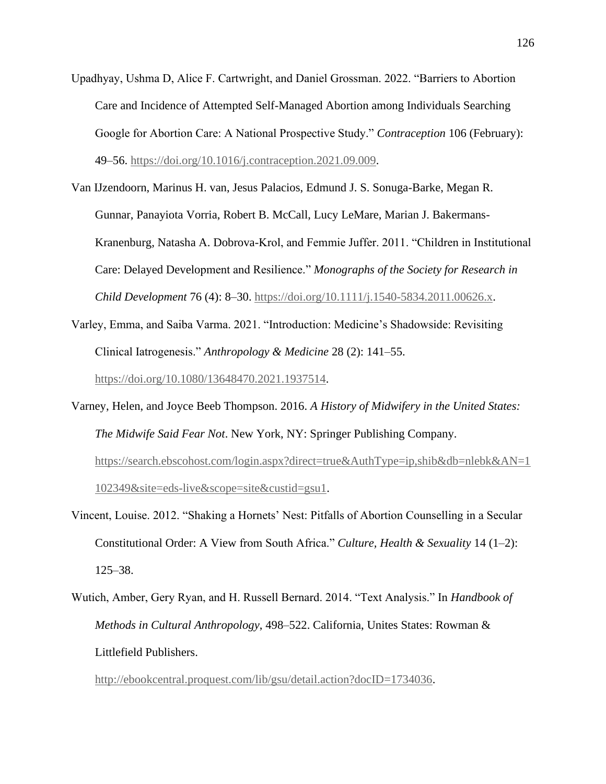- Upadhyay, Ushma D, Alice F. Cartwright, and Daniel Grossman. 2022. "Barriers to Abortion Care and Incidence of Attempted Self-Managed Abortion among Individuals Searching Google for Abortion Care: A National Prospective Study." *Contraception* 106 (February): 49–56. [https://doi.org/10.1016/j.contraception.2021.09.009.](https://doi.org/10.1016/j.contraception.2021.09.009)
- Van IJzendoorn, Marinus H. van, Jesus Palacios, Edmund J. S. Sonuga-Barke, Megan R. Gunnar, Panayiota Vorria, Robert B. McCall, Lucy LeMare, Marian J. Bakermans-Kranenburg, Natasha A. Dobrova-Krol, and Femmie Juffer. 2011. "Children in Institutional Care: Delayed Development and Resilience." *Monographs of the Society for Research in Child Development* 76 (4): 8–30. [https://doi.org/10.1111/j.1540-5834.2011.00626.x.](https://doi.org/10.1111/j.1540-5834.2011.00626.x)
- Varley, Emma, and Saiba Varma. 2021. "Introduction: Medicine's Shadowside: Revisiting Clinical Iatrogenesis." *Anthropology & Medicine* 28 (2): 141–55. [https://doi.org/10.1080/13648470.2021.1937514.](https://doi.org/10.1080/13648470.2021.1937514)
- Varney, Helen, and Joyce Beeb Thompson. 2016. *A History of Midwifery in the United States: The Midwife Said Fear Not*. New York, NY: Springer Publishing Company. [https://search.ebscohost.com/login.aspx?direct=true&AuthType=ip,shib&db=nlebk&AN=1](https://search.ebscohost.com/login.aspx?direct=true&AuthType=ip,shib&db=nlebk&AN=1102349&site=eds-live&scope=site&custid=gsu1) [102349&site=eds-live&scope=site&custid=gsu1.](https://search.ebscohost.com/login.aspx?direct=true&AuthType=ip,shib&db=nlebk&AN=1102349&site=eds-live&scope=site&custid=gsu1)
- Vincent, Louise. 2012. "Shaking a Hornets' Nest: Pitfalls of Abortion Counselling in a Secular Constitutional Order: A View from South Africa." *Culture, Health & Sexuality* 14 (1–2): 125–38.
- Wutich, Amber, Gery Ryan, and H. Russell Bernard. 2014. "Text Analysis." In *Handbook of Methods in Cultural Anthropology*, 498–522. California, Unites States: Rowman & Littlefield Publishers.

[http://ebookcentral.proquest.com/lib/gsu/detail.action?docID=1734036.](http://ebookcentral.proquest.com/lib/gsu/detail.action?docID=1734036)